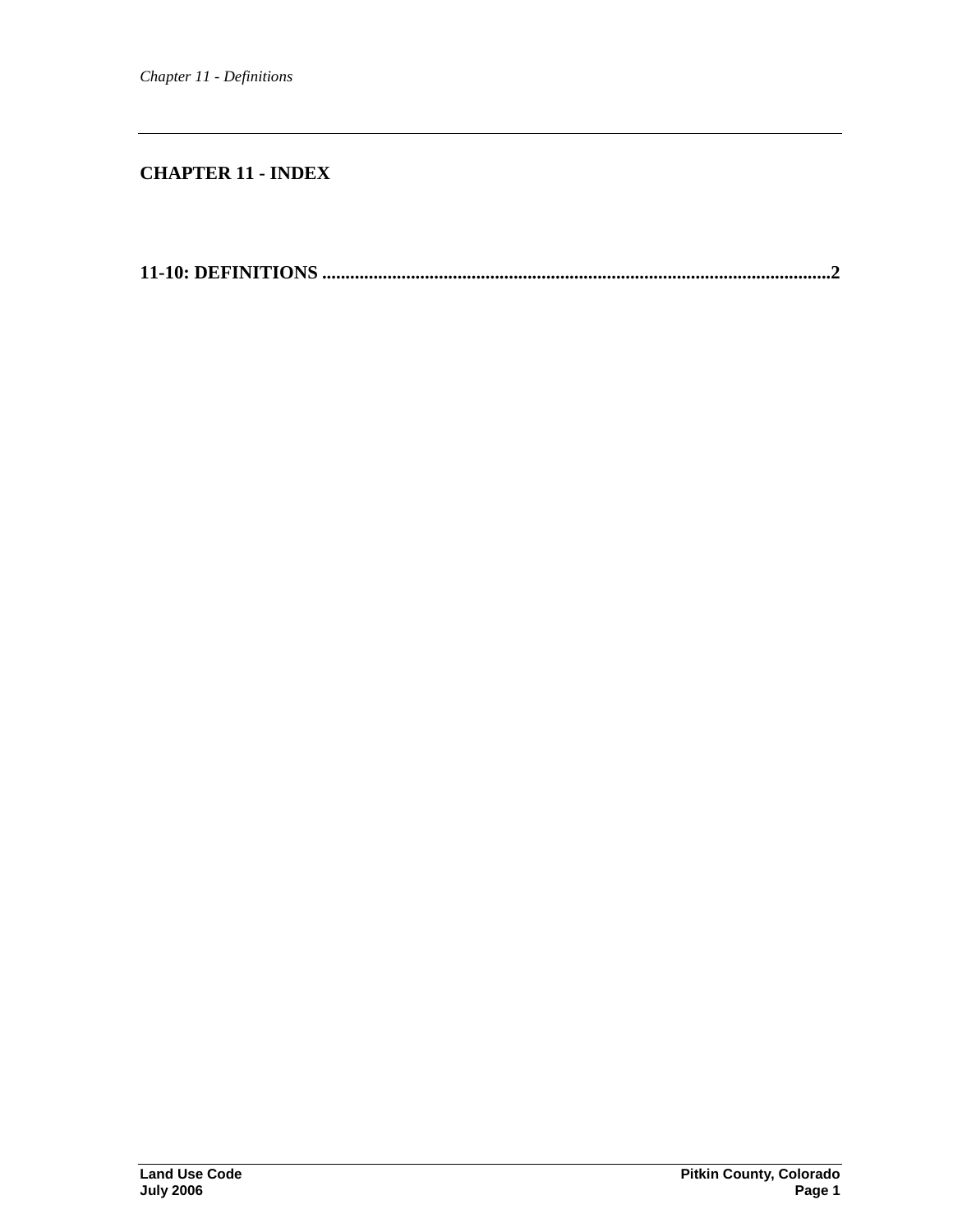# **CHAPTER 11 - INDEX**

**11-10: DEFINITIONS [.............................................................................................................2](#page-1-0)**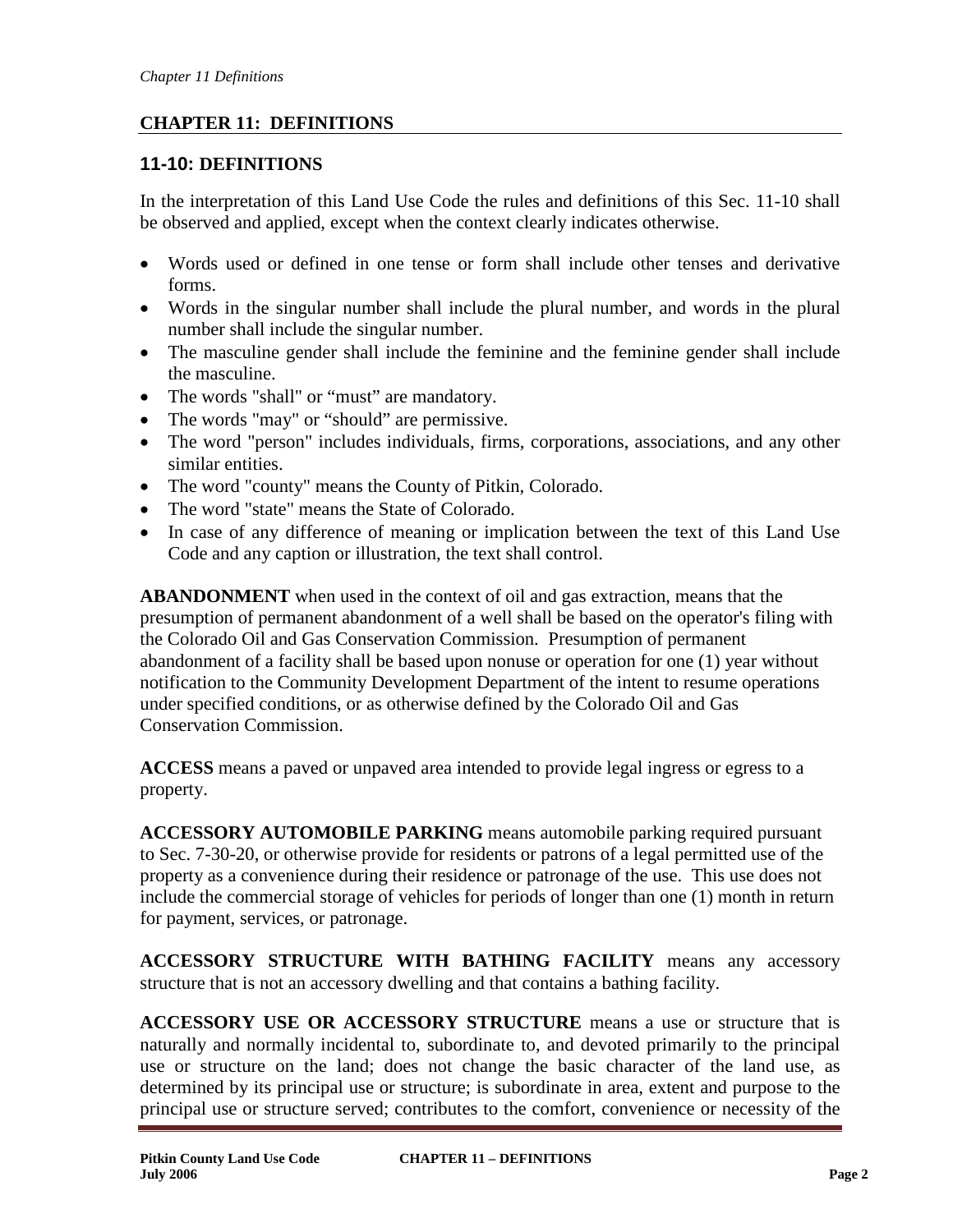# **CHAPTER 11: DEFINITIONS**

# <span id="page-1-0"></span>**11-10: DEFINITIONS**

In the interpretation of this Land Use Code the rules and definitions of this Sec. 11-10 shall be observed and applied, except when the context clearly indicates otherwise.

- Words used or defined in one tense or form shall include other tenses and derivative forms.
- Words in the singular number shall include the plural number, and words in the plural number shall include the singular number.
- The masculine gender shall include the feminine and the feminine gender shall include the masculine.
- The words "shall" or "must" are mandatory.
- The words "may" or "should" are permissive.
- The word "person" includes individuals, firms, corporations, associations, and any other similar entities.
- The word "county" means the County of Pitkin, Colorado.
- The word "state" means the State of Colorado.
- In case of any difference of meaning or implication between the text of this Land Use Code and any caption or illustration, the text shall control.

**ABANDONMENT** when used in the context of oil and gas extraction, means that the presumption of permanent abandonment of a well shall be based on the operator's filing with the Colorado Oil and Gas Conservation Commission. Presumption of permanent abandonment of a facility shall be based upon nonuse or operation for one (1) year without notification to the Community Development Department of the intent to resume operations under specified conditions, or as otherwise defined by the Colorado Oil and Gas Conservation Commission.

**ACCESS** means a paved or unpaved area intended to provide legal ingress or egress to a property.

**ACCESSORY AUTOMOBILE PARKING** means automobile parking required pursuant to Sec. 7-30-20, or otherwise provide for residents or patrons of a legal permitted use of the property as a convenience during their residence or patronage of the use. This use does not include the commercial storage of vehicles for periods of longer than one (1) month in return for payment, services, or patronage.

**ACCESSORY STRUCTURE WITH BATHING FACILITY** means any accessory structure that is not an accessory dwelling and that contains a bathing facility.

**ACCESSORY USE OR ACCESSORY STRUCTURE** means a use or structure that is naturally and normally incidental to, subordinate to, and devoted primarily to the principal use or structure on the land; does not change the basic character of the land use, as determined by its principal use or structure; is subordinate in area, extent and purpose to the principal use or structure served; contributes to the comfort, convenience or necessity of the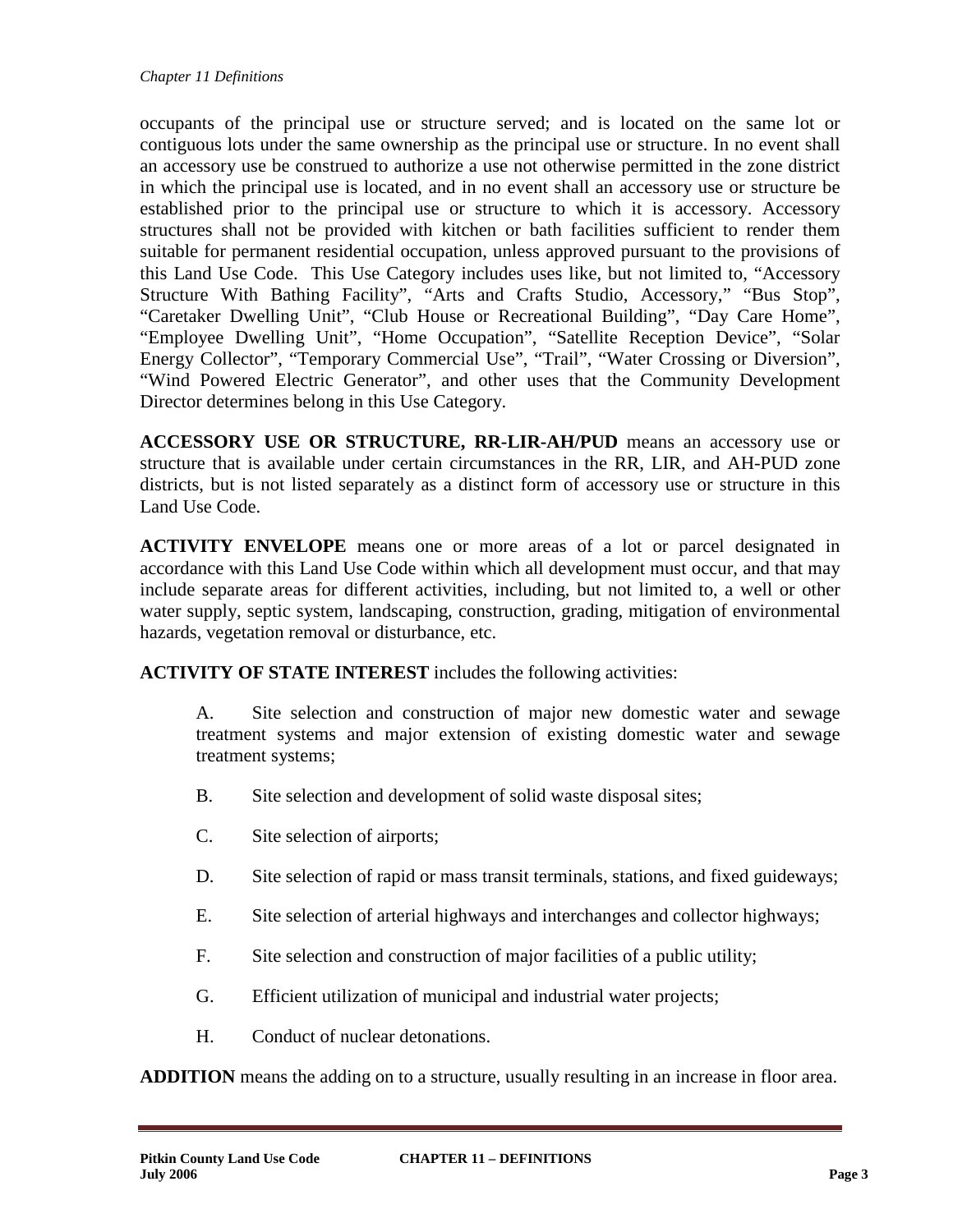occupants of the principal use or structure served; and is located on the same lot or contiguous lots under the same ownership as the principal use or structure. In no event shall an accessory use be construed to authorize a use not otherwise permitted in the zone district in which the principal use is located, and in no event shall an accessory use or structure be established prior to the principal use or structure to which it is accessory. Accessory structures shall not be provided with kitchen or bath facilities sufficient to render them suitable for permanent residential occupation, unless approved pursuant to the provisions of this Land Use Code. This Use Category includes uses like, but not limited to, "Accessory Structure With Bathing Facility", "Arts and Crafts Studio, Accessory," "Bus Stop", "Caretaker Dwelling Unit", "Club House or Recreational Building", "Day Care Home", "Employee Dwelling Unit", "Home Occupation", "Satellite Reception Device", "Solar Energy Collector", "Temporary Commercial Use", "Trail", "Water Crossing or Diversion", "Wind Powered Electric Generator", and other uses that the Community Development Director determines belong in this Use Category.

**ACCESSORY USE OR STRUCTURE, RR-LIR-AH/PUD** means an accessory use or structure that is available under certain circumstances in the RR, LIR, and AH-PUD zone districts, but is not listed separately as a distinct form of accessory use or structure in this Land Use Code.

**ACTIVITY ENVELOPE** means one or more areas of a lot or parcel designated in accordance with this Land Use Code within which all development must occur, and that may include separate areas for different activities, including, but not limited to, a well or other water supply, septic system, landscaping, construction, grading, mitigation of environmental hazards, vegetation removal or disturbance, etc.

**ACTIVITY OF STATE INTEREST** includes the following activities:

A. Site selection and construction of major new domestic water and sewage treatment systems and major extension of existing domestic water and sewage treatment systems;

- B. Site selection and development of solid waste disposal sites;
- C. Site selection of airports;
- D. Site selection of rapid or mass transit terminals, stations, and fixed guideways;
- E. Site selection of arterial highways and interchanges and collector highways;
- F. Site selection and construction of major facilities of a public utility;
- G. Efficient utilization of municipal and industrial water projects;
- H. Conduct of nuclear detonations.

**ADDITION** means the adding on to a structure, usually resulting in an increase in floor area.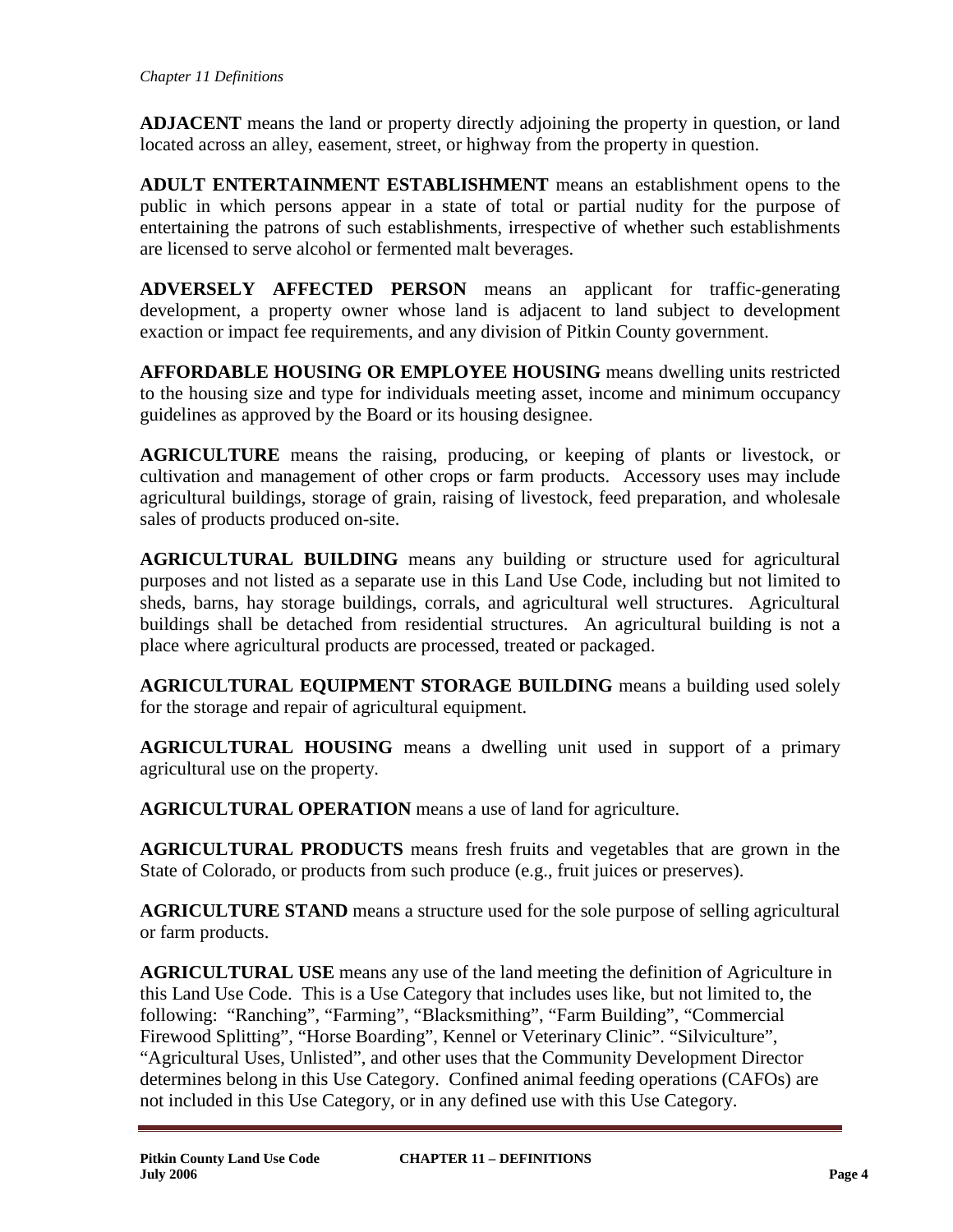**ADJACENT** means the land or property directly adjoining the property in question, or land located across an alley, easement, street, or highway from the property in question.

**ADULT ENTERTAINMENT ESTABLISHMENT** means an establishment opens to the public in which persons appear in a state of total or partial nudity for the purpose of entertaining the patrons of such establishments, irrespective of whether such establishments are licensed to serve alcohol or fermented malt beverages.

**ADVERSELY AFFECTED PERSON** means an applicant for traffic-generating development, a property owner whose land is adjacent to land subject to development exaction or impact fee requirements, and any division of Pitkin County government.

**AFFORDABLE HOUSING OR EMPLOYEE HOUSING** means dwelling units restricted to the housing size and type for individuals meeting asset, income and minimum occupancy guidelines as approved by the Board or its housing designee.

**AGRICULTURE** means the raising, producing, or keeping of plants or livestock, or cultivation and management of other crops or farm products. Accessory uses may include agricultural buildings, storage of grain, raising of livestock, feed preparation, and wholesale sales of products produced on-site.

**AGRICULTURAL BUILDING** means any building or structure used for agricultural purposes and not listed as a separate use in this Land Use Code, including but not limited to sheds, barns, hay storage buildings, corrals, and agricultural well structures. Agricultural buildings shall be detached from residential structures. An agricultural building is not a place where agricultural products are processed, treated or packaged.

**AGRICULTURAL EQUIPMENT STORAGE BUILDING** means a building used solely for the storage and repair of agricultural equipment.

**AGRICULTURAL HOUSING** means a dwelling unit used in support of a primary agricultural use on the property.

**AGRICULTURAL OPERATION** means a use of land for agriculture.

**AGRICULTURAL PRODUCTS** means fresh fruits and vegetables that are grown in the State of Colorado, or products from such produce (e.g., fruit juices or preserves).

**AGRICULTURE STAND** means a structure used for the sole purpose of selling agricultural or farm products.

**AGRICULTURAL USE** means any use of the land meeting the definition of Agriculture in this Land Use Code. This is a Use Category that includes uses like, but not limited to, the following: "Ranching", "Farming", "Blacksmithing", "Farm Building", "Commercial Firewood Splitting", "Horse Boarding", Kennel or Veterinary Clinic". "Silviculture", "Agricultural Uses, Unlisted", and other uses that the Community Development Director determines belong in this Use Category. Confined animal feeding operations (CAFOs) are not included in this Use Category, or in any defined use with this Use Category.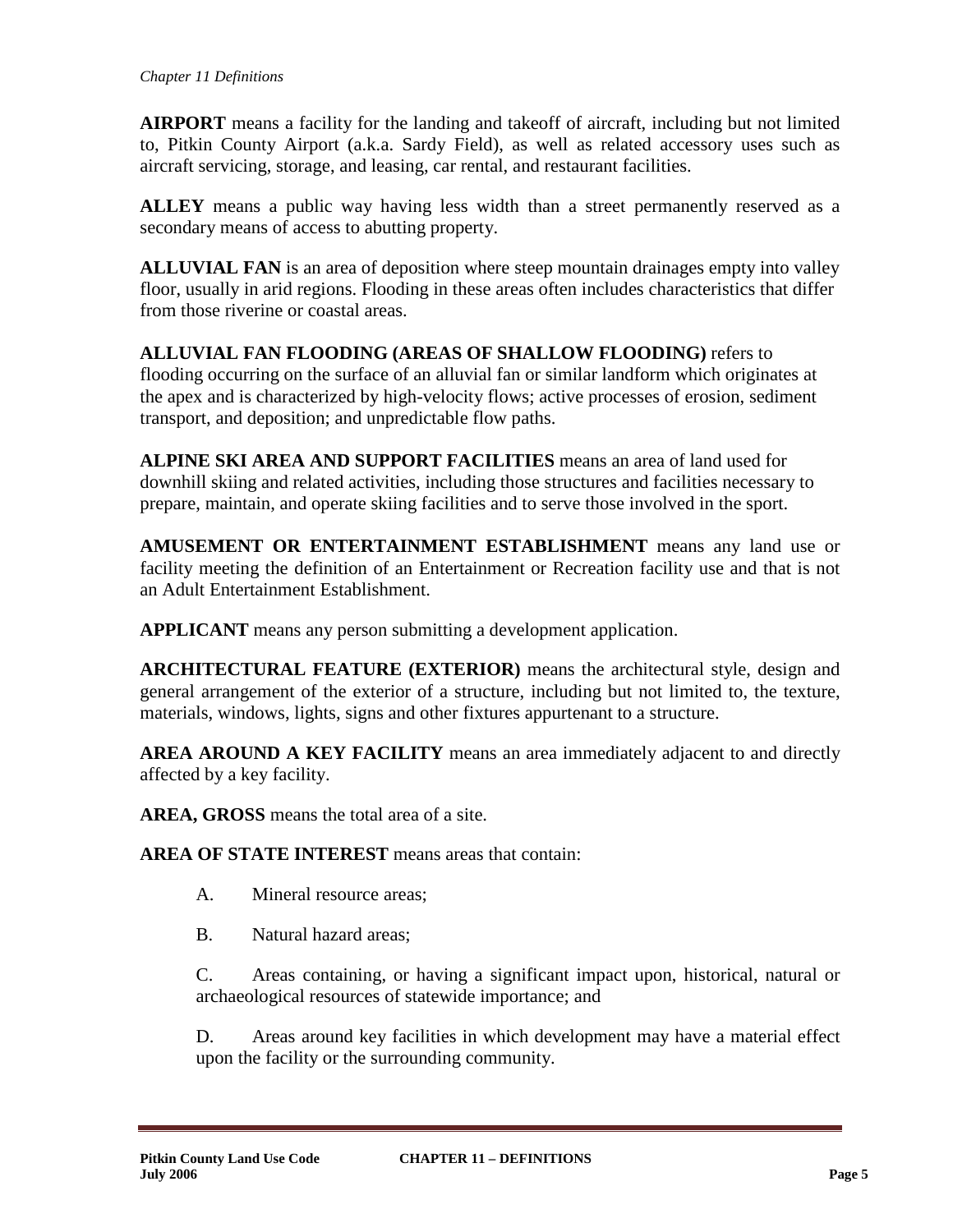**AIRPORT** means a facility for the landing and takeoff of aircraft, including but not limited to, Pitkin County Airport (a.k.a. Sardy Field), as well as related accessory uses such as aircraft servicing, storage, and leasing, car rental, and restaurant facilities.

**ALLEY** means a public way having less width than a street permanently reserved as a secondary means of access to abutting property.

**ALLUVIAL FAN** is an area of deposition where steep mountain drainages empty into valley floor, usually in arid regions. Flooding in these areas often includes characteristics that differ from those riverine or coastal areas.

**ALLUVIAL FAN FLOODING (AREAS OF SHALLOW FLOODING)** refers to flooding occurring on the surface of an alluvial fan or similar landform which originates at the apex and is characterized by high-velocity flows; active processes of erosion, sediment transport, and deposition; and unpredictable flow paths.

**ALPINE SKI AREA AND SUPPORT FACILITIES** means an area of land used for downhill skiing and related activities, including those structures and facilities necessary to prepare, maintain, and operate skiing facilities and to serve those involved in the sport.

**AMUSEMENT OR ENTERTAINMENT ESTABLISHMENT** means any land use or facility meeting the definition of an Entertainment or Recreation facility use and that is not an Adult Entertainment Establishment.

**APPLICANT** means any person submitting a development application.

**ARCHITECTURAL FEATURE (EXTERIOR)** means the architectural style, design and general arrangement of the exterior of a structure, including but not limited to, the texture, materials, windows, lights, signs and other fixtures appurtenant to a structure.

**AREA AROUND A KEY FACILITY** means an area immediately adjacent to and directly affected by a key facility.

**AREA, GROSS** means the total area of a site.

**AREA OF STATE INTEREST** means areas that contain:

A. Mineral resource areas;

B. Natural hazard areas;

C. Areas containing, or having a significant impact upon, historical, natural or archaeological resources of statewide importance; and

D. Areas around key facilities in which development may have a material effect upon the facility or the surrounding community.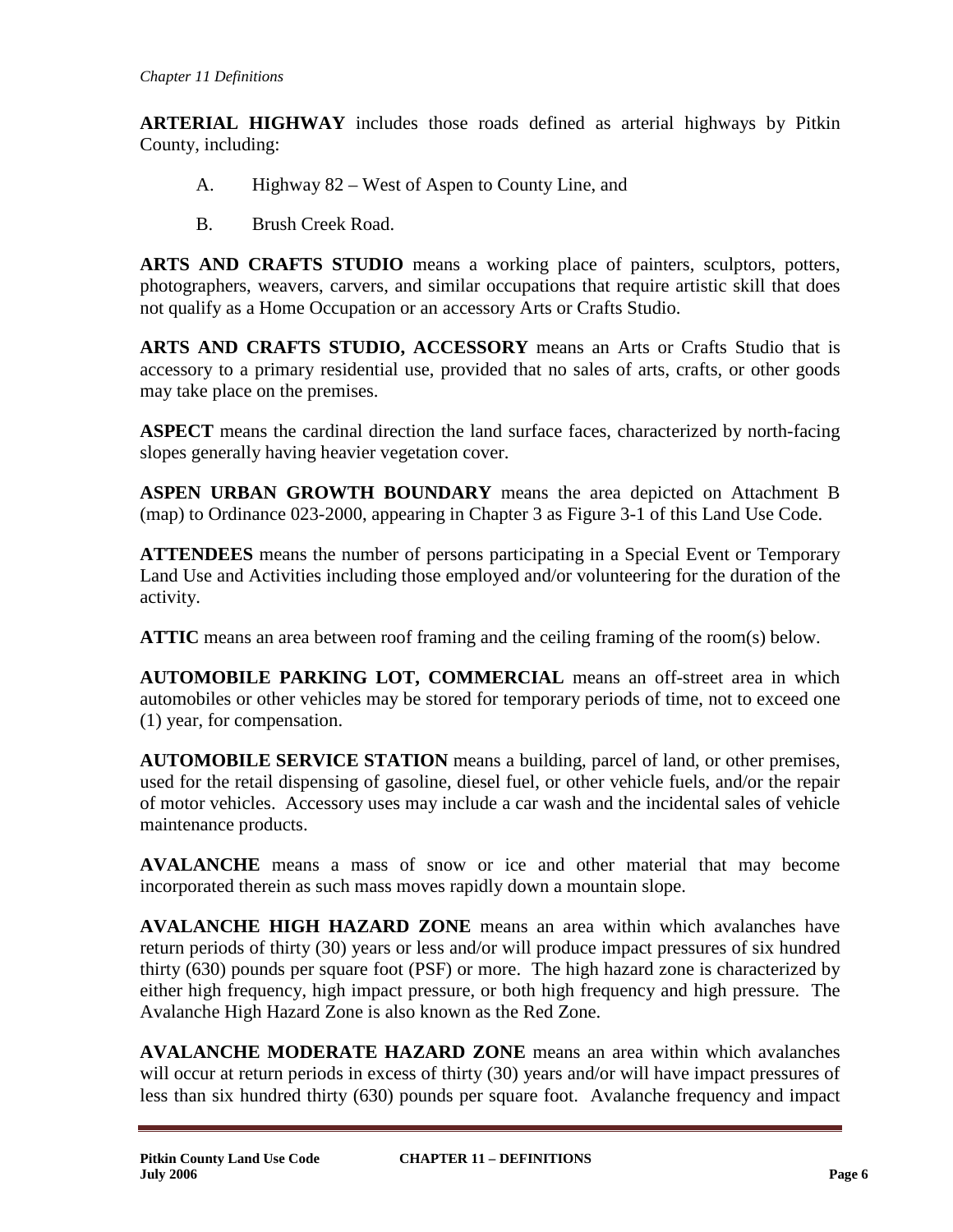**ARTERIAL HIGHWAY** includes those roads defined as arterial highways by Pitkin County, including:

- A. Highway 82 West of Aspen to County Line, and
- B. Brush Creek Road.

**ARTS AND CRAFTS STUDIO** means a working place of painters, sculptors, potters, photographers, weavers, carvers, and similar occupations that require artistic skill that does not qualify as a Home Occupation or an accessory Arts or Crafts Studio.

**ARTS AND CRAFTS STUDIO, ACCESSORY** means an Arts or Crafts Studio that is accessory to a primary residential use, provided that no sales of arts, crafts, or other goods may take place on the premises.

**ASPECT** means the cardinal direction the land surface faces, characterized by north-facing slopes generally having heavier vegetation cover.

**ASPEN URBAN GROWTH BOUNDARY** means the area depicted on Attachment B (map) to Ordinance 023-2000, appearing in Chapter 3 as Figure 3-1 of this Land Use Code.

**ATTENDEES** means the number of persons participating in a Special Event or Temporary Land Use and Activities including those employed and/or volunteering for the duration of the activity.

**ATTIC** means an area between roof framing and the ceiling framing of the room(s) below.

**AUTOMOBILE PARKING LOT, COMMERCIAL** means an off-street area in which automobiles or other vehicles may be stored for temporary periods of time, not to exceed one (1) year, for compensation.

**AUTOMOBILE SERVICE STATION** means a building, parcel of land, or other premises, used for the retail dispensing of gasoline, diesel fuel, or other vehicle fuels, and/or the repair of motor vehicles. Accessory uses may include a car wash and the incidental sales of vehicle maintenance products.

**AVALANCHE** means a mass of snow or ice and other material that may become incorporated therein as such mass moves rapidly down a mountain slope.

**AVALANCHE HIGH HAZARD ZONE** means an area within which avalanches have return periods of thirty (30) years or less and/or will produce impact pressures of six hundred thirty (630) pounds per square foot (PSF) or more. The high hazard zone is characterized by either high frequency, high impact pressure, or both high frequency and high pressure. The Avalanche High Hazard Zone is also known as the Red Zone.

**AVALANCHE MODERATE HAZARD ZONE** means an area within which avalanches will occur at return periods in excess of thirty (30) years and/or will have impact pressures of less than six hundred thirty (630) pounds per square foot. Avalanche frequency and impact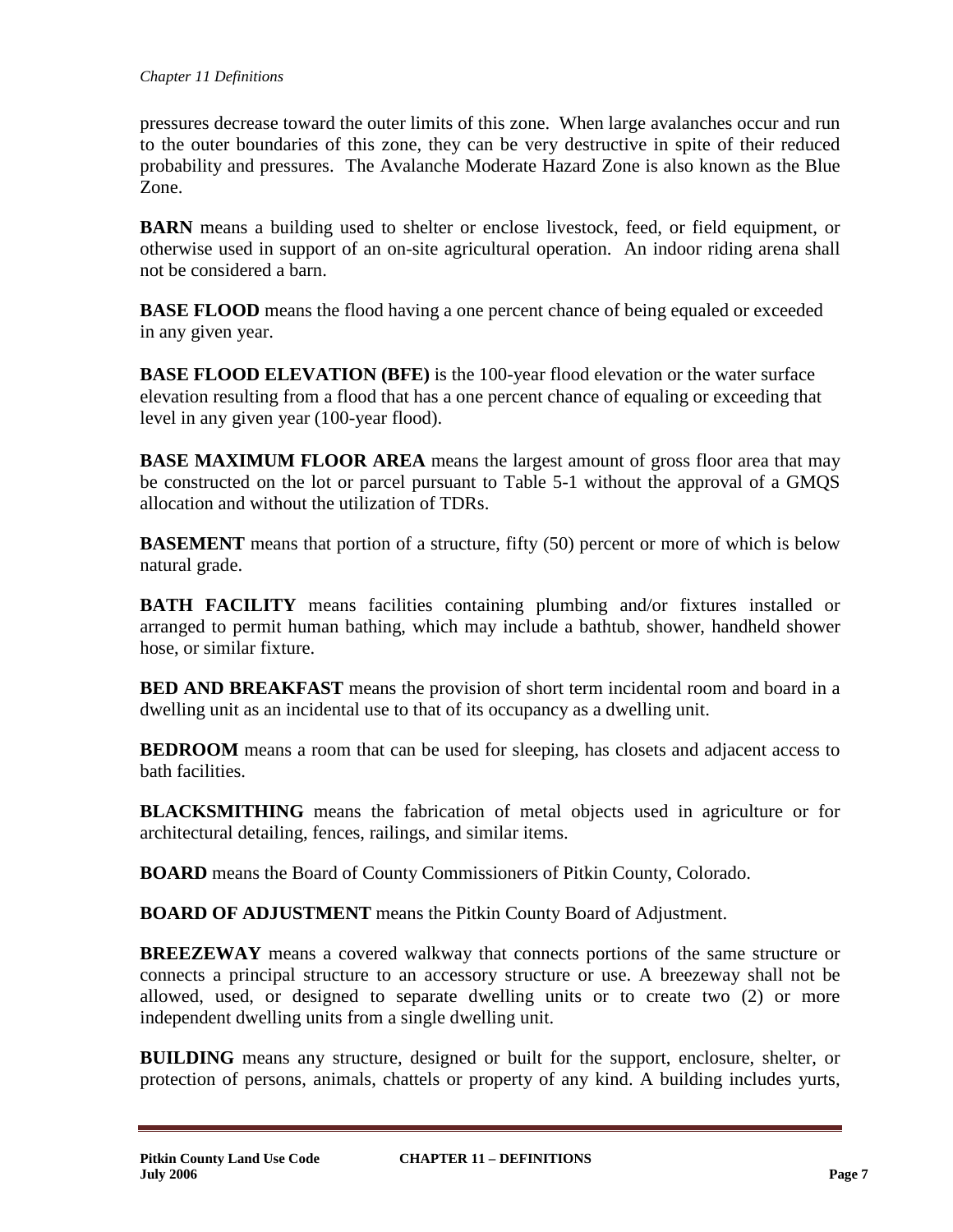pressures decrease toward the outer limits of this zone. When large avalanches occur and run to the outer boundaries of this zone, they can be very destructive in spite of their reduced probability and pressures. The Avalanche Moderate Hazard Zone is also known as the Blue Zone.

**BARN** means a building used to shelter or enclose livestock, feed, or field equipment, or otherwise used in support of an on-site agricultural operation. An indoor riding arena shall not be considered a barn.

**BASE FLOOD** means the flood having a one percent chance of being equaled or exceeded in any given year.

**BASE FLOOD ELEVATION (BFE)** is the 100-year flood elevation or the water surface elevation resulting from a flood that has a one percent chance of equaling or exceeding that level in any given year (100-year flood).

**BASE MAXIMUM FLOOR AREA** means the largest amount of gross floor area that may be constructed on the lot or parcel pursuant to Table 5-1 without the approval of a GMQS allocation and without the utilization of TDRs.

**BASEMENT** means that portion of a structure, fifty (50) percent or more of which is below natural grade.

**BATH FACILITY** means facilities containing plumbing and/or fixtures installed or arranged to permit human bathing, which may include a bathtub, shower, handheld shower hose, or similar fixture.

**BED AND BREAKFAST** means the provision of short term incidental room and board in a dwelling unit as an incidental use to that of its occupancy as a dwelling unit.

**BEDROOM** means a room that can be used for sleeping, has closets and adjacent access to bath facilities.

**BLACKSMITHING** means the fabrication of metal objects used in agriculture or for architectural detailing, fences, railings, and similar items.

**BOARD** means the Board of County Commissioners of Pitkin County, Colorado.

**BOARD OF ADJUSTMENT** means the Pitkin County Board of Adjustment.

**BREEZEWAY** means a covered walkway that connects portions of the same structure or connects a principal structure to an accessory structure or use. A breezeway shall not be allowed, used, or designed to separate dwelling units or to create two (2) or more independent dwelling units from a single dwelling unit.

**BUILDING** means any structure, designed or built for the support, enclosure, shelter, or protection of persons, animals, chattels or property of any kind. A building includes yurts,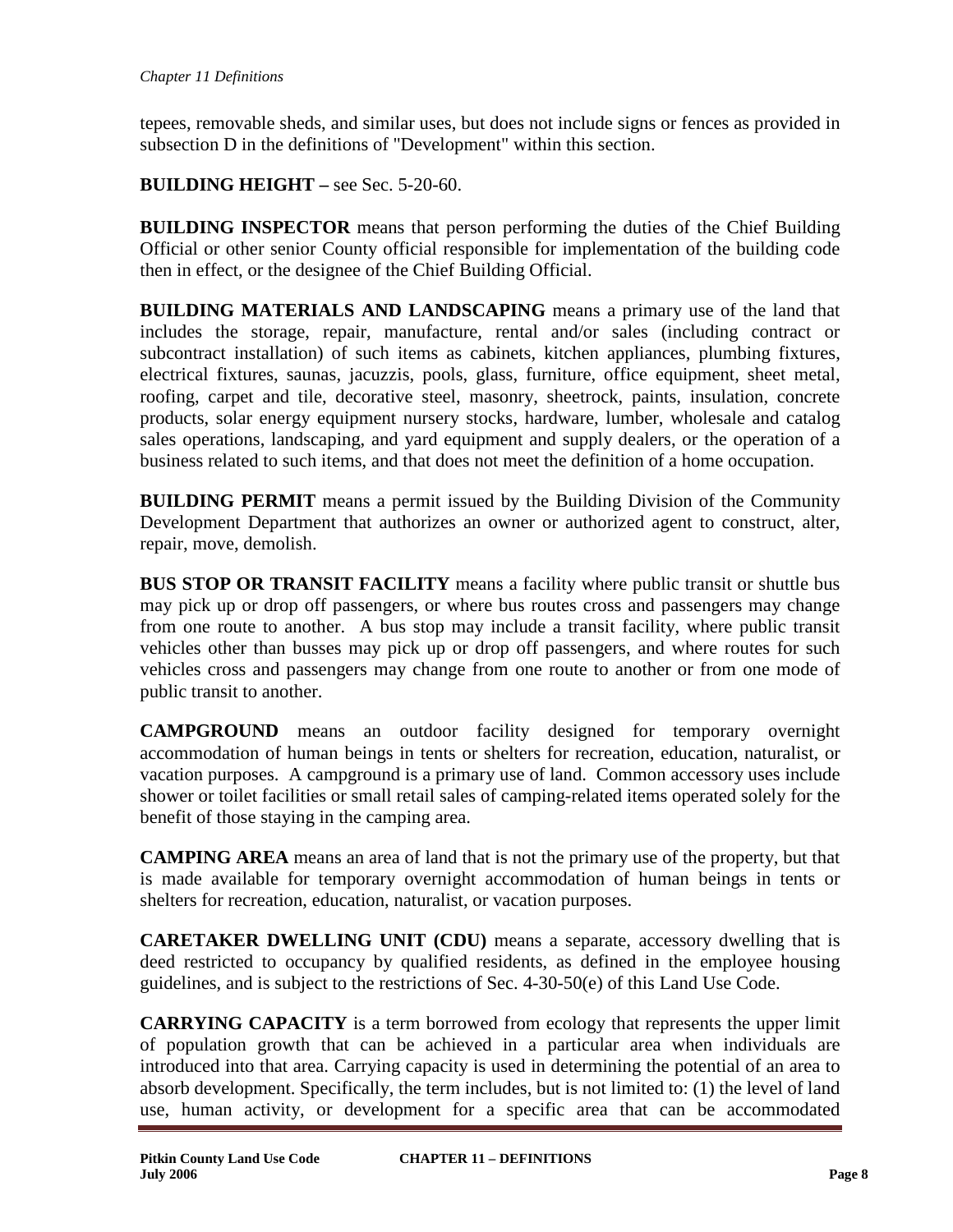tepees, removable sheds, and similar uses, but does not include signs or fences as provided in subsection D in the definitions of "Development" within this section.

**BUILDING HEIGHT –** see Sec. 5-20-60.

**BUILDING INSPECTOR** means that person performing the duties of the Chief Building Official or other senior County official responsible for implementation of the building code then in effect, or the designee of the Chief Building Official.

**BUILDING MATERIALS AND LANDSCAPING** means a primary use of the land that includes the storage, repair, manufacture, rental and/or sales (including contract or subcontract installation) of such items as cabinets, kitchen appliances, plumbing fixtures, electrical fixtures, saunas, jacuzzis, pools, glass, furniture, office equipment, sheet metal, roofing, carpet and tile, decorative steel, masonry, sheetrock, paints, insulation, concrete products, solar energy equipment nursery stocks, hardware, lumber, wholesale and catalog sales operations, landscaping, and yard equipment and supply dealers, or the operation of a business related to such items, and that does not meet the definition of a home occupation.

**BUILDING PERMIT** means a permit issued by the Building Division of the Community Development Department that authorizes an owner or authorized agent to construct, alter, repair, move, demolish.

**BUS STOP OR TRANSIT FACILITY** means a facility where public transit or shuttle bus may pick up or drop off passengers, or where bus routes cross and passengers may change from one route to another. A bus stop may include a transit facility, where public transit vehicles other than busses may pick up or drop off passengers, and where routes for such vehicles cross and passengers may change from one route to another or from one mode of public transit to another.

**CAMPGROUND** means an outdoor facility designed for temporary overnight accommodation of human beings in tents or shelters for recreation, education, naturalist, or vacation purposes. A campground is a primary use of land. Common accessory uses include shower or toilet facilities or small retail sales of camping-related items operated solely for the benefit of those staying in the camping area.

**CAMPING AREA** means an area of land that is not the primary use of the property, but that is made available for temporary overnight accommodation of human beings in tents or shelters for recreation, education, naturalist, or vacation purposes.

**CARETAKER DWELLING UNIT (CDU)** means a separate, accessory dwelling that is deed restricted to occupancy by qualified residents, as defined in the employee housing guidelines, and is subject to the restrictions of Sec. 4-30-50(e) of this Land Use Code.

**CARRYING CAPACITY** is a term borrowed from ecology that represents the upper limit of population growth that can be achieved in a particular area when individuals are introduced into that area. Carrying capacity is used in determining the potential of an area to absorb development. Specifically, the term includes, but is not limited to: (1) the level of land use, human activity, or development for a specific area that can be accommodated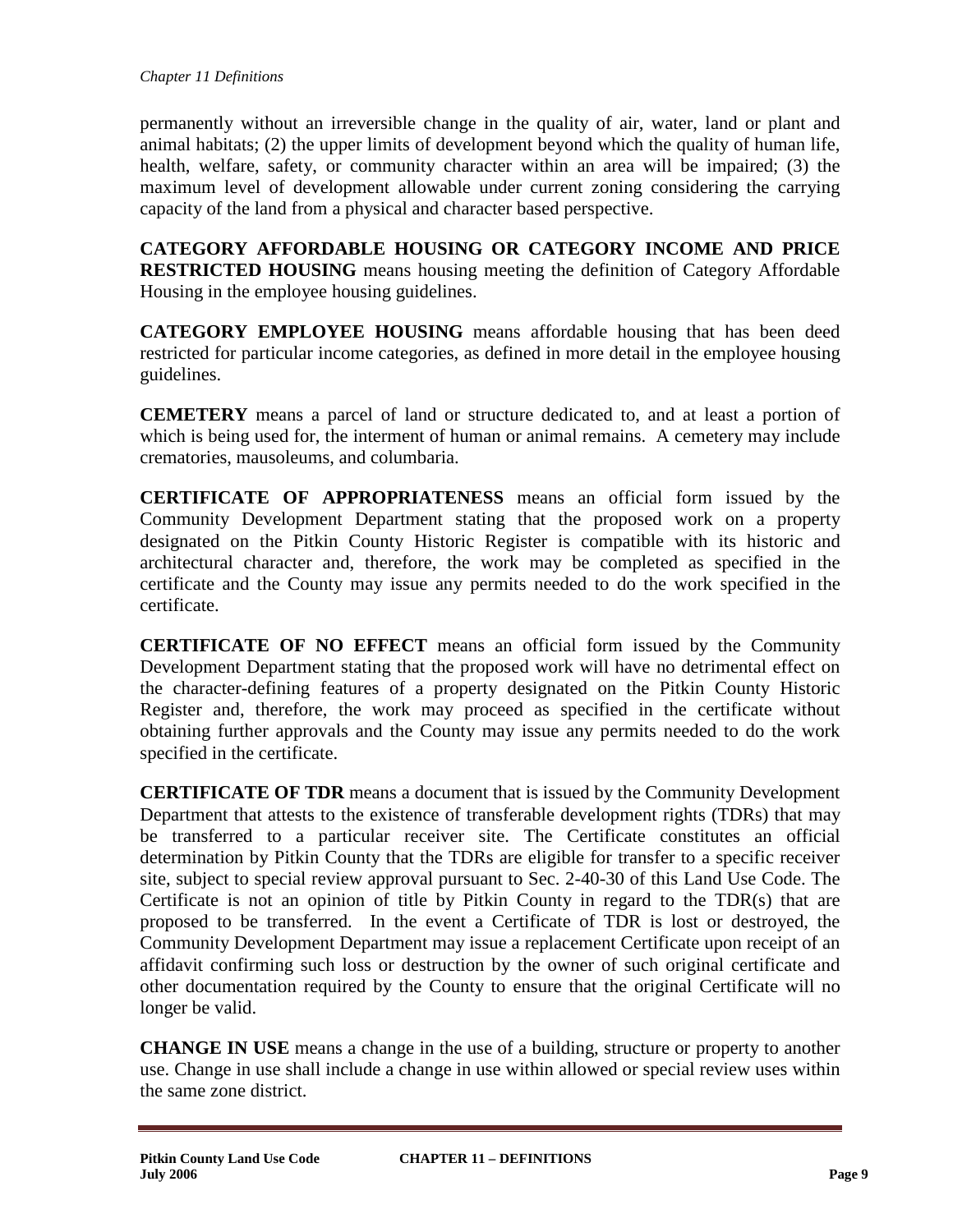permanently without an irreversible change in the quality of air, water, land or plant and animal habitats; (2) the upper limits of development beyond which the quality of human life, health, welfare, safety, or community character within an area will be impaired; (3) the maximum level of development allowable under current zoning considering the carrying capacity of the land from a physical and character based perspective.

**CATEGORY AFFORDABLE HOUSING OR CATEGORY INCOME AND PRICE RESTRICTED HOUSING** means housing meeting the definition of Category Affordable Housing in the employee housing guidelines.

**CATEGORY EMPLOYEE HOUSING** means affordable housing that has been deed restricted for particular income categories, as defined in more detail in the employee housing guidelines.

**CEMETERY** means a parcel of land or structure dedicated to, and at least a portion of which is being used for, the interment of human or animal remains. A cemetery may include crematories, mausoleums, and columbaria.

**CERTIFICATE OF APPROPRIATENESS** means an official form issued by the Community Development Department stating that the proposed work on a property designated on the Pitkin County Historic Register is compatible with its historic and architectural character and, therefore, the work may be completed as specified in the certificate and the County may issue any permits needed to do the work specified in the certificate.

**CERTIFICATE OF NO EFFECT** means an official form issued by the Community Development Department stating that the proposed work will have no detrimental effect on the character-defining features of a property designated on the Pitkin County Historic Register and, therefore, the work may proceed as specified in the certificate without obtaining further approvals and the County may issue any permits needed to do the work specified in the certificate.

**CERTIFICATE OF TDR** means a document that is issued by the Community Development Department that attests to the existence of transferable development rights (TDRs) that may be transferred to a particular receiver site. The Certificate constitutes an official determination by Pitkin County that the TDRs are eligible for transfer to a specific receiver site, subject to special review approval pursuant to Sec. 2-40-30 of this Land Use Code. The Certificate is not an opinion of title by Pitkin County in regard to the TDR(s) that are proposed to be transferred. In the event a Certificate of TDR is lost or destroyed, the Community Development Department may issue a replacement Certificate upon receipt of an affidavit confirming such loss or destruction by the owner of such original certificate and other documentation required by the County to ensure that the original Certificate will no longer be valid.

**CHANGE IN USE** means a change in the use of a building, structure or property to another use. Change in use shall include a change in use within allowed or special review uses within the same zone district.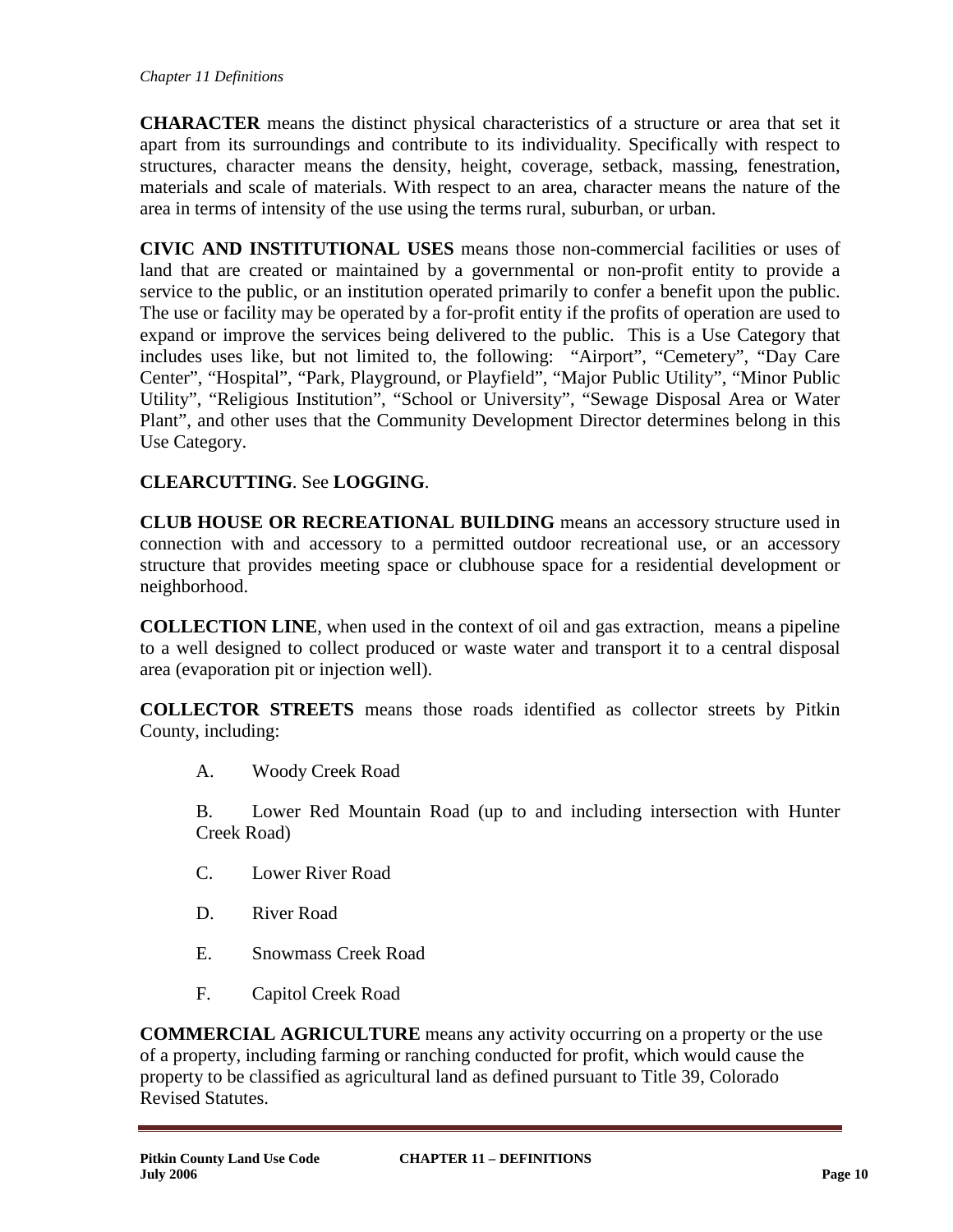**CHARACTER** means the distinct physical characteristics of a structure or area that set it apart from its surroundings and contribute to its individuality. Specifically with respect to structures, character means the density, height, coverage, setback, massing, fenestration, materials and scale of materials. With respect to an area, character means the nature of the area in terms of intensity of the use using the terms rural, suburban, or urban.

**CIVIC AND INSTITUTIONAL USES** means those non-commercial facilities or uses of land that are created or maintained by a governmental or non-profit entity to provide a service to the public, or an institution operated primarily to confer a benefit upon the public. The use or facility may be operated by a for-profit entity if the profits of operation are used to expand or improve the services being delivered to the public. This is a Use Category that includes uses like, but not limited to, the following: "Airport", "Cemetery", "Day Care Center", "Hospital", "Park, Playground, or Playfield", "Major Public Utility", "Minor Public Utility", "Religious Institution", "School or University", "Sewage Disposal Area or Water Plant", and other uses that the Community Development Director determines belong in this Use Category.

# **CLEARCUTTING**. See **LOGGING**.

**CLUB HOUSE OR RECREATIONAL BUILDING** means an accessory structure used in connection with and accessory to a permitted outdoor recreational use, or an accessory structure that provides meeting space or clubhouse space for a residential development or neighborhood.

**COLLECTION LINE**, when used in the context of oil and gas extraction, means a pipeline to a well designed to collect produced or waste water and transport it to a central disposal area (evaporation pit or injection well).

**COLLECTOR STREETS** means those roads identified as collector streets by Pitkin County, including:

A. Woody Creek Road

B. Lower Red Mountain Road (up to and including intersection with Hunter Creek Road)

- C. Lower River Road
- D. River Road
- E. Snowmass Creek Road
- F. Capitol Creek Road

**COMMERCIAL AGRICULTURE** means any activity occurring on a property or the use of a property, including farming or ranching conducted for profit, which would cause the property to be classified as agricultural land as defined pursuant to Title 39, Colorado Revised Statutes.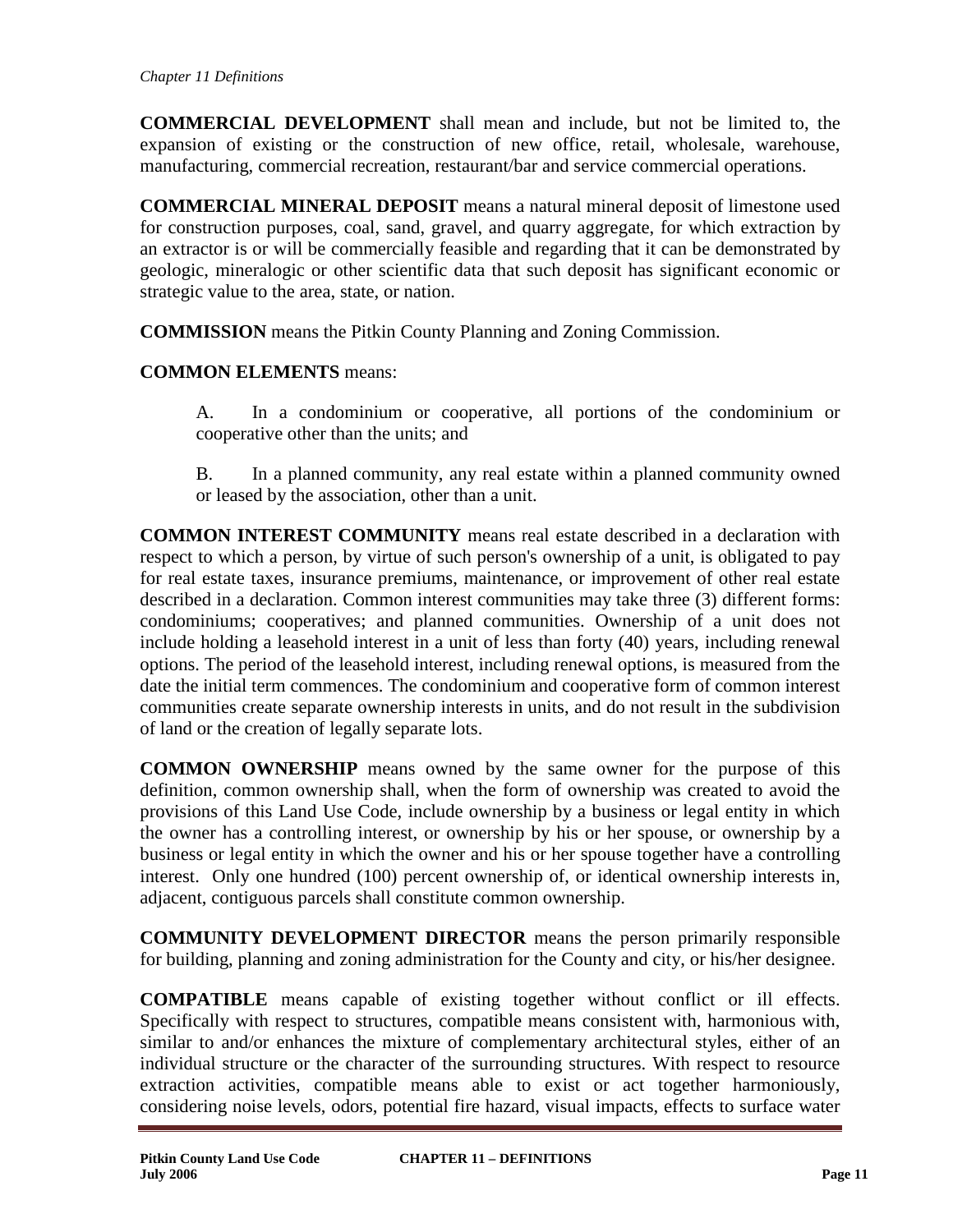**COMMERCIAL DEVELOPMENT** shall mean and include, but not be limited to, the expansion of existing or the construction of new office, retail, wholesale, warehouse, manufacturing, commercial recreation, restaurant/bar and service commercial operations.

**COMMERCIAL MINERAL DEPOSIT** means a natural mineral deposit of limestone used for construction purposes, coal, sand, gravel, and quarry aggregate, for which extraction by an extractor is or will be commercially feasible and regarding that it can be demonstrated by geologic, mineralogic or other scientific data that such deposit has significant economic or strategic value to the area, state, or nation.

**COMMISSION** means the Pitkin County Planning and Zoning Commission.

# **COMMON ELEMENTS** means:

A. In a condominium or cooperative, all portions of the condominium or cooperative other than the units; and

B. In a planned community, any real estate within a planned community owned or leased by the association, other than a unit.

**COMMON INTEREST COMMUNITY** means real estate described in a declaration with respect to which a person, by virtue of such person's ownership of a unit, is obligated to pay for real estate taxes, insurance premiums, maintenance, or improvement of other real estate described in a declaration. Common interest communities may take three (3) different forms: condominiums; cooperatives; and planned communities. Ownership of a unit does not include holding a leasehold interest in a unit of less than forty (40) years, including renewal options. The period of the leasehold interest, including renewal options, is measured from the date the initial term commences. The condominium and cooperative form of common interest communities create separate ownership interests in units, and do not result in the subdivision of land or the creation of legally separate lots.

**COMMON OWNERSHIP** means owned by the same owner for the purpose of this definition, common ownership shall, when the form of ownership was created to avoid the provisions of this Land Use Code, include ownership by a business or legal entity in which the owner has a controlling interest, or ownership by his or her spouse, or ownership by a business or legal entity in which the owner and his or her spouse together have a controlling interest. Only one hundred (100) percent ownership of, or identical ownership interests in, adjacent, contiguous parcels shall constitute common ownership.

**COMMUNITY DEVELOPMENT DIRECTOR** means the person primarily responsible for building, planning and zoning administration for the County and city, or his/her designee.

**COMPATIBLE** means capable of existing together without conflict or ill effects. Specifically with respect to structures, compatible means consistent with, harmonious with, similar to and/or enhances the mixture of complementary architectural styles, either of an individual structure or the character of the surrounding structures. With respect to resource extraction activities, compatible means able to exist or act together harmoniously, considering noise levels, odors, potential fire hazard, visual impacts, effects to surface water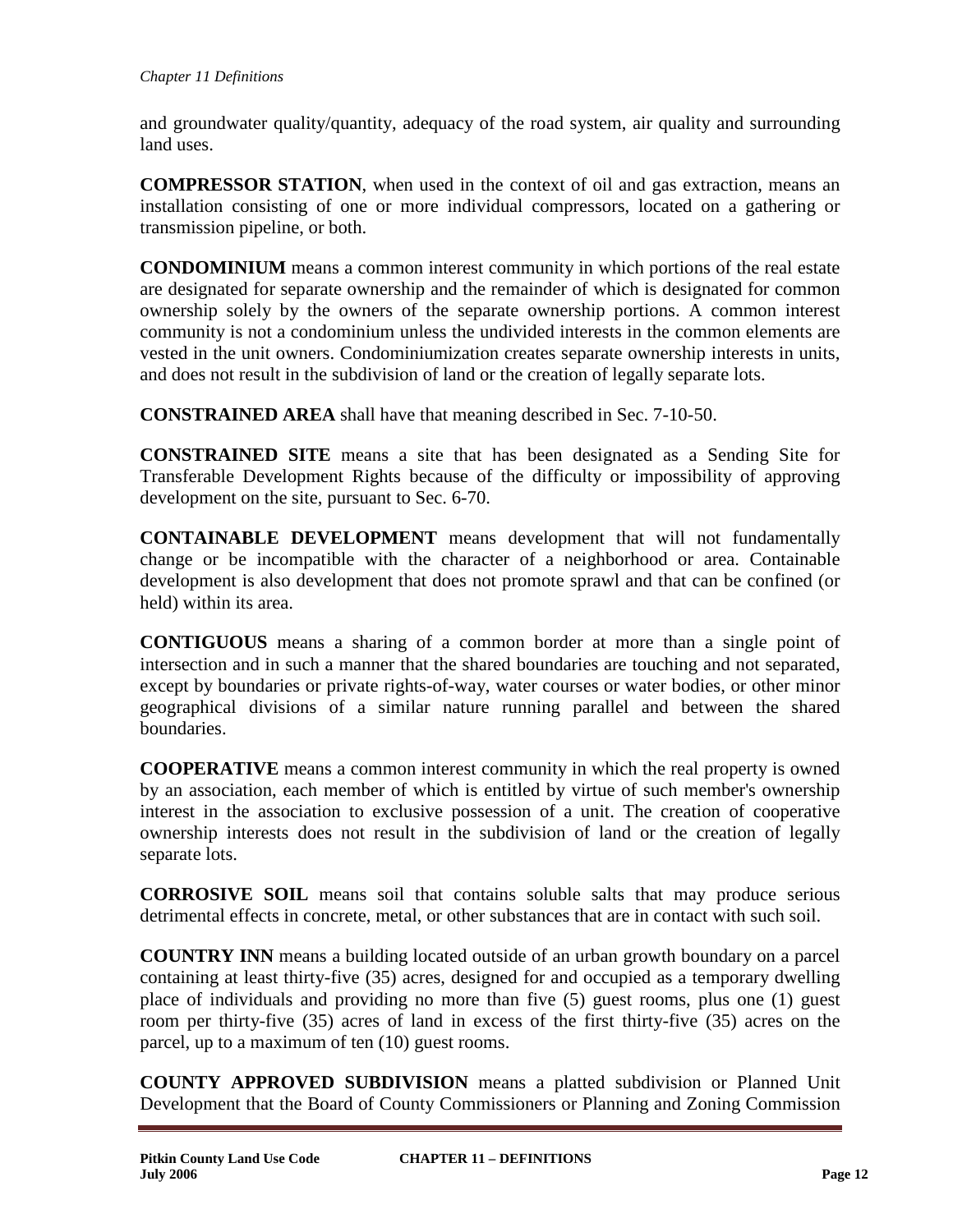and groundwater quality/quantity, adequacy of the road system, air quality and surrounding land uses.

**COMPRESSOR STATION**, when used in the context of oil and gas extraction, means an installation consisting of one or more individual compressors, located on a gathering or transmission pipeline, or both.

**CONDOMINIUM** means a common interest community in which portions of the real estate are designated for separate ownership and the remainder of which is designated for common ownership solely by the owners of the separate ownership portions. A common interest community is not a condominium unless the undivided interests in the common elements are vested in the unit owners. Condominiumization creates separate ownership interests in units, and does not result in the subdivision of land or the creation of legally separate lots.

**CONSTRAINED AREA** shall have that meaning described in Sec. 7-10-50.

**CONSTRAINED SITE** means a site that has been designated as a Sending Site for Transferable Development Rights because of the difficulty or impossibility of approving development on the site, pursuant to Sec. 6-70.

**CONTAINABLE DEVELOPMENT** means development that will not fundamentally change or be incompatible with the character of a neighborhood or area. Containable development is also development that does not promote sprawl and that can be confined (or held) within its area.

**CONTIGUOUS** means a sharing of a common border at more than a single point of intersection and in such a manner that the shared boundaries are touching and not separated, except by boundaries or private rights-of-way, water courses or water bodies, or other minor geographical divisions of a similar nature running parallel and between the shared boundaries.

**COOPERATIVE** means a common interest community in which the real property is owned by an association, each member of which is entitled by virtue of such member's ownership interest in the association to exclusive possession of a unit. The creation of cooperative ownership interests does not result in the subdivision of land or the creation of legally separate lots.

**CORROSIVE SOIL** means soil that contains soluble salts that may produce serious detrimental effects in concrete, metal, or other substances that are in contact with such soil.

**COUNTRY INN** means a building located outside of an urban growth boundary on a parcel containing at least thirty-five (35) acres, designed for and occupied as a temporary dwelling place of individuals and providing no more than five (5) guest rooms, plus one (1) guest room per thirty-five (35) acres of land in excess of the first thirty-five (35) acres on the parcel, up to a maximum of ten (10) guest rooms.

**COUNTY APPROVED SUBDIVISION** means a platted subdivision or Planned Unit Development that the Board of County Commissioners or Planning and Zoning Commission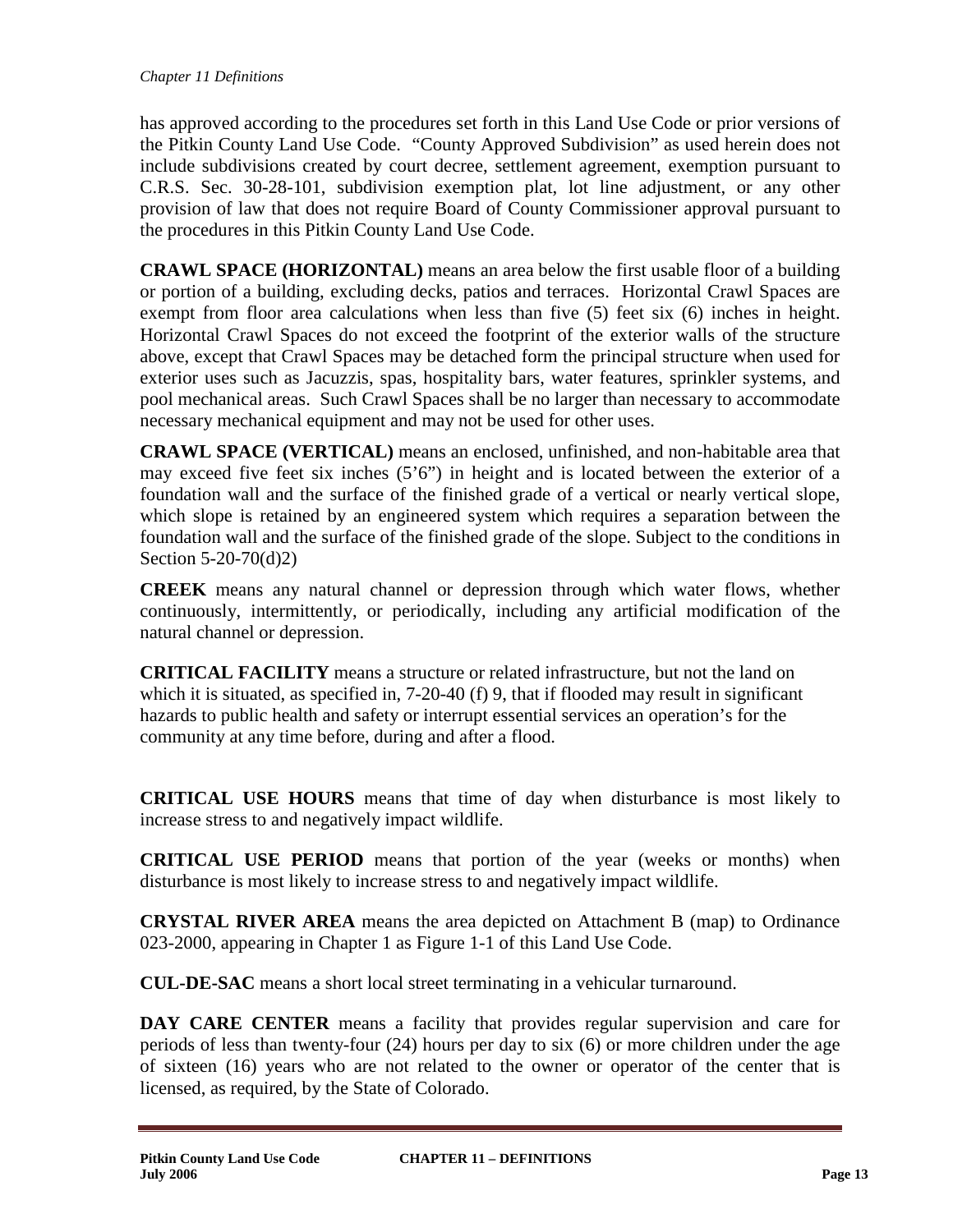has approved according to the procedures set forth in this Land Use Code or prior versions of the Pitkin County Land Use Code. "County Approved Subdivision" as used herein does not include subdivisions created by court decree, settlement agreement, exemption pursuant to C.R.S. Sec. 30-28-101, subdivision exemption plat, lot line adjustment, or any other provision of law that does not require Board of County Commissioner approval pursuant to the procedures in this Pitkin County Land Use Code.

**CRAWL SPACE (HORIZONTAL)** means an area below the first usable floor of a building or portion of a building, excluding decks, patios and terraces. Horizontal Crawl Spaces are exempt from floor area calculations when less than five (5) feet six (6) inches in height. Horizontal Crawl Spaces do not exceed the footprint of the exterior walls of the structure above, except that Crawl Spaces may be detached form the principal structure when used for exterior uses such as Jacuzzis, spas, hospitality bars, water features, sprinkler systems, and pool mechanical areas. Such Crawl Spaces shall be no larger than necessary to accommodate necessary mechanical equipment and may not be used for other uses.

**CRAWL SPACE (VERTICAL)** means an enclosed, unfinished, and non-habitable area that may exceed five feet six inches  $(5'6'')$  in height and is located between the exterior of a foundation wall and the surface of the finished grade of a vertical or nearly vertical slope, which slope is retained by an engineered system which requires a separation between the foundation wall and the surface of the finished grade of the slope. Subject to the conditions in Section 5-20-70(d)2)

**CREEK** means any natural channel or depression through which water flows, whether continuously, intermittently, or periodically, including any artificial modification of the natural channel or depression.

**CRITICAL FACILITY** means a structure or related infrastructure, but not the land on which it is situated, as specified in, 7-20-40 (f) 9, that if flooded may result in significant hazards to public health and safety or interrupt essential services an operation's for the community at any time before, during and after a flood.

**CRITICAL USE HOURS** means that time of day when disturbance is most likely to increase stress to and negatively impact wildlife.

**CRITICAL USE PERIOD** means that portion of the year (weeks or months) when disturbance is most likely to increase stress to and negatively impact wildlife.

**CRYSTAL RIVER AREA** means the area depicted on Attachment B (map) to Ordinance 023-2000, appearing in Chapter 1 as Figure 1-1 of this Land Use Code.

**CUL-DE-SAC** means a short local street terminating in a vehicular turnaround.

**DAY CARE CENTER** means a facility that provides regular supervision and care for periods of less than twenty-four (24) hours per day to six (6) or more children under the age of sixteen (16) years who are not related to the owner or operator of the center that is licensed, as required, by the State of Colorado.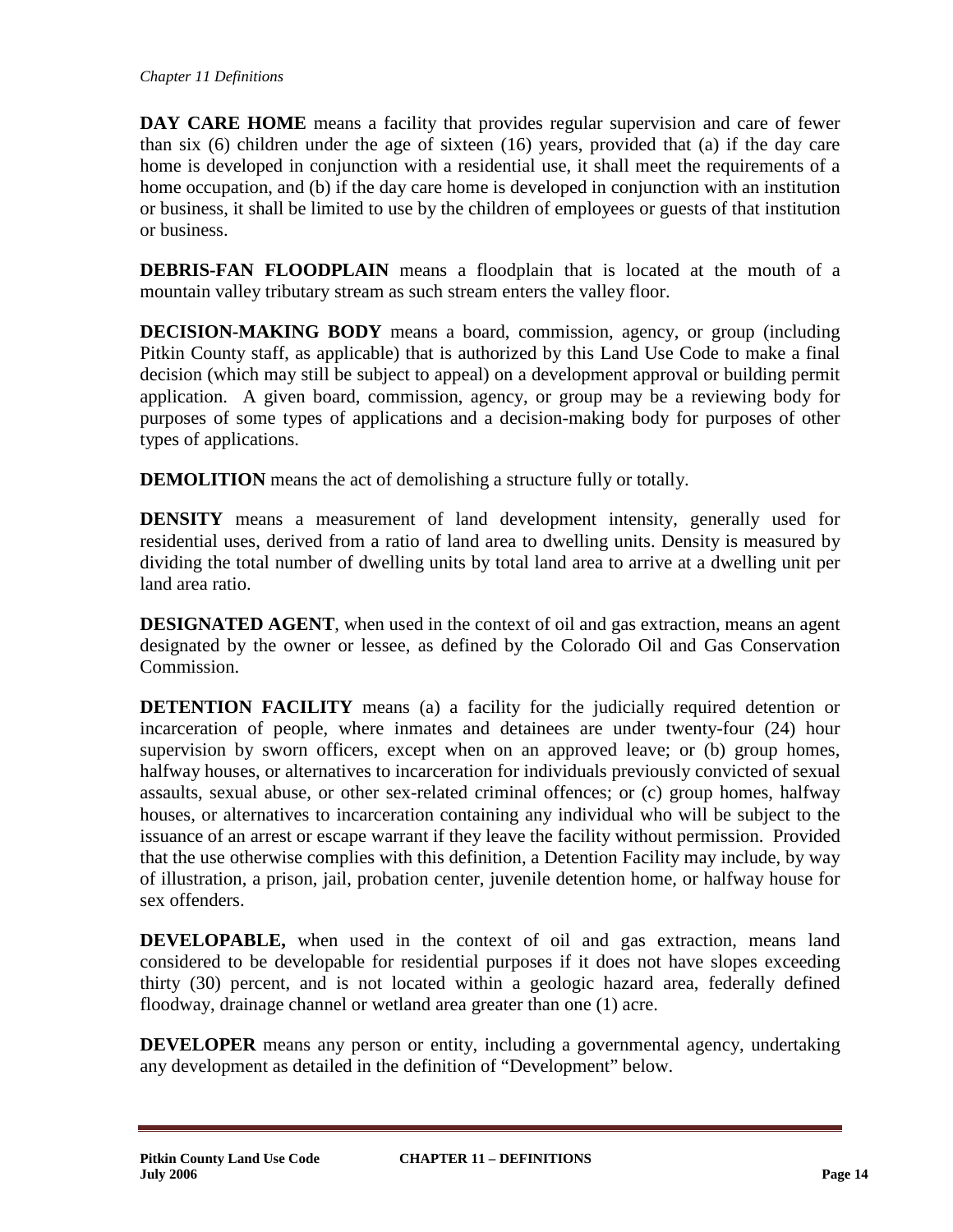**DAY CARE HOME** means a facility that provides regular supervision and care of fewer than six (6) children under the age of sixteen (16) years, provided that (a) if the day care home is developed in conjunction with a residential use, it shall meet the requirements of a home occupation, and (b) if the day care home is developed in conjunction with an institution or business, it shall be limited to use by the children of employees or guests of that institution or business.

**DEBRIS-FAN FLOODPLAIN** means a floodplain that is located at the mouth of a mountain valley tributary stream as such stream enters the valley floor.

**DECISION-MAKING BODY** means a board, commission, agency, or group (including Pitkin County staff, as applicable) that is authorized by this Land Use Code to make a final decision (which may still be subject to appeal) on a development approval or building permit application. A given board, commission, agency, or group may be a reviewing body for purposes of some types of applications and a decision-making body for purposes of other types of applications.

**DEMOLITION** means the act of demolishing a structure fully or totally.

**DENSITY** means a measurement of land development intensity, generally used for residential uses, derived from a ratio of land area to dwelling units. Density is measured by dividing the total number of dwelling units by total land area to arrive at a dwelling unit per land area ratio.

**DESIGNATED AGENT**, when used in the context of oil and gas extraction, means an agent designated by the owner or lessee, as defined by the Colorado Oil and Gas Conservation Commission.

**DETENTION FACILITY** means (a) a facility for the judicially required detention or incarceration of people, where inmates and detainees are under twenty-four (24) hour supervision by sworn officers, except when on an approved leave; or (b) group homes, halfway houses, or alternatives to incarceration for individuals previously convicted of sexual assaults, sexual abuse, or other sex-related criminal offences; or (c) group homes, halfway houses, or alternatives to incarceration containing any individual who will be subject to the issuance of an arrest or escape warrant if they leave the facility without permission. Provided that the use otherwise complies with this definition, a Detention Facility may include, by way of illustration, a prison, jail, probation center, juvenile detention home, or halfway house for sex offenders.

**DEVELOPABLE,** when used in the context of oil and gas extraction, means land considered to be developable for residential purposes if it does not have slopes exceeding thirty (30) percent, and is not located within a geologic hazard area, federally defined floodway, drainage channel or wetland area greater than one (1) acre.

**DEVELOPER** means any person or entity, including a governmental agency, undertaking any development as detailed in the definition of "Development" below.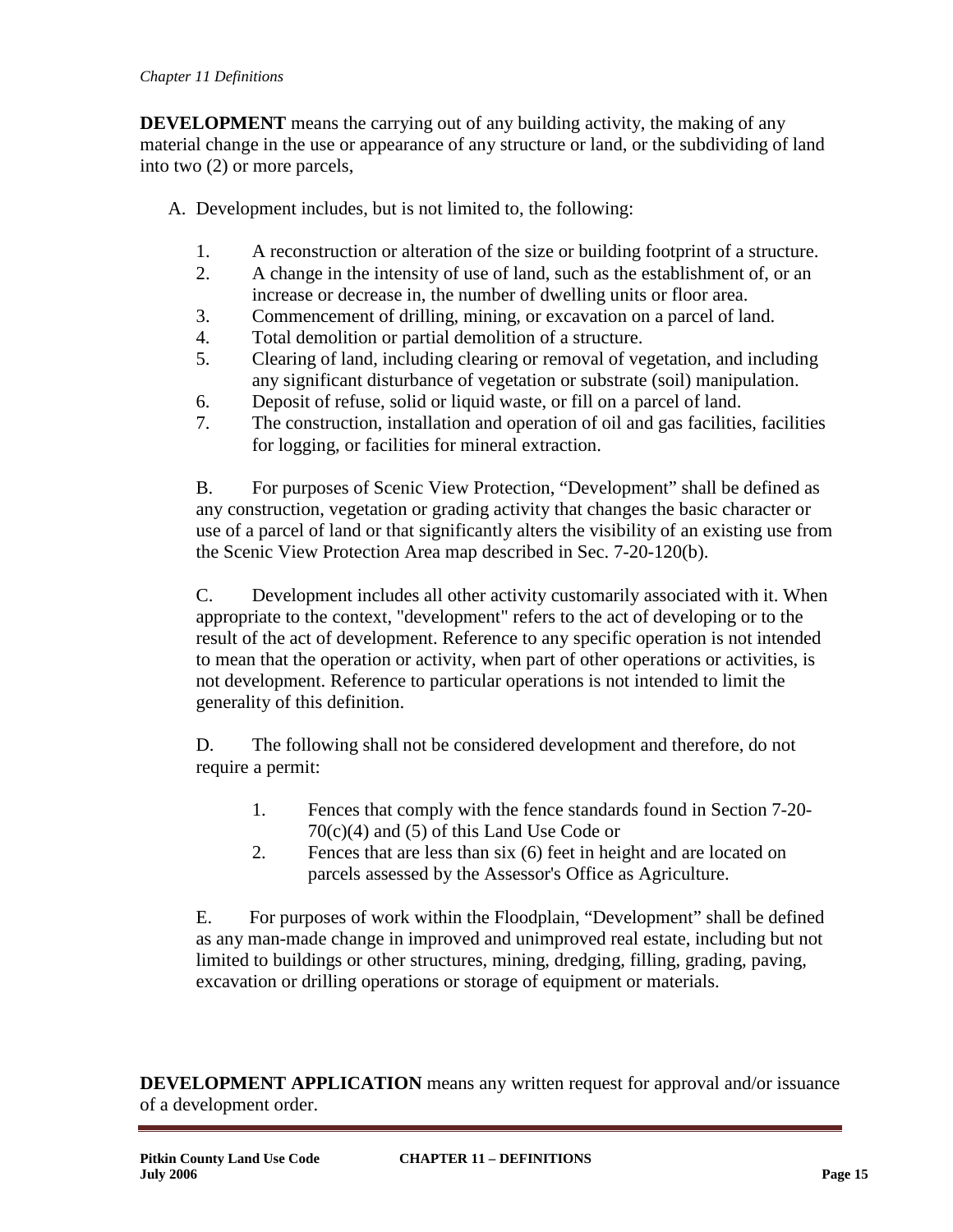**DEVELOPMENT** means the carrying out of any building activity, the making of any material change in the use or appearance of any structure or land, or the subdividing of land into two (2) or more parcels,

A. Development includes, but is not limited to, the following:

- 1. A reconstruction or alteration of the size or building footprint of a structure.
- 2. A change in the intensity of use of land, such as the establishment of, or an increase or decrease in, the number of dwelling units or floor area.
- 3. Commencement of drilling, mining, or excavation on a parcel of land.
- 4. Total demolition or partial demolition of a structure.
- 5. Clearing of land, including clearing or removal of vegetation, and including any significant disturbance of vegetation or substrate (soil) manipulation.
- 6. Deposit of refuse, solid or liquid waste, or fill on a parcel of land.
- 7. The construction, installation and operation of oil and gas facilities, facilities for logging, or facilities for mineral extraction.

B. For purposes of Scenic View Protection, "Development" shall be defined as any construction, vegetation or grading activity that changes the basic character or use of a parcel of land or that significantly alters the visibility of an existing use from the Scenic View Protection Area map described in Sec. 7-20-120(b).

C. Development includes all other activity customarily associated with it. When appropriate to the context, "development" refers to the act of developing or to the result of the act of development. Reference to any specific operation is not intended to mean that the operation or activity, when part of other operations or activities, is not development. Reference to particular operations is not intended to limit the generality of this definition.

D. The following shall not be considered development and therefore, do not require a permit:

- 1. Fences that comply with the fence standards found in Section 7-20- 70(c)(4) and (5) of this Land Use Code or
- 2. Fences that are less than six (6) feet in height and are located on parcels assessed by the Assessor's Office as Agriculture.

E. For purposes of work within the Floodplain, "Development" shall be defined as any man-made change in improved and unimproved real estate, including but not limited to buildings or other structures, mining, dredging, filling, grading, paving, excavation or drilling operations or storage of equipment or materials.

**DEVELOPMENT APPLICATION** means any written request for approval and/or issuance of a development order.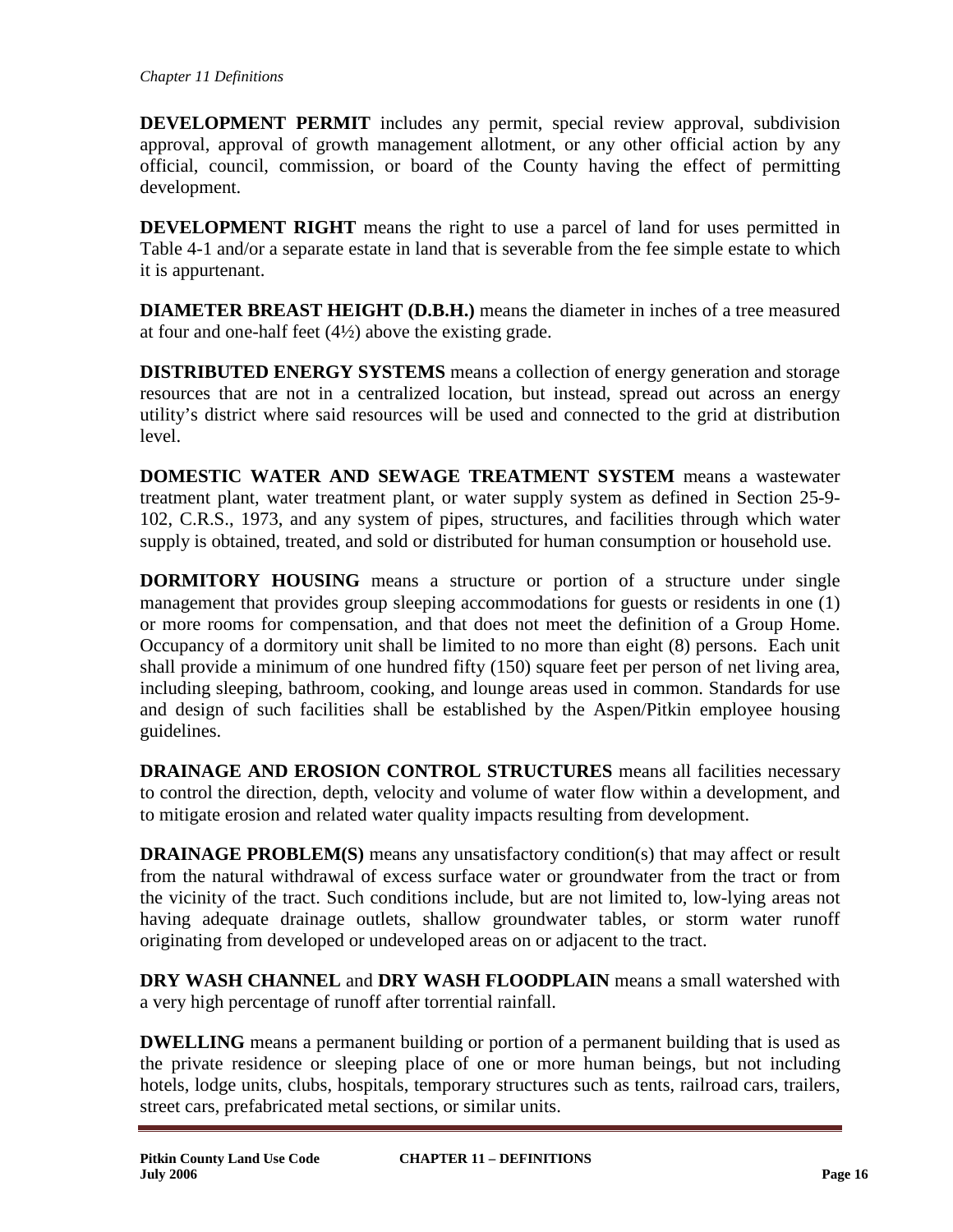**DEVELOPMENT PERMIT** includes any permit, special review approval, subdivision approval, approval of growth management allotment, or any other official action by any official, council, commission, or board of the County having the effect of permitting development.

**DEVELOPMENT RIGHT** means the right to use a parcel of land for uses permitted in Table 4-1 and/or a separate estate in land that is severable from the fee simple estate to which it is appurtenant.

**DIAMETER BREAST HEIGHT (D.B.H.)** means the diameter in inches of a tree measured at four and one-half feet  $(4\frac{1}{2})$  above the existing grade.

**DISTRIBUTED ENERGY SYSTEMS** means a collection of energy generation and storage resources that are not in a centralized location, but instead, spread out across an energy utility's district where said resources will be used and connected to the grid at distribution level.

**DOMESTIC WATER AND SEWAGE TREATMENT SYSTEM** means a wastewater treatment plant, water treatment plant, or water supply system as defined in Section 25-9- 102, C.R.S., 1973, and any system of pipes, structures, and facilities through which water supply is obtained, treated, and sold or distributed for human consumption or household use.

**DORMITORY HOUSING** means a structure or portion of a structure under single management that provides group sleeping accommodations for guests or residents in one (1) or more rooms for compensation, and that does not meet the definition of a Group Home. Occupancy of a dormitory unit shall be limited to no more than eight (8) persons. Each unit shall provide a minimum of one hundred fifty (150) square feet per person of net living area, including sleeping, bathroom, cooking, and lounge areas used in common. Standards for use and design of such facilities shall be established by the Aspen/Pitkin employee housing guidelines.

**DRAINAGE AND EROSION CONTROL STRUCTURES** means all facilities necessary to control the direction, depth, velocity and volume of water flow within a development, and to mitigate erosion and related water quality impacts resulting from development.

**DRAINAGE PROBLEM(S)** means any unsatisfactory condition(s) that may affect or result from the natural withdrawal of excess surface water or groundwater from the tract or from the vicinity of the tract. Such conditions include, but are not limited to, low-lying areas not having adequate drainage outlets, shallow groundwater tables, or storm water runoff originating from developed or undeveloped areas on or adjacent to the tract.

**DRY WASH CHANNEL** and **DRY WASH FLOODPLAIN** means a small watershed with a very high percentage of runoff after torrential rainfall.

**DWELLING** means a permanent building or portion of a permanent building that is used as the private residence or sleeping place of one or more human beings, but not including hotels, lodge units, clubs, hospitals, temporary structures such as tents, railroad cars, trailers, street cars, prefabricated metal sections, or similar units.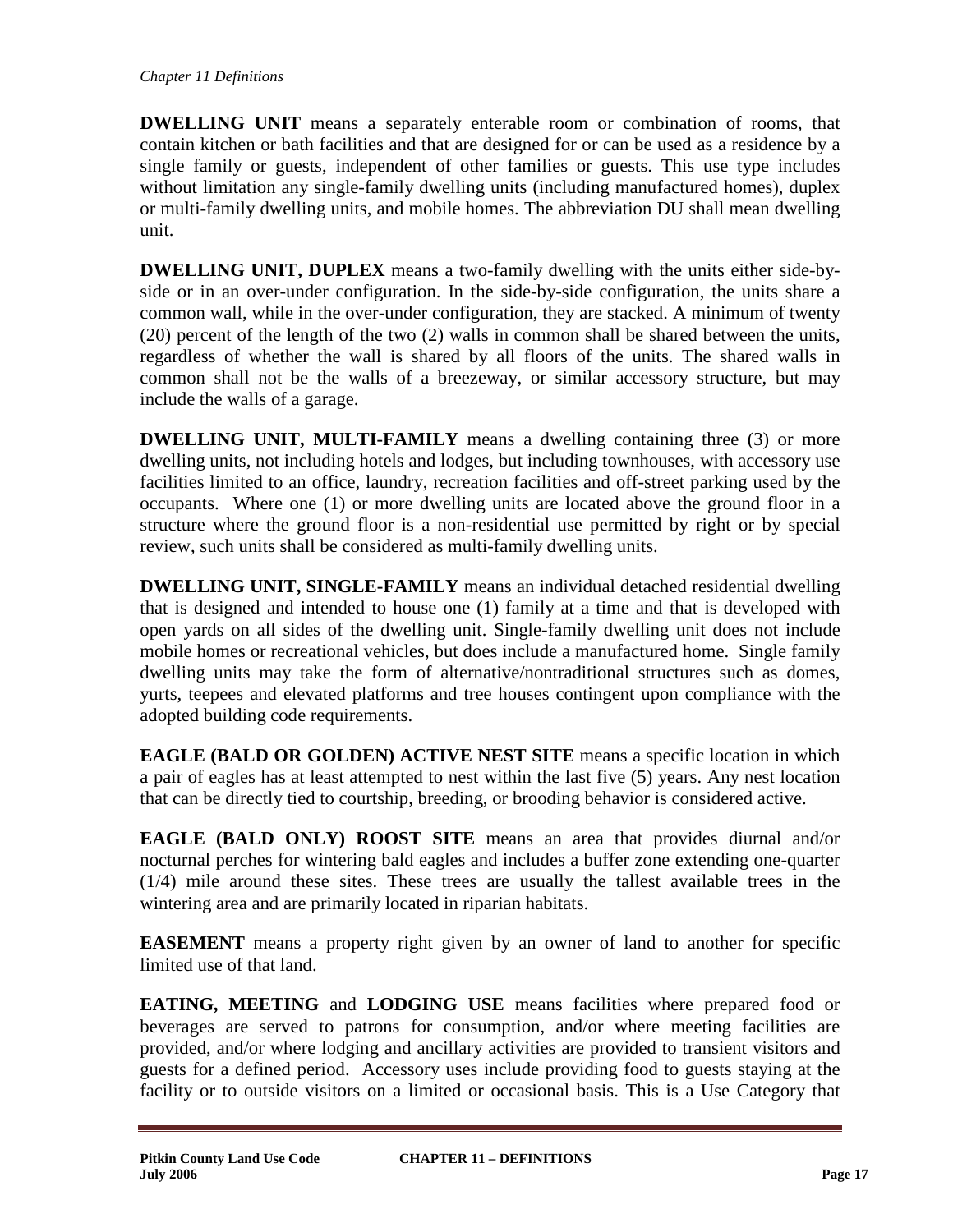**DWELLING UNIT** means a separately enterable room or combination of rooms, that contain kitchen or bath facilities and that are designed for or can be used as a residence by a single family or guests, independent of other families or guests. This use type includes without limitation any single-family dwelling units (including manufactured homes), duplex or multi-family dwelling units, and mobile homes. The abbreviation DU shall mean dwelling unit.

**DWELLING UNIT, DUPLEX** means a two-family dwelling with the units either side-byside or in an over-under configuration. In the side-by-side configuration, the units share a common wall, while in the over-under configuration, they are stacked. A minimum of twenty (20) percent of the length of the two (2) walls in common shall be shared between the units, regardless of whether the wall is shared by all floors of the units. The shared walls in common shall not be the walls of a breezeway, or similar accessory structure, but may include the walls of a garage.

**DWELLING UNIT, MULTI-FAMILY** means a dwelling containing three (3) or more dwelling units, not including hotels and lodges, but including townhouses, with accessory use facilities limited to an office, laundry, recreation facilities and off-street parking used by the occupants. Where one (1) or more dwelling units are located above the ground floor in a structure where the ground floor is a non-residential use permitted by right or by special review, such units shall be considered as multi-family dwelling units.

**DWELLING UNIT, SINGLE-FAMILY** means an individual detached residential dwelling that is designed and intended to house one (1) family at a time and that is developed with open yards on all sides of the dwelling unit. Single-family dwelling unit does not include mobile homes or recreational vehicles, but does include a manufactured home. Single family dwelling units may take the form of alternative/nontraditional structures such as domes, yurts, teepees and elevated platforms and tree houses contingent upon compliance with the adopted building code requirements.

**EAGLE (BALD OR GOLDEN) ACTIVE NEST SITE** means a specific location in which a pair of eagles has at least attempted to nest within the last five (5) years. Any nest location that can be directly tied to courtship, breeding, or brooding behavior is considered active.

**EAGLE (BALD ONLY) ROOST SITE** means an area that provides diurnal and/or nocturnal perches for wintering bald eagles and includes a buffer zone extending one-quarter (1/4) mile around these sites. These trees are usually the tallest available trees in the wintering area and are primarily located in riparian habitats.

**EASEMENT** means a property right given by an owner of land to another for specific limited use of that land.

**EATING, MEETING** and **LODGING USE** means facilities where prepared food or beverages are served to patrons for consumption, and/or where meeting facilities are provided, and/or where lodging and ancillary activities are provided to transient visitors and guests for a defined period. Accessory uses include providing food to guests staying at the facility or to outside visitors on a limited or occasional basis. This is a Use Category that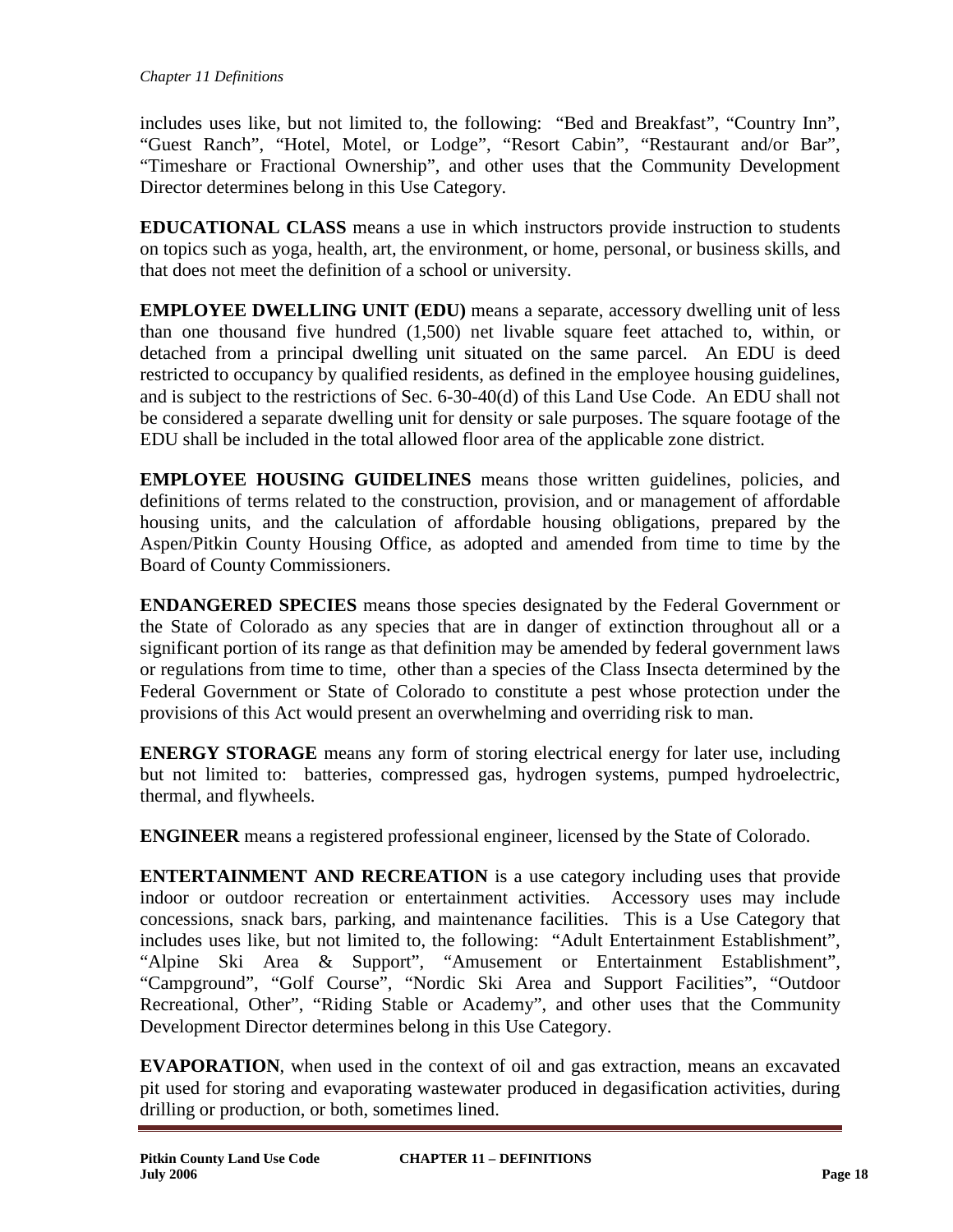includes uses like, but not limited to, the following: "Bed and Breakfast", "Country Inn", "Guest Ranch", "Hotel, Motel, or Lodge", "Resort Cabin", "Restaurant and/or Bar", "Timeshare or Fractional Ownership", and other uses that the Community Development Director determines belong in this Use Category.

**EDUCATIONAL CLASS** means a use in which instructors provide instruction to students on topics such as yoga, health, art, the environment, or home, personal, or business skills, and that does not meet the definition of a school or university.

**EMPLOYEE DWELLING UNIT (EDU)** means a separate, accessory dwelling unit of less than one thousand five hundred (1,500) net livable square feet attached to, within, or detached from a principal dwelling unit situated on the same parcel. An EDU is deed restricted to occupancy by qualified residents, as defined in the employee housing guidelines, and is subject to the restrictions of Sec. 6-30-40(d) of this Land Use Code. An EDU shall not be considered a separate dwelling unit for density or sale purposes. The square footage of the EDU shall be included in the total allowed floor area of the applicable zone district.

**EMPLOYEE HOUSING GUIDELINES** means those written guidelines, policies, and definitions of terms related to the construction, provision, and or management of affordable housing units, and the calculation of affordable housing obligations, prepared by the Aspen/Pitkin County Housing Office, as adopted and amended from time to time by the Board of County Commissioners.

**ENDANGERED SPECIES** means those species designated by the Federal Government or the State of Colorado as any species that are in danger of extinction throughout all or a significant portion of its range as that definition may be amended by federal government laws or regulations from time to time, other than a species of the Class Insecta determined by the Federal Government or State of Colorado to constitute a pest whose protection under the provisions of this Act would present an overwhelming and overriding risk to man.

**ENERGY STORAGE** means any form of storing electrical energy for later use, including but not limited to: batteries, compressed gas, hydrogen systems, pumped hydroelectric, thermal, and flywheels.

**ENGINEER** means a registered professional engineer, licensed by the State of Colorado.

**ENTERTAINMENT AND RECREATION** is a use category including uses that provide indoor or outdoor recreation or entertainment activities. Accessory uses may include concessions, snack bars, parking, and maintenance facilities. This is a Use Category that includes uses like, but not limited to, the following: "Adult Entertainment Establishment", "Alpine Ski Area & Support", "Amusement or Entertainment Establishment", "Campground", "Golf Course", "Nordic Ski Area and Support Facilities", "Outdoor Recreational, Other", "Riding Stable or Academy", and other uses that the Community Development Director determines belong in this Use Category.

**EVAPORATION**, when used in the context of oil and gas extraction, means an excavated pit used for storing and evaporating wastewater produced in degasification activities, during drilling or production, or both, sometimes lined.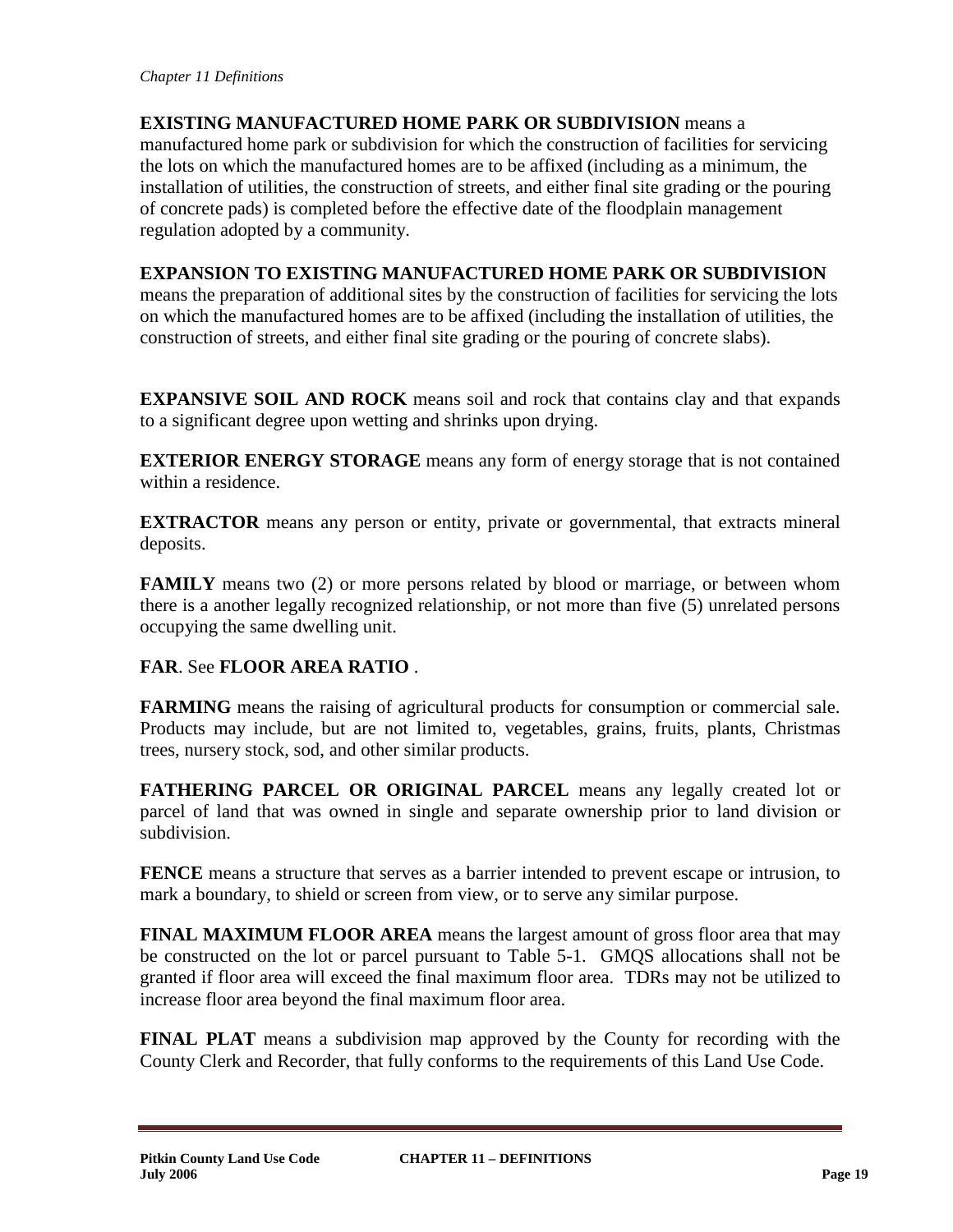**EXISTING MANUFACTURED HOME PARK OR SUBDIVISION** means a manufactured home park or subdivision for which the construction of facilities for servicing the lots on which the manufactured homes are to be affixed (including as a minimum, the installation of utilities, the construction of streets, and either final site grading or the pouring of concrete pads) is completed before the effective date of the floodplain management regulation adopted by a community.

# **EXPANSION TO EXISTING MANUFACTURED HOME PARK OR SUBDIVISION**

means the preparation of additional sites by the construction of facilities for servicing the lots on which the manufactured homes are to be affixed (including the installation of utilities, the construction of streets, and either final site grading or the pouring of concrete slabs).

**EXPANSIVE SOIL AND ROCK** means soil and rock that contains clay and that expands to a significant degree upon wetting and shrinks upon drying.

**EXTERIOR ENERGY STORAGE** means any form of energy storage that is not contained within a residence.

**EXTRACTOR** means any person or entity, private or governmental, that extracts mineral deposits.

**FAMILY** means two (2) or more persons related by blood or marriage, or between whom there is a another legally recognized relationship, or not more than five (5) unrelated persons occupying the same dwelling unit.

**FAR**. See **FLOOR AREA RATIO** .

**FARMING** means the raising of agricultural products for consumption or commercial sale. Products may include, but are not limited to, vegetables, grains, fruits, plants, Christmas trees, nursery stock, sod, and other similar products.

**FATHERING PARCEL OR ORIGINAL PARCEL** means any legally created lot or parcel of land that was owned in single and separate ownership prior to land division or subdivision.

**FENCE** means a structure that serves as a barrier intended to prevent escape or intrusion, to mark a boundary, to shield or screen from view, or to serve any similar purpose.

**FINAL MAXIMUM FLOOR AREA** means the largest amount of gross floor area that may be constructed on the lot or parcel pursuant to Table 5-1. GMQS allocations shall not be granted if floor area will exceed the final maximum floor area. TDRs may not be utilized to increase floor area beyond the final maximum floor area.

**FINAL PLAT** means a subdivision map approved by the County for recording with the County Clerk and Recorder, that fully conforms to the requirements of this Land Use Code.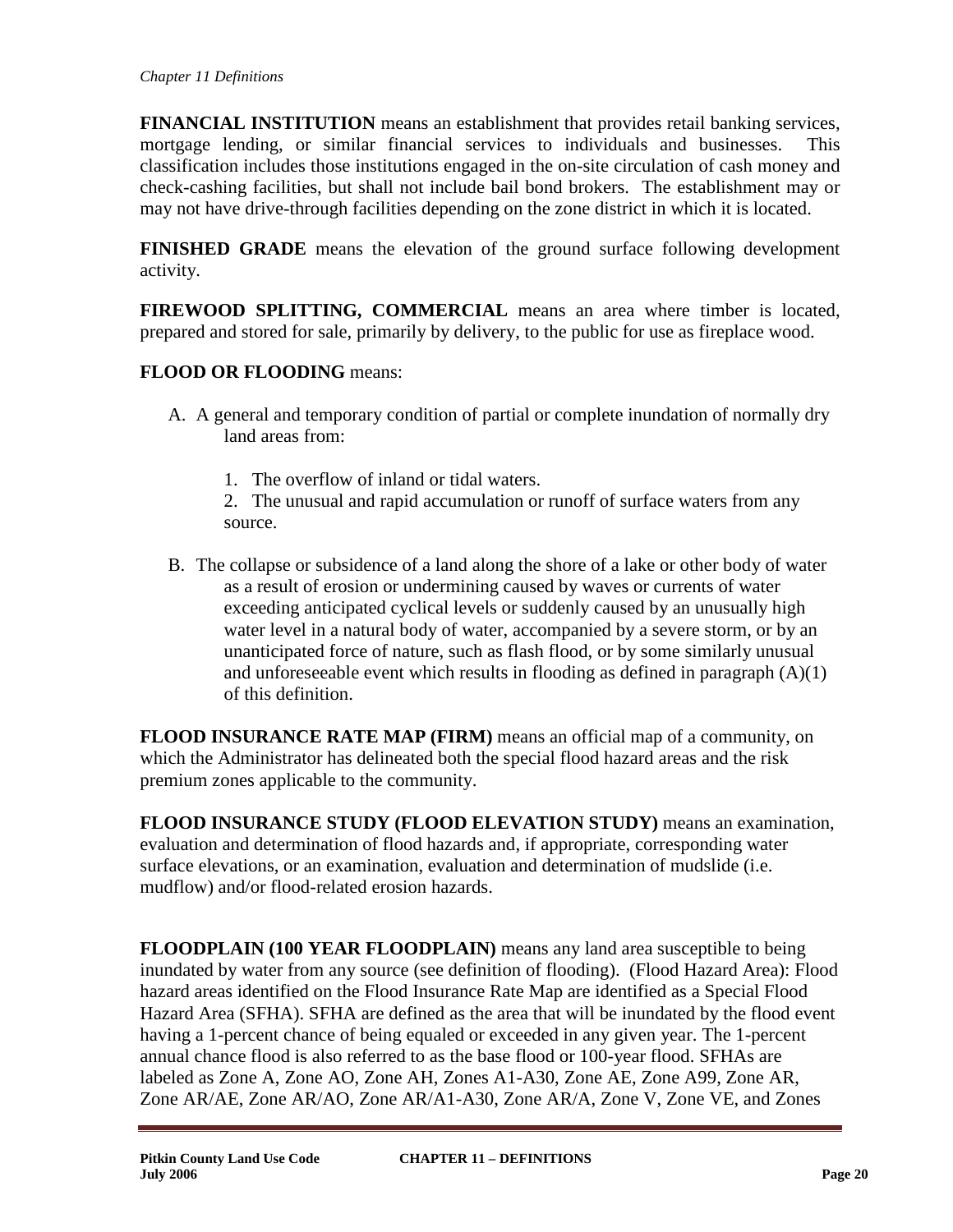**FINANCIAL INSTITUTION** means an establishment that provides retail banking services, mortgage lending, or similar financial services to individuals and businesses. This classification includes those institutions engaged in the on-site circulation of cash money and check-cashing facilities, but shall not include bail bond brokers. The establishment may or may not have drive-through facilities depending on the zone district in which it is located.

**FINISHED GRADE** means the elevation of the ground surface following development activity.

**FIREWOOD SPLITTING, COMMERCIAL** means an area where timber is located, prepared and stored for sale, primarily by delivery, to the public for use as fireplace wood.

# **FLOOD OR FLOODING** means:

- A. A general and temporary condition of partial or complete inundation of normally dry land areas from:
	- 1. The overflow of inland or tidal waters.
	- 2. The unusual and rapid accumulation or runoff of surface waters from any source.
- B. The collapse or subsidence of a land along the shore of a lake or other body of water as a result of erosion or undermining caused by waves or currents of water exceeding anticipated cyclical levels or suddenly caused by an unusually high water level in a natural body of water, accompanied by a severe storm, or by an unanticipated force of nature, such as flash flood, or by some similarly unusual and unforeseeable event which results in flooding as defined in paragraph (A)(1) of this definition.

**FLOOD INSURANCE RATE MAP (FIRM)** means an official map of a community, on which the Administrator has delineated both the special flood hazard areas and the risk premium zones applicable to the community.

**FLOOD INSURANCE STUDY (FLOOD ELEVATION STUDY)** means an examination, evaluation and determination of flood hazards and, if appropriate, corresponding water surface elevations, or an examination, evaluation and determination of mudslide (i.e. mudflow) and/or flood-related erosion hazards.

**FLOODPLAIN (100 YEAR FLOODPLAIN)** means any land area susceptible to being inundated by water from any source (see definition of flooding). (Flood Hazard Area): Flood hazard areas identified on the Flood Insurance Rate Map are identified as a Special Flood Hazard Area (SFHA). SFHA are defined as the area that will be inundated by the flood event having a 1-percent chance of being equaled or exceeded in any given year. The 1-percent annual chance flood is also referred to as the base flood or 100-year flood. SFHAs are labeled as Zone A, Zone AO, Zone AH, Zones A1-A30, Zone AE, Zone A99, Zone AR, Zone AR/AE, Zone AR/AO, Zone AR/A1-A30, Zone AR/A, Zone V, Zone VE, and Zones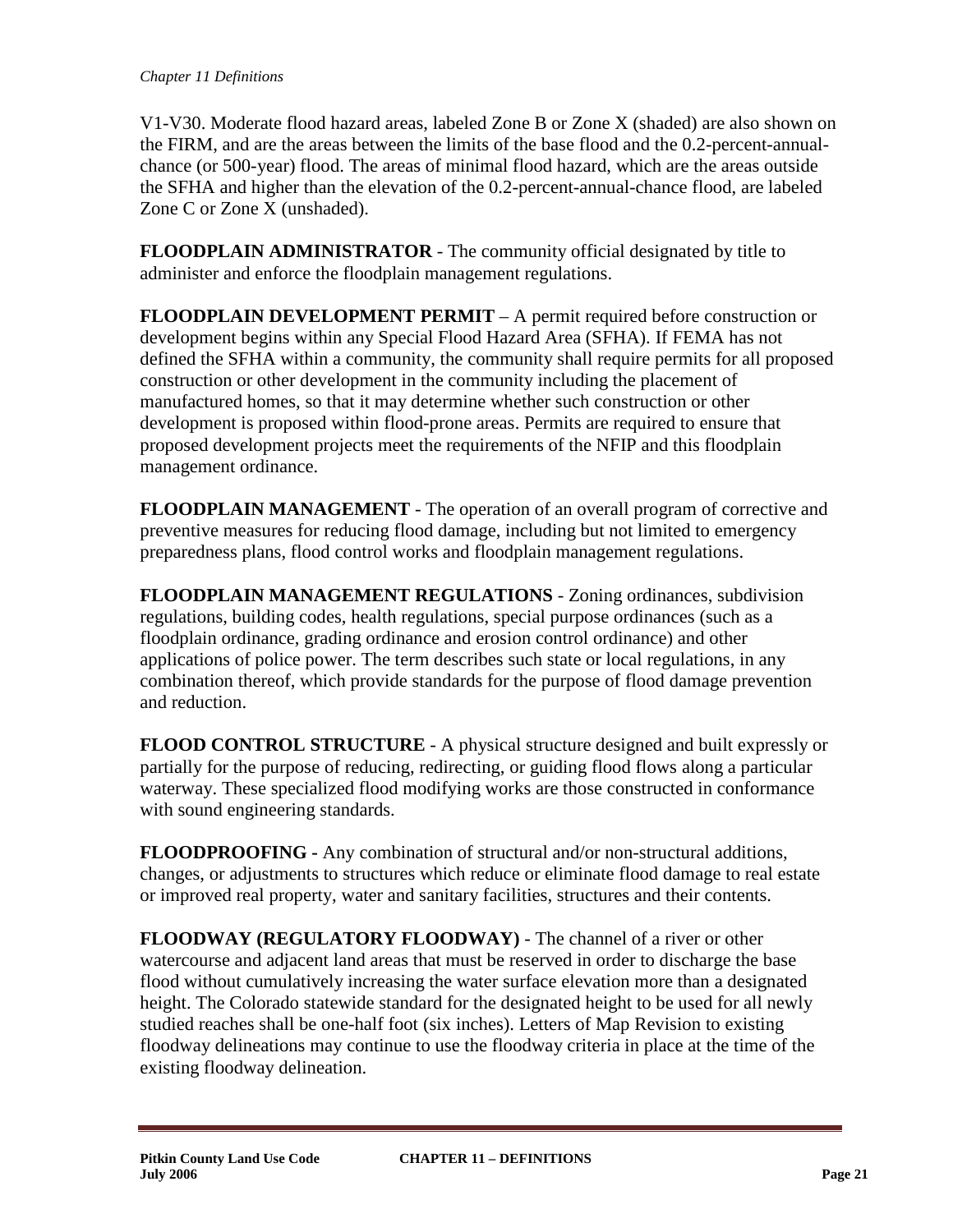V1-V30. Moderate flood hazard areas, labeled Zone B or Zone X (shaded) are also shown on the FIRM, and are the areas between the limits of the base flood and the 0.2-percent-annualchance (or 500-year) flood. The areas of minimal flood hazard, which are the areas outside the SFHA and higher than the elevation of the 0.2-percent-annual-chance flood, are labeled Zone C or Zone X (unshaded).

**FLOODPLAIN ADMINISTRATOR** - The community official designated by title to administer and enforce the floodplain management regulations.

**FLOODPLAIN DEVELOPMENT PERMIT** – A permit required before construction or development begins within any Special Flood Hazard Area (SFHA). If FEMA has not defined the SFHA within a community, the community shall require permits for all proposed construction or other development in the community including the placement of manufactured homes, so that it may determine whether such construction or other development is proposed within flood-prone areas. Permits are required to ensure that proposed development projects meet the requirements of the NFIP and this floodplain management ordinance.

**FLOODPLAIN MANAGEMENT** - The operation of an overall program of corrective and preventive measures for reducing flood damage, including but not limited to emergency preparedness plans, flood control works and floodplain management regulations.

**FLOODPLAIN MANAGEMENT REGULATIONS** - Zoning ordinances, subdivision regulations, building codes, health regulations, special purpose ordinances (such as a floodplain ordinance, grading ordinance and erosion control ordinance) and other applications of police power. The term describes such state or local regulations, in any combination thereof, which provide standards for the purpose of flood damage prevention and reduction.

**FLOOD CONTROL STRUCTURE** - A physical structure designed and built expressly or partially for the purpose of reducing, redirecting, or guiding flood flows along a particular waterway. These specialized flood modifying works are those constructed in conformance with sound engineering standards.

**FLOODPROOFING -** Any combination of structural and/or non-structural additions, changes, or adjustments to structures which reduce or eliminate flood damage to real estate or improved real property, water and sanitary facilities, structures and their contents.

**FLOODWAY (REGULATORY FLOODWAY)** - The channel of a river or other watercourse and adjacent land areas that must be reserved in order to discharge the base flood without cumulatively increasing the water surface elevation more than a designated height. The Colorado statewide standard for the designated height to be used for all newly studied reaches shall be one-half foot (six inches). Letters of Map Revision to existing floodway delineations may continue to use the floodway criteria in place at the time of the existing floodway delineation.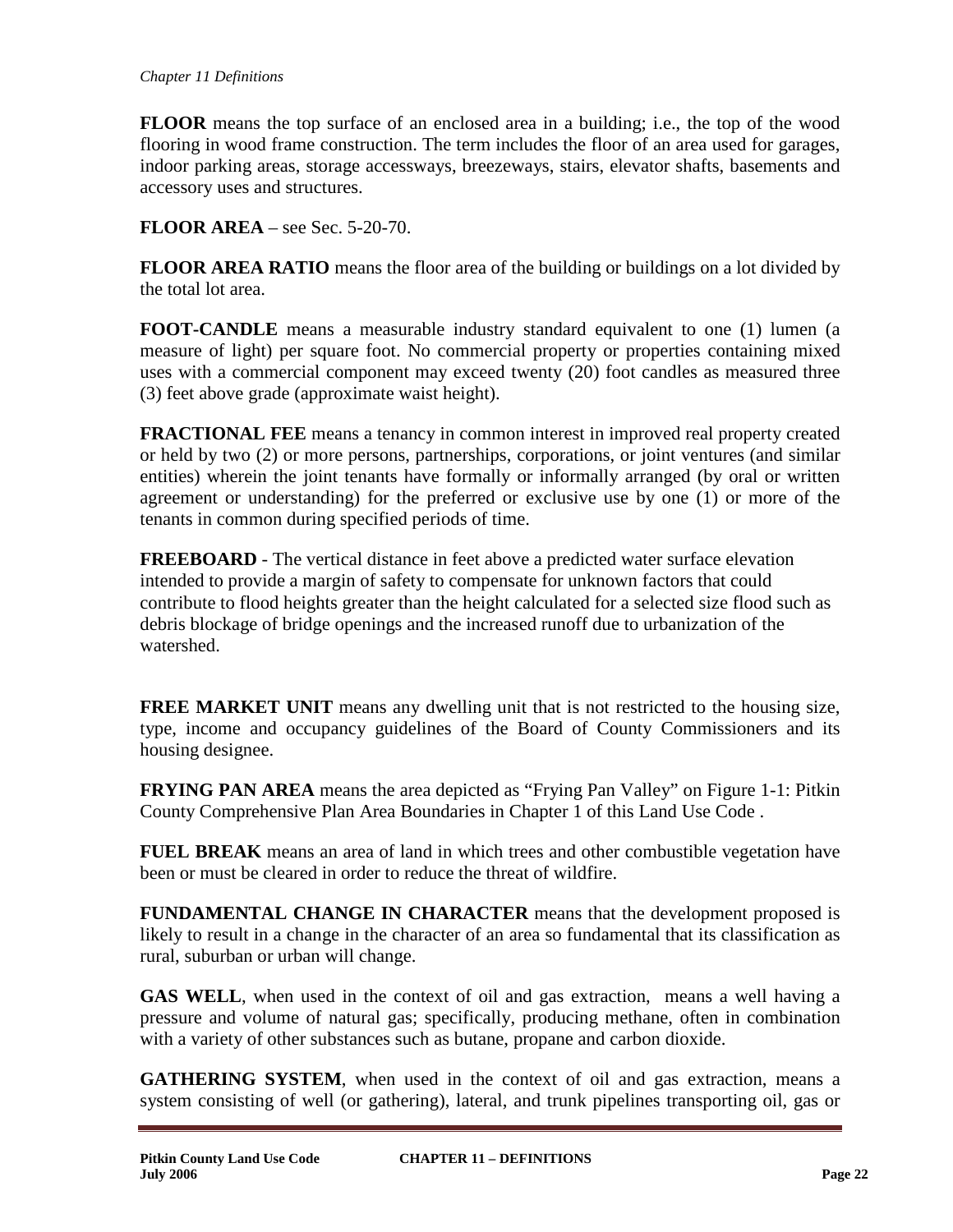**FLOOR** means the top surface of an enclosed area in a building; i.e., the top of the wood flooring in wood frame construction. The term includes the floor of an area used for garages, indoor parking areas, storage accessways, breezeways, stairs, elevator shafts, basements and accessory uses and structures.

**FLOOR AREA** – see Sec. 5-20-70.

**FLOOR AREA RATIO** means the floor area of the building or buildings on a lot divided by the total lot area.

**FOOT-CANDLE** means a measurable industry standard equivalent to one (1) lumen (a measure of light) per square foot. No commercial property or properties containing mixed uses with a commercial component may exceed twenty (20) foot candles as measured three (3) feet above grade (approximate waist height).

**FRACTIONAL FEE** means a tenancy in common interest in improved real property created or held by two (2) or more persons, partnerships, corporations, or joint ventures (and similar entities) wherein the joint tenants have formally or informally arranged (by oral or written agreement or understanding) for the preferred or exclusive use by one (1) or more of the tenants in common during specified periods of time.

**FREEBOARD** - The vertical distance in feet above a predicted water surface elevation intended to provide a margin of safety to compensate for unknown factors that could contribute to flood heights greater than the height calculated for a selected size flood such as debris blockage of bridge openings and the increased runoff due to urbanization of the watershed.

**FREE MARKET UNIT** means any dwelling unit that is not restricted to the housing size, type, income and occupancy guidelines of the Board of County Commissioners and its housing designee.

**FRYING PAN AREA** means the area depicted as "Frying Pan Valley" on Figure 1-1: Pitkin County Comprehensive Plan Area Boundaries in Chapter 1 of this Land Use Code .

**FUEL BREAK** means an area of land in which trees and other combustible vegetation have been or must be cleared in order to reduce the threat of wildfire.

**FUNDAMENTAL CHANGE IN CHARACTER** means that the development proposed is likely to result in a change in the character of an area so fundamental that its classification as rural, suburban or urban will change.

**GAS WELL**, when used in the context of oil and gas extraction, means a well having a pressure and volume of natural gas; specifically, producing methane, often in combination with a variety of other substances such as butane, propane and carbon dioxide.

**GATHERING SYSTEM**, when used in the context of oil and gas extraction, means a system consisting of well (or gathering), lateral, and trunk pipelines transporting oil, gas or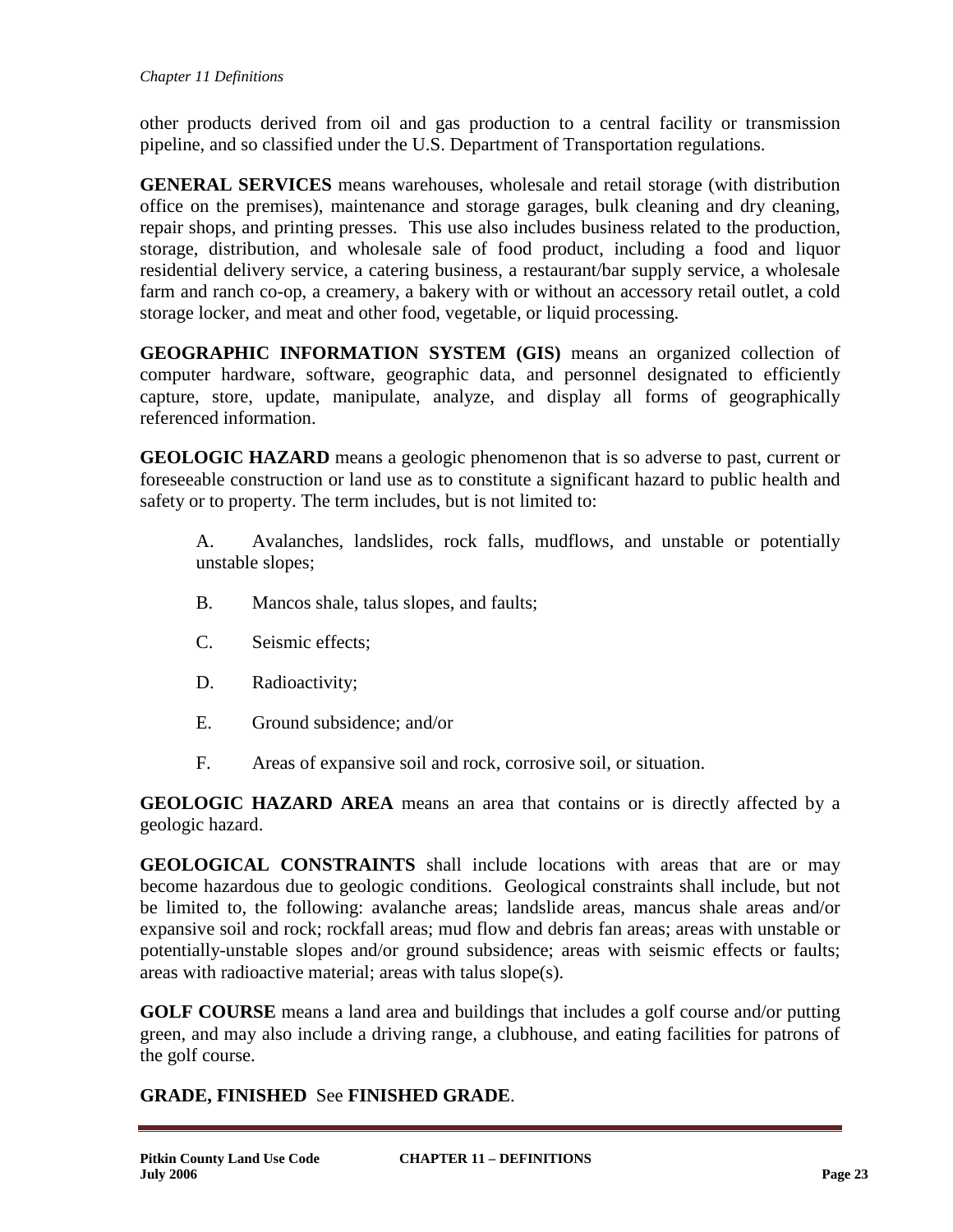other products derived from oil and gas production to a central facility or transmission pipeline, and so classified under the U.S. Department of Transportation regulations.

**GENERAL SERVICES** means warehouses, wholesale and retail storage (with distribution office on the premises), maintenance and storage garages, bulk cleaning and dry cleaning, repair shops, and printing presses. This use also includes business related to the production, storage, distribution, and wholesale sale of food product, including a food and liquor residential delivery service, a catering business, a restaurant/bar supply service, a wholesale farm and ranch co-op, a creamery, a bakery with or without an accessory retail outlet, a cold storage locker, and meat and other food, vegetable, or liquid processing.

**GEOGRAPHIC INFORMATION SYSTEM (GIS)** means an organized collection of computer hardware, software, geographic data, and personnel designated to efficiently capture, store, update, manipulate, analyze, and display all forms of geographically referenced information.

**GEOLOGIC HAZARD** means a geologic phenomenon that is so adverse to past, current or foreseeable construction or land use as to constitute a significant hazard to public health and safety or to property. The term includes, but is not limited to:

A. Avalanches, landslides, rock falls, mudflows, and unstable or potentially unstable slopes;

- B. Mancos shale, talus slopes, and faults;
- C. Seismic effects;
- D. Radioactivity;
- E. Ground subsidence; and/or
- F. Areas of expansive soil and rock, corrosive soil, or situation.

**GEOLOGIC HAZARD AREA** means an area that contains or is directly affected by a geologic hazard.

**GEOLOGICAL CONSTRAINTS** shall include locations with areas that are or may become hazardous due to geologic conditions. Geological constraints shall include, but not be limited to, the following: avalanche areas; landslide areas, mancus shale areas and/or expansive soil and rock; rockfall areas; mud flow and debris fan areas; areas with unstable or potentially-unstable slopes and/or ground subsidence; areas with seismic effects or faults; areas with radioactive material; areas with talus slope(s).

**GOLF COURSE** means a land area and buildings that includes a golf course and/or putting green, and may also include a driving range, a clubhouse, and eating facilities for patrons of the golf course.

# **GRADE, FINISHED** See **FINISHED GRADE**.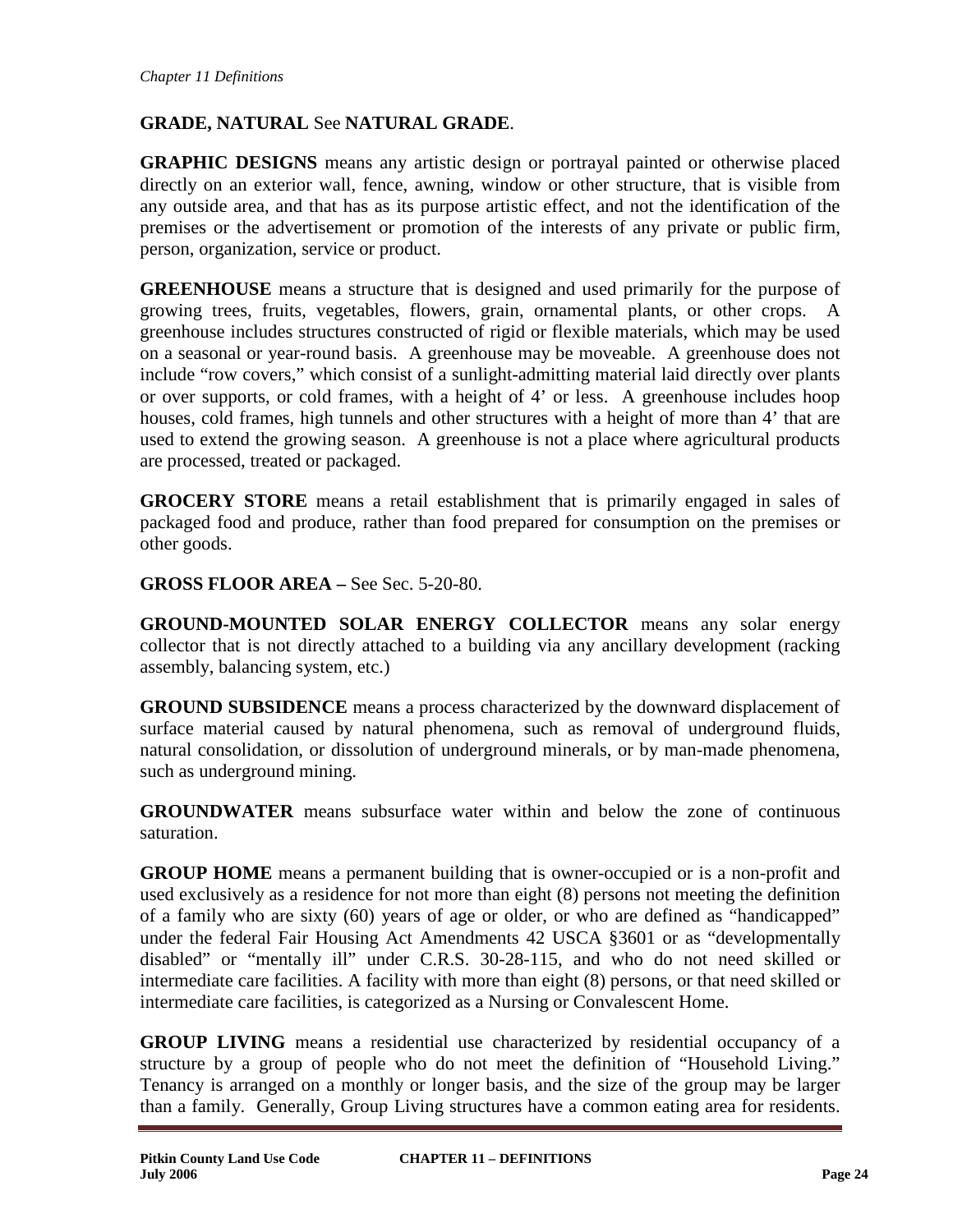# **GRADE, NATURAL** See **NATURAL GRADE**.

**GRAPHIC DESIGNS** means any artistic design or portrayal painted or otherwise placed directly on an exterior wall, fence, awning, window or other structure, that is visible from any outside area, and that has as its purpose artistic effect, and not the identification of the premises or the advertisement or promotion of the interests of any private or public firm, person, organization, service or product.

**GREENHOUSE** means a structure that is designed and used primarily for the purpose of growing trees, fruits, vegetables, flowers, grain, ornamental plants, or other crops. A greenhouse includes structures constructed of rigid or flexible materials, which may be used on a seasonal or year-round basis. A greenhouse may be moveable. A greenhouse does not include "row covers," which consist of a sunlight-admitting material laid directly over plants or over supports, or cold frames, with a height of 4' or less. A greenhouse includes hoop houses, cold frames, high tunnels and other structures with a height of more than 4' that are used to extend the growing season. A greenhouse is not a place where agricultural products are processed, treated or packaged.

**GROCERY STORE** means a retail establishment that is primarily engaged in sales of packaged food and produce, rather than food prepared for consumption on the premises or other goods.

**GROSS FLOOR AREA –** See Sec. 5-20-80.

**GROUND-MOUNTED SOLAR ENERGY COLLECTOR** means any solar energy collector that is not directly attached to a building via any ancillary development (racking assembly, balancing system, etc.)

**GROUND SUBSIDENCE** means a process characterized by the downward displacement of surface material caused by natural phenomena, such as removal of underground fluids, natural consolidation, or dissolution of underground minerals, or by man-made phenomena, such as underground mining.

**GROUNDWATER** means subsurface water within and below the zone of continuous saturation.

**GROUP HOME** means a permanent building that is owner-occupied or is a non-profit and used exclusively as a residence for not more than eight (8) persons not meeting the definition of a family who are sixty (60) years of age or older, or who are defined as "handicapped" under the federal Fair Housing Act Amendments 42 USCA §3601 or as "developmentally disabled" or "mentally ill" under C.R.S. 30-28-115, and who do not need skilled or intermediate care facilities. A facility with more than eight (8) persons, or that need skilled or intermediate care facilities, is categorized as a Nursing or Convalescent Home.

**GROUP LIVING** means a residential use characterized by residential occupancy of a structure by a group of people who do not meet the definition of "Household Living." Tenancy is arranged on a monthly or longer basis, and the size of the group may be larger than a family. Generally, Group Living structures have a common eating area for residents.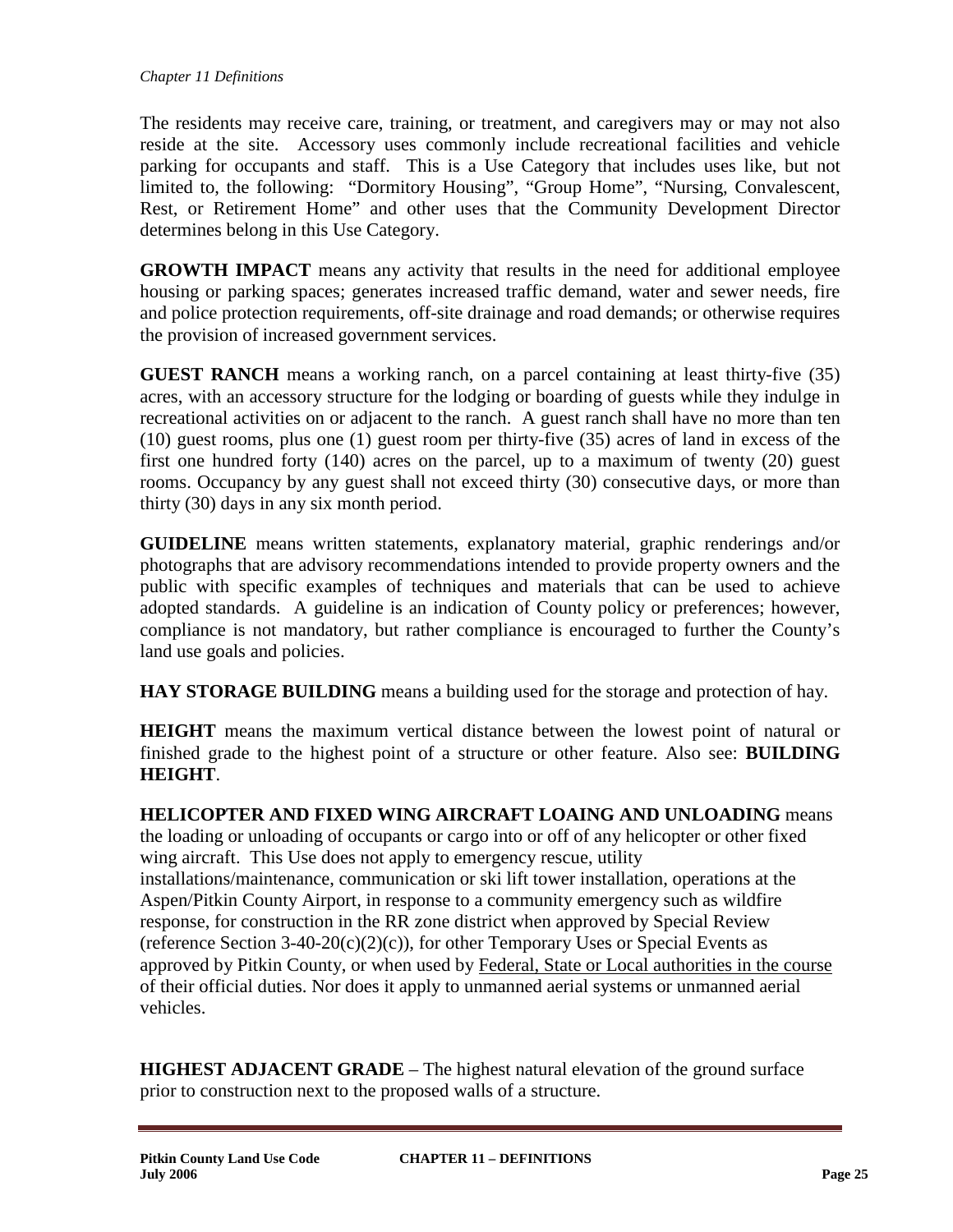The residents may receive care, training, or treatment, and caregivers may or may not also reside at the site. Accessory uses commonly include recreational facilities and vehicle parking for occupants and staff. This is a Use Category that includes uses like, but not limited to, the following: "Dormitory Housing", "Group Home", "Nursing, Convalescent, Rest, or Retirement Home" and other uses that the Community Development Director determines belong in this Use Category.

**GROWTH IMPACT** means any activity that results in the need for additional employee housing or parking spaces; generates increased traffic demand, water and sewer needs, fire and police protection requirements, off-site drainage and road demands; or otherwise requires the provision of increased government services.

**GUEST RANCH** means a working ranch, on a parcel containing at least thirty-five (35) acres, with an accessory structure for the lodging or boarding of guests while they indulge in recreational activities on or adjacent to the ranch. A guest ranch shall have no more than ten (10) guest rooms, plus one (1) guest room per thirty-five (35) acres of land in excess of the first one hundred forty (140) acres on the parcel, up to a maximum of twenty (20) guest rooms. Occupancy by any guest shall not exceed thirty (30) consecutive days, or more than thirty (30) days in any six month period.

**GUIDELINE** means written statements, explanatory material, graphic renderings and/or photographs that are advisory recommendations intended to provide property owners and the public with specific examples of techniques and materials that can be used to achieve adopted standards. A guideline is an indication of County policy or preferences; however, compliance is not mandatory, but rather compliance is encouraged to further the County's land use goals and policies.

**HAY STORAGE BUILDING** means a building used for the storage and protection of hay.

**HEIGHT** means the maximum vertical distance between the lowest point of natural or finished grade to the highest point of a structure or other feature. Also see: **BUILDING HEIGHT**.

**HELICOPTER AND FIXED WING AIRCRAFT LOAING AND UNLOADING** means the loading or unloading of occupants or cargo into or off of any helicopter or other fixed wing aircraft. This Use does not apply to emergency rescue, utility installations/maintenance, communication or ski lift tower installation, operations at the Aspen/Pitkin County Airport, in response to a community emergency such as wildfire response, for construction in the RR zone district when approved by Special Review (reference Section 3-40-20(c)(2)(c)), for other Temporary Uses or Special Events as approved by Pitkin County, or when used by Federal, State or Local authorities in the course of their official duties. Nor does it apply to unmanned aerial systems or unmanned aerial vehicles.

**HIGHEST ADJACENT GRADE** – The highest natural elevation of the ground surface prior to construction next to the proposed walls of a structure.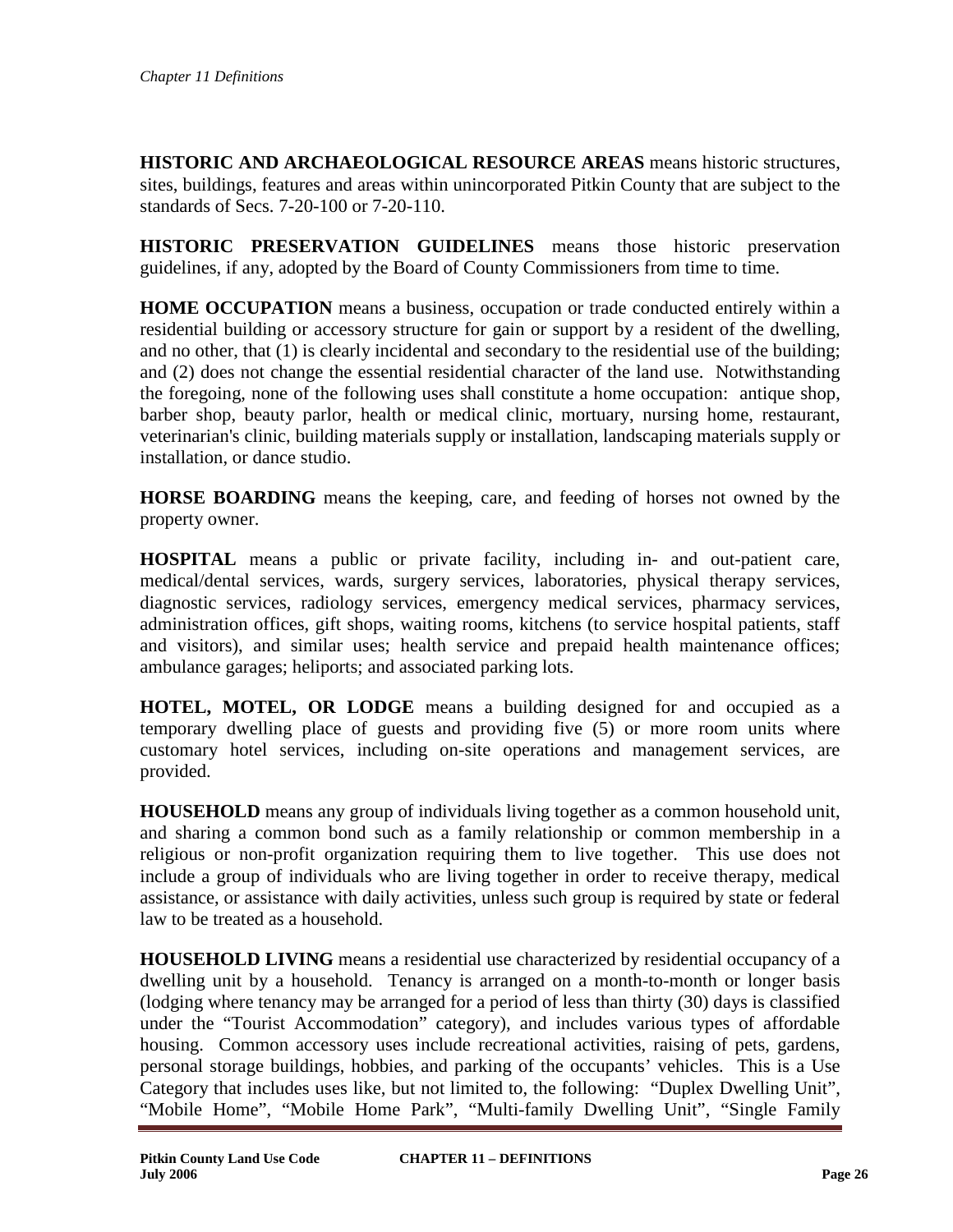**HISTORIC AND ARCHAEOLOGICAL RESOURCE AREAS** means historic structures, sites, buildings, features and areas within unincorporated Pitkin County that are subject to the standards of Secs. 7-20-100 or 7-20-110.

**HISTORIC PRESERVATION GUIDELINES** means those historic preservation guidelines, if any, adopted by the Board of County Commissioners from time to time.

**HOME OCCUPATION** means a business, occupation or trade conducted entirely within a residential building or accessory structure for gain or support by a resident of the dwelling, and no other, that (1) is clearly incidental and secondary to the residential use of the building; and (2) does not change the essential residential character of the land use. Notwithstanding the foregoing, none of the following uses shall constitute a home occupation: antique shop, barber shop, beauty parlor, health or medical clinic, mortuary, nursing home, restaurant, veterinarian's clinic, building materials supply or installation, landscaping materials supply or installation, or dance studio.

**HORSE BOARDING** means the keeping, care, and feeding of horses not owned by the property owner.

**HOSPITAL** means a public or private facility, including in- and out-patient care, medical/dental services, wards, surgery services, laboratories, physical therapy services, diagnostic services, radiology services, emergency medical services, pharmacy services, administration offices, gift shops, waiting rooms, kitchens (to service hospital patients, staff and visitors), and similar uses; health service and prepaid health maintenance offices; ambulance garages; heliports; and associated parking lots.

**HOTEL, MOTEL, OR LODGE** means a building designed for and occupied as a temporary dwelling place of guests and providing five (5) or more room units where customary hotel services, including on-site operations and management services, are provided.

**HOUSEHOLD** means any group of individuals living together as a common household unit, and sharing a common bond such as a family relationship or common membership in a religious or non-profit organization requiring them to live together. This use does not include a group of individuals who are living together in order to receive therapy, medical assistance, or assistance with daily activities, unless such group is required by state or federal law to be treated as a household.

**HOUSEHOLD LIVING** means a residential use characterized by residential occupancy of a dwelling unit by a household. Tenancy is arranged on a month-to-month or longer basis (lodging where tenancy may be arranged for a period of less than thirty (30) days is classified under the "Tourist Accommodation" category), and includes various types of affordable housing. Common accessory uses include recreational activities, raising of pets, gardens, personal storage buildings, hobbies, and parking of the occupants' vehicles. This is a Use Category that includes uses like, but not limited to, the following: "Duplex Dwelling Unit", "Mobile Home", "Mobile Home Park", "Multi-family Dwelling Unit", "Single Family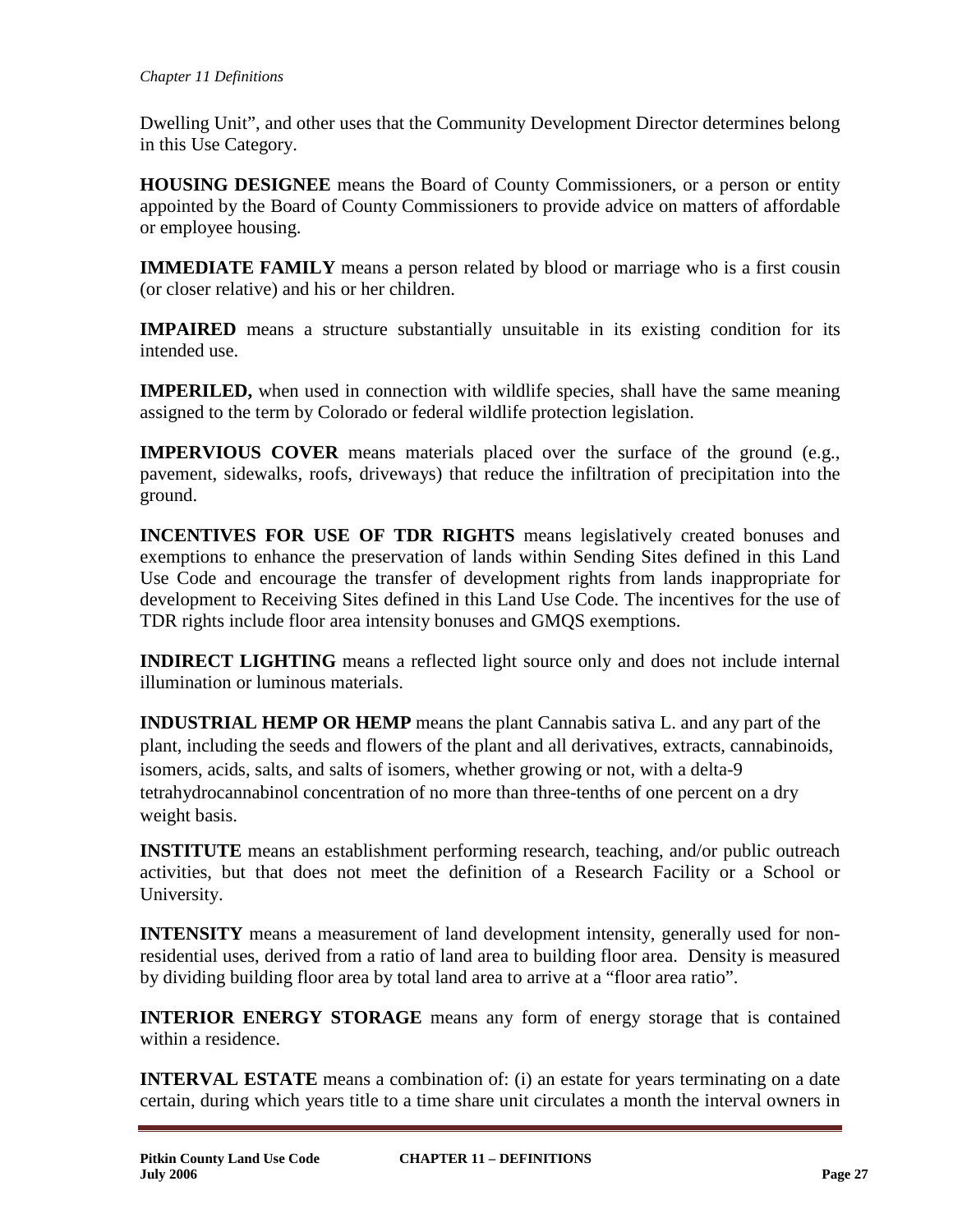Dwelling Unit", and other uses that the Community Development Director determines belong in this Use Category.

**HOUSING DESIGNEE** means the Board of County Commissioners, or a person or entity appointed by the Board of County Commissioners to provide advice on matters of affordable or employee housing.

**IMMEDIATE FAMILY** means a person related by blood or marriage who is a first cousin (or closer relative) and his or her children.

**IMPAIRED** means a structure substantially unsuitable in its existing condition for its intended use.

**IMPERILED,** when used in connection with wildlife species, shall have the same meaning assigned to the term by Colorado or federal wildlife protection legislation.

**IMPERVIOUS COVER** means materials placed over the surface of the ground (e.g., pavement, sidewalks, roofs, driveways) that reduce the infiltration of precipitation into the ground.

**INCENTIVES FOR USE OF TDR RIGHTS** means legislatively created bonuses and exemptions to enhance the preservation of lands within Sending Sites defined in this Land Use Code and encourage the transfer of development rights from lands inappropriate for development to Receiving Sites defined in this Land Use Code. The incentives for the use of TDR rights include floor area intensity bonuses and GMQS exemptions.

**INDIRECT LIGHTING** means a reflected light source only and does not include internal illumination or luminous materials.

**INDUSTRIAL HEMP OR HEMP** means the plant Cannabis sativa L. and any part of the plant, including the seeds and flowers of the plant and all derivatives, extracts, cannabinoids, isomers, acids, salts, and salts of isomers, whether growing or not, with a delta-9 tetrahydrocannabinol concentration of no more than three-tenths of one percent on a dry weight basis.

**INSTITUTE** means an establishment performing research, teaching, and/or public outreach activities, but that does not meet the definition of a Research Facility or a School or University.

**INTENSITY** means a measurement of land development intensity, generally used for nonresidential uses, derived from a ratio of land area to building floor area. Density is measured by dividing building floor area by total land area to arrive at a "floor area ratio".

**INTERIOR ENERGY STORAGE** means any form of energy storage that is contained within a residence.

**INTERVAL ESTATE** means a combination of: (i) an estate for years terminating on a date certain, during which years title to a time share unit circulates a month the interval owners in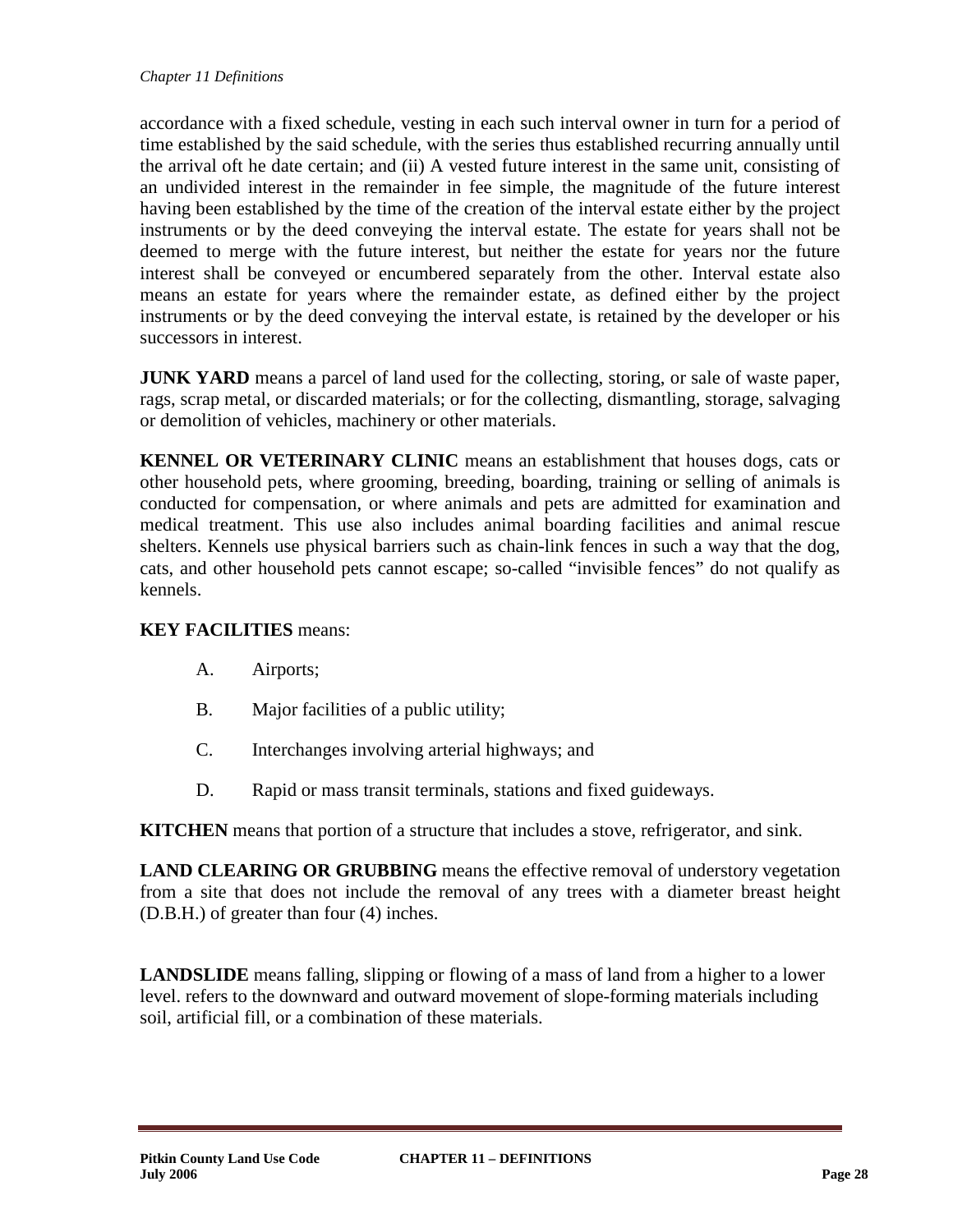accordance with a fixed schedule, vesting in each such interval owner in turn for a period of time established by the said schedule, with the series thus established recurring annually until the arrival oft he date certain; and (ii) A vested future interest in the same unit, consisting of an undivided interest in the remainder in fee simple, the magnitude of the future interest having been established by the time of the creation of the interval estate either by the project instruments or by the deed conveying the interval estate. The estate for years shall not be deemed to merge with the future interest, but neither the estate for years nor the future interest shall be conveyed or encumbered separately from the other. Interval estate also means an estate for years where the remainder estate, as defined either by the project instruments or by the deed conveying the interval estate, is retained by the developer or his successors in interest.

**JUNK YARD** means a parcel of land used for the collecting, storing, or sale of waste paper, rags, scrap metal, or discarded materials; or for the collecting, dismantling, storage, salvaging or demolition of vehicles, machinery or other materials.

**KENNEL OR VETERINARY CLINIC** means an establishment that houses dogs, cats or other household pets, where grooming, breeding, boarding, training or selling of animals is conducted for compensation, or where animals and pets are admitted for examination and medical treatment. This use also includes animal boarding facilities and animal rescue shelters. Kennels use physical barriers such as chain-link fences in such a way that the dog, cats, and other household pets cannot escape; so-called "invisible fences" do not qualify as kennels.

# **KEY FACILITIES** means:

- A. Airports;
- B. Major facilities of a public utility;
- C. Interchanges involving arterial highways; and
- D. Rapid or mass transit terminals, stations and fixed guideways.

**KITCHEN** means that portion of a structure that includes a stove, refrigerator, and sink.

**LAND CLEARING OR GRUBBING** means the effective removal of understory vegetation from a site that does not include the removal of any trees with a diameter breast height (D.B.H.) of greater than four (4) inches.

**LANDSLIDE** means falling, slipping or flowing of a mass of land from a higher to a lower level. refers to the downward and outward movement of slope-forming materials including soil, artificial fill, or a combination of these materials.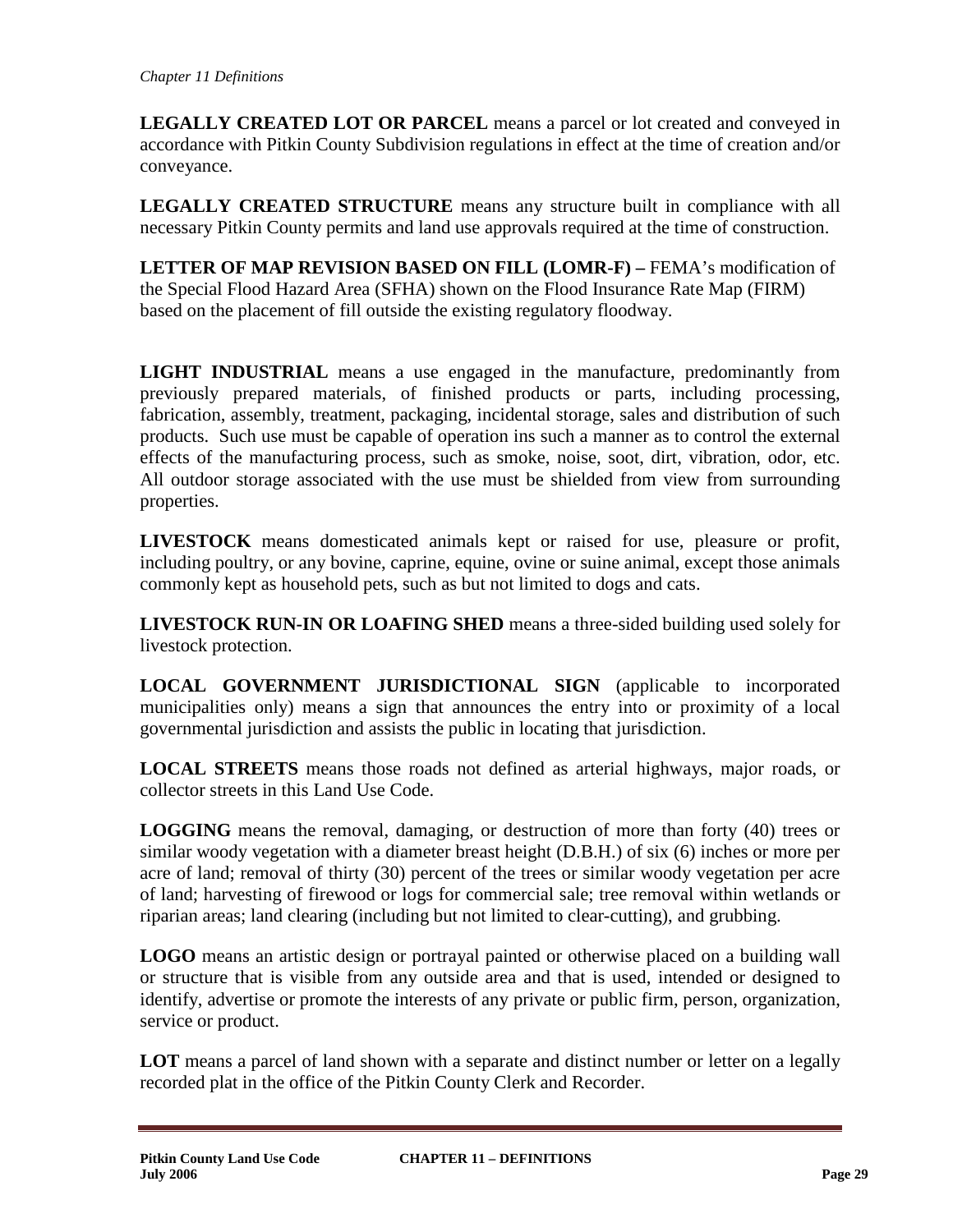**LEGALLY CREATED LOT OR PARCEL** means a parcel or lot created and conveyed in accordance with Pitkin County Subdivision regulations in effect at the time of creation and/or conveyance.

**LEGALLY CREATED STRUCTURE** means any structure built in compliance with all necessary Pitkin County permits and land use approvals required at the time of construction.

**LETTER OF MAP REVISION BASED ON FILL (LOMR-F) –** FEMA's modification of the Special Flood Hazard Area (SFHA) shown on the Flood Insurance Rate Map (FIRM) based on the placement of fill outside the existing regulatory floodway.

**LIGHT INDUSTRIAL** means a use engaged in the manufacture, predominantly from previously prepared materials, of finished products or parts, including processing, fabrication, assembly, treatment, packaging, incidental storage, sales and distribution of such products. Such use must be capable of operation ins such a manner as to control the external effects of the manufacturing process, such as smoke, noise, soot, dirt, vibration, odor, etc. All outdoor storage associated with the use must be shielded from view from surrounding properties.

**LIVESTOCK** means domesticated animals kept or raised for use, pleasure or profit, including poultry, or any bovine, caprine, equine, ovine or suine animal, except those animals commonly kept as household pets, such as but not limited to dogs and cats.

**LIVESTOCK RUN-IN OR LOAFING SHED** means a three-sided building used solely for livestock protection.

**LOCAL GOVERNMENT JURISDICTIONAL SIGN** (applicable to incorporated municipalities only) means a sign that announces the entry into or proximity of a local governmental jurisdiction and assists the public in locating that jurisdiction.

**LOCAL STREETS** means those roads not defined as arterial highways, major roads, or collector streets in this Land Use Code.

**LOGGING** means the removal, damaging, or destruction of more than forty (40) trees or similar woody vegetation with a diameter breast height (D.B.H.) of six (6) inches or more per acre of land; removal of thirty (30) percent of the trees or similar woody vegetation per acre of land; harvesting of firewood or logs for commercial sale; tree removal within wetlands or riparian areas; land clearing (including but not limited to clear-cutting), and grubbing.

**LOGO** means an artistic design or portrayal painted or otherwise placed on a building wall or structure that is visible from any outside area and that is used, intended or designed to identify, advertise or promote the interests of any private or public firm, person, organization, service or product.

LOT means a parcel of land shown with a separate and distinct number or letter on a legally recorded plat in the office of the Pitkin County Clerk and Recorder.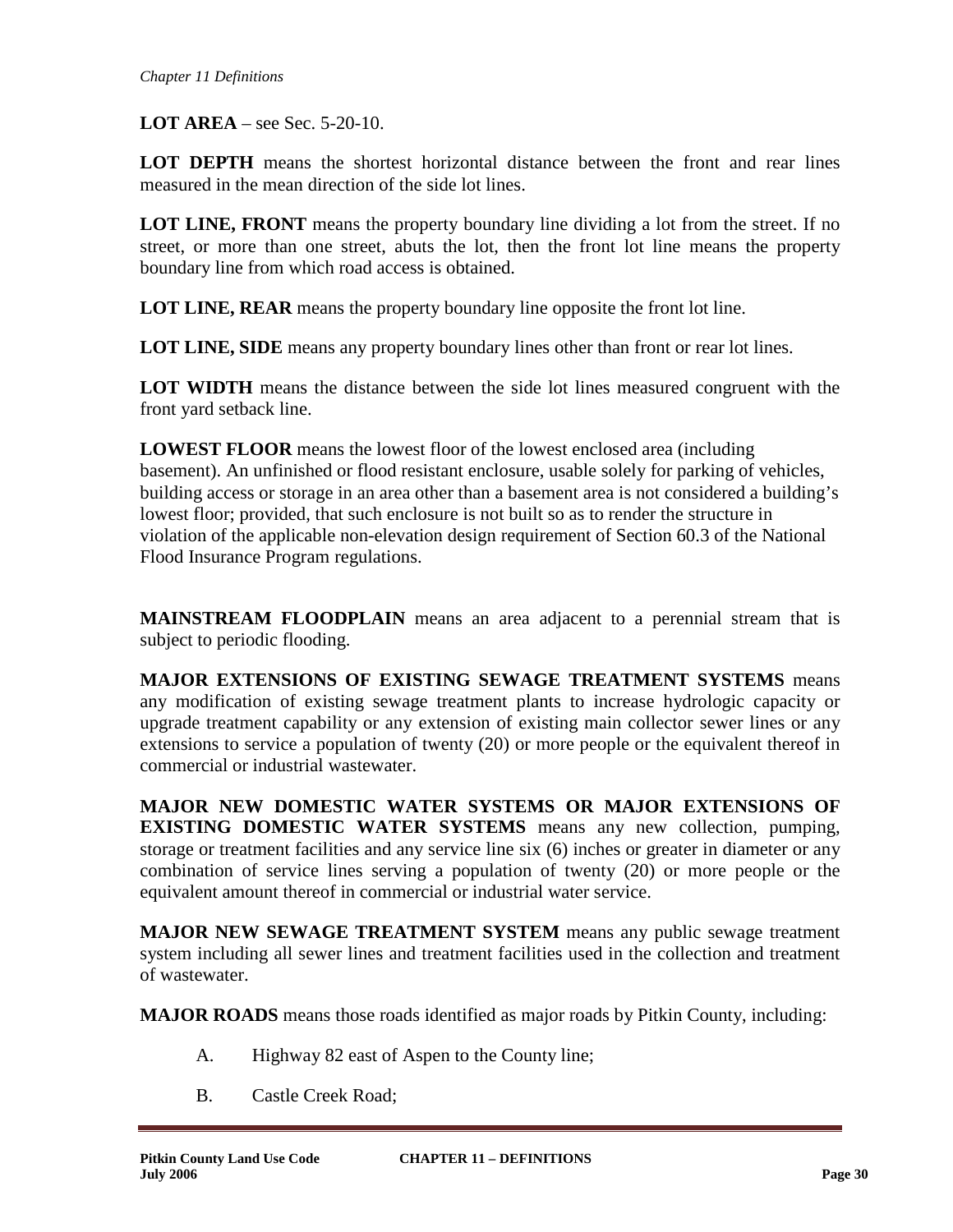**LOT AREA** – see Sec. 5-20-10.

**LOT DEPTH** means the shortest horizontal distance between the front and rear lines measured in the mean direction of the side lot lines.

**LOT LINE, FRONT** means the property boundary line dividing a lot from the street. If no street, or more than one street, abuts the lot, then the front lot line means the property boundary line from which road access is obtained.

**LOT LINE, REAR** means the property boundary line opposite the front lot line.

**LOT LINE, SIDE** means any property boundary lines other than front or rear lot lines.

**LOT WIDTH** means the distance between the side lot lines measured congruent with the front yard setback line.

**LOWEST FLOOR** means the lowest floor of the lowest enclosed area (including basement). An unfinished or flood resistant enclosure, usable solely for parking of vehicles, building access or storage in an area other than a basement area is not considered a building's lowest floor; provided, that such enclosure is not built so as to render the structure in violation of the applicable non-elevation design requirement of Section 60.3 of the National Flood Insurance Program regulations.

**MAINSTREAM FLOODPLAIN** means an area adjacent to a perennial stream that is subject to periodic flooding.

**MAJOR EXTENSIONS OF EXISTING SEWAGE TREATMENT SYSTEMS** means any modification of existing sewage treatment plants to increase hydrologic capacity or upgrade treatment capability or any extension of existing main collector sewer lines or any extensions to service a population of twenty (20) or more people or the equivalent thereof in commercial or industrial wastewater.

**MAJOR NEW DOMESTIC WATER SYSTEMS OR MAJOR EXTENSIONS OF EXISTING DOMESTIC WATER SYSTEMS** means any new collection, pumping, storage or treatment facilities and any service line six (6) inches or greater in diameter or any combination of service lines serving a population of twenty (20) or more people or the equivalent amount thereof in commercial or industrial water service.

**MAJOR NEW SEWAGE TREATMENT SYSTEM** means any public sewage treatment system including all sewer lines and treatment facilities used in the collection and treatment of wastewater.

**MAJOR ROADS** means those roads identified as major roads by Pitkin County, including:

- A. Highway 82 east of Aspen to the County line;
- B. Castle Creek Road;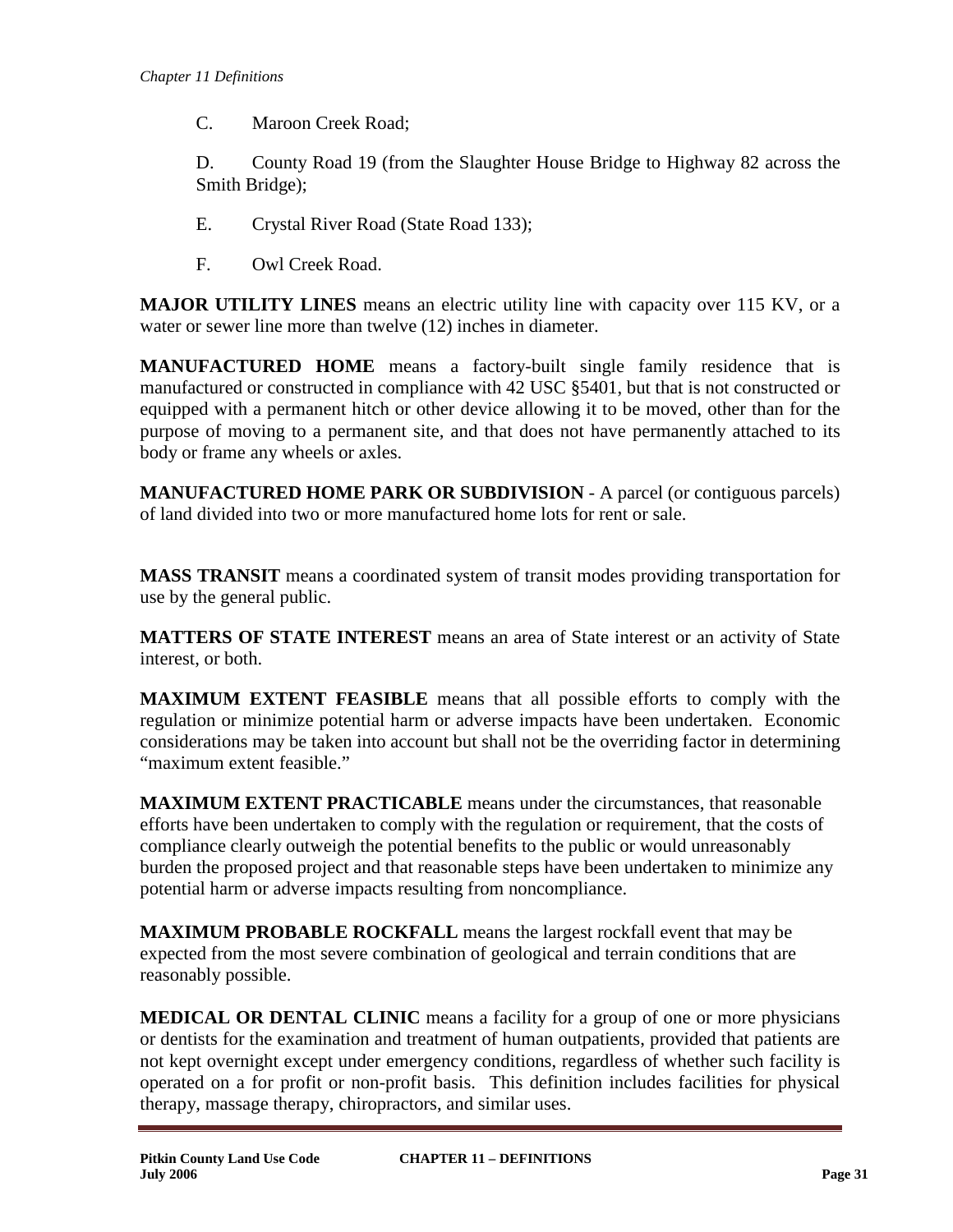C. Maroon Creek Road;

D. County Road 19 (from the Slaughter House Bridge to Highway 82 across the Smith Bridge);

- E. Crystal River Road (State Road 133);
- F. Owl Creek Road.

**MAJOR UTILITY LINES** means an electric utility line with capacity over 115 KV, or a water or sewer line more than twelve (12) inches in diameter.

**MANUFACTURED HOME** means a factory-built single family residence that is manufactured or constructed in compliance with 42 USC §5401, but that is not constructed or equipped with a permanent hitch or other device allowing it to be moved, other than for the purpose of moving to a permanent site, and that does not have permanently attached to its body or frame any wheels or axles.

**MANUFACTURED HOME PARK OR SUBDIVISION** - A parcel (or contiguous parcels) of land divided into two or more manufactured home lots for rent or sale.

**MASS TRANSIT** means a coordinated system of transit modes providing transportation for use by the general public.

**MATTERS OF STATE INTEREST** means an area of State interest or an activity of State interest, or both.

**MAXIMUM EXTENT FEASIBLE** means that all possible efforts to comply with the regulation or minimize potential harm or adverse impacts have been undertaken. Economic considerations may be taken into account but shall not be the overriding factor in determining "maximum extent feasible."

**MAXIMUM EXTENT PRACTICABLE** means under the circumstances, that reasonable efforts have been undertaken to comply with the regulation or requirement, that the costs of compliance clearly outweigh the potential benefits to the public or would unreasonably burden the proposed project and that reasonable steps have been undertaken to minimize any potential harm or adverse impacts resulting from noncompliance.

**MAXIMUM PROBABLE ROCKFALL** means the largest rockfall event that may be expected from the most severe combination of geological and terrain conditions that are reasonably possible.

**MEDICAL OR DENTAL CLINIC** means a facility for a group of one or more physicians or dentists for the examination and treatment of human outpatients, provided that patients are not kept overnight except under emergency conditions, regardless of whether such facility is operated on a for profit or non-profit basis. This definition includes facilities for physical therapy, massage therapy, chiropractors, and similar uses.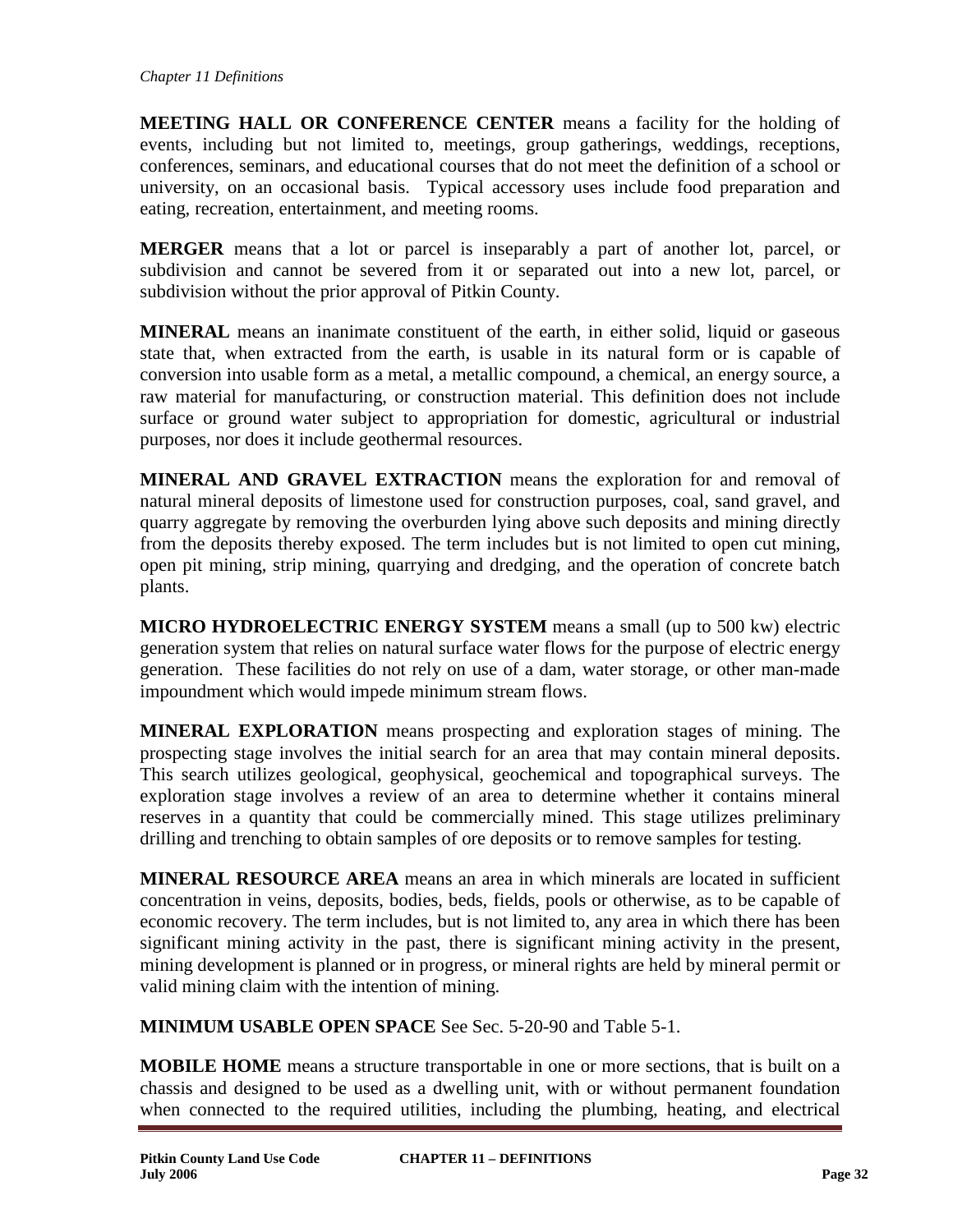**MEETING HALL OR CONFERENCE CENTER** means a facility for the holding of events, including but not limited to, meetings, group gatherings, weddings, receptions, conferences, seminars, and educational courses that do not meet the definition of a school or university, on an occasional basis. Typical accessory uses include food preparation and eating, recreation, entertainment, and meeting rooms.

**MERGER** means that a lot or parcel is inseparably a part of another lot, parcel, or subdivision and cannot be severed from it or separated out into a new lot, parcel, or subdivision without the prior approval of Pitkin County.

**MINERAL** means an inanimate constituent of the earth, in either solid, liquid or gaseous state that, when extracted from the earth, is usable in its natural form or is capable of conversion into usable form as a metal, a metallic compound, a chemical, an energy source, a raw material for manufacturing, or construction material. This definition does not include surface or ground water subject to appropriation for domestic, agricultural or industrial purposes, nor does it include geothermal resources.

**MINERAL AND GRAVEL EXTRACTION** means the exploration for and removal of natural mineral deposits of limestone used for construction purposes, coal, sand gravel, and quarry aggregate by removing the overburden lying above such deposits and mining directly from the deposits thereby exposed. The term includes but is not limited to open cut mining, open pit mining, strip mining, quarrying and dredging, and the operation of concrete batch plants.

**MICRO HYDROELECTRIC ENERGY SYSTEM** means a small (up to 500 kw) electric generation system that relies on natural surface water flows for the purpose of electric energy generation. These facilities do not rely on use of a dam, water storage, or other man-made impoundment which would impede minimum stream flows.

**MINERAL EXPLORATION** means prospecting and exploration stages of mining. The prospecting stage involves the initial search for an area that may contain mineral deposits. This search utilizes geological, geophysical, geochemical and topographical surveys. The exploration stage involves a review of an area to determine whether it contains mineral reserves in a quantity that could be commercially mined. This stage utilizes preliminary drilling and trenching to obtain samples of ore deposits or to remove samples for testing.

**MINERAL RESOURCE AREA** means an area in which minerals are located in sufficient concentration in veins, deposits, bodies, beds, fields, pools or otherwise, as to be capable of economic recovery. The term includes, but is not limited to, any area in which there has been significant mining activity in the past, there is significant mining activity in the present, mining development is planned or in progress, or mineral rights are held by mineral permit or valid mining claim with the intention of mining.

**MINIMUM USABLE OPEN SPACE** See Sec. 5-20-90 and Table 5-1.

**MOBILE HOME** means a structure transportable in one or more sections, that is built on a chassis and designed to be used as a dwelling unit, with or without permanent foundation when connected to the required utilities, including the plumbing, heating, and electrical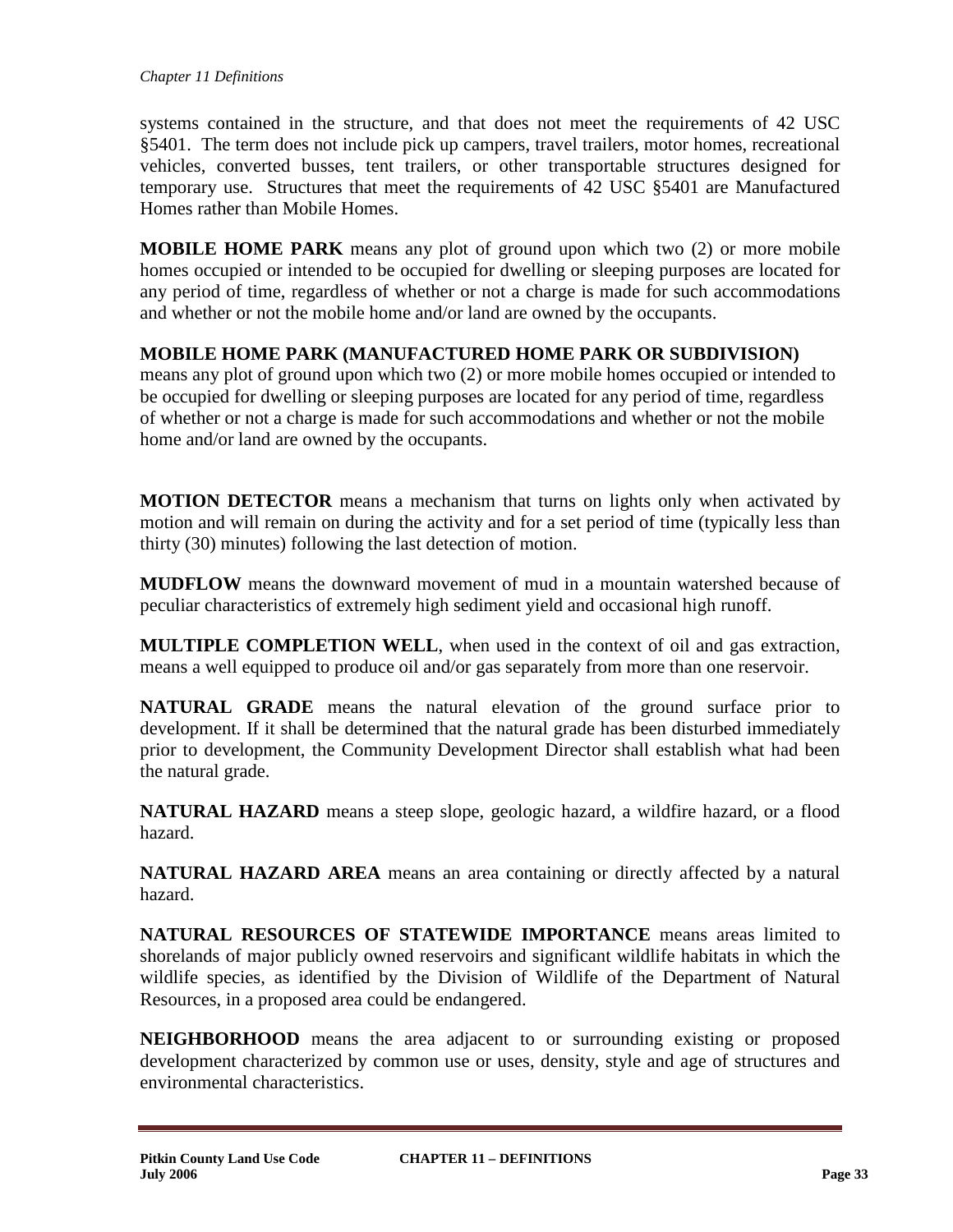systems contained in the structure, and that does not meet the requirements of 42 USC §5401. The term does not include pick up campers, travel trailers, motor homes, recreational vehicles, converted busses, tent trailers, or other transportable structures designed for temporary use. Structures that meet the requirements of 42 USC §5401 are Manufactured Homes rather than Mobile Homes.

**MOBILE HOME PARK** means any plot of ground upon which two (2) or more mobile homes occupied or intended to be occupied for dwelling or sleeping purposes are located for any period of time, regardless of whether or not a charge is made for such accommodations and whether or not the mobile home and/or land are owned by the occupants.

### **MOBILE HOME PARK (MANUFACTURED HOME PARK OR SUBDIVISION)**

means any plot of ground upon which two (2) or more mobile homes occupied or intended to be occupied for dwelling or sleeping purposes are located for any period of time, regardless of whether or not a charge is made for such accommodations and whether or not the mobile home and/or land are owned by the occupants.

**MOTION DETECTOR** means a mechanism that turns on lights only when activated by motion and will remain on during the activity and for a set period of time (typically less than thirty (30) minutes) following the last detection of motion.

**MUDFLOW** means the downward movement of mud in a mountain watershed because of peculiar characteristics of extremely high sediment yield and occasional high runoff.

**MULTIPLE COMPLETION WELL**, when used in the context of oil and gas extraction, means a well equipped to produce oil and/or gas separately from more than one reservoir.

**NATURAL GRADE** means the natural elevation of the ground surface prior to development. If it shall be determined that the natural grade has been disturbed immediately prior to development, the Community Development Director shall establish what had been the natural grade.

**NATURAL HAZARD** means a steep slope, geologic hazard, a wildfire hazard, or a flood hazard.

**NATURAL HAZARD AREA** means an area containing or directly affected by a natural hazard.

**NATURAL RESOURCES OF STATEWIDE IMPORTANCE** means areas limited to shorelands of major publicly owned reservoirs and significant wildlife habitats in which the wildlife species, as identified by the Division of Wildlife of the Department of Natural Resources, in a proposed area could be endangered.

**NEIGHBORHOOD** means the area adjacent to or surrounding existing or proposed development characterized by common use or uses, density, style and age of structures and environmental characteristics.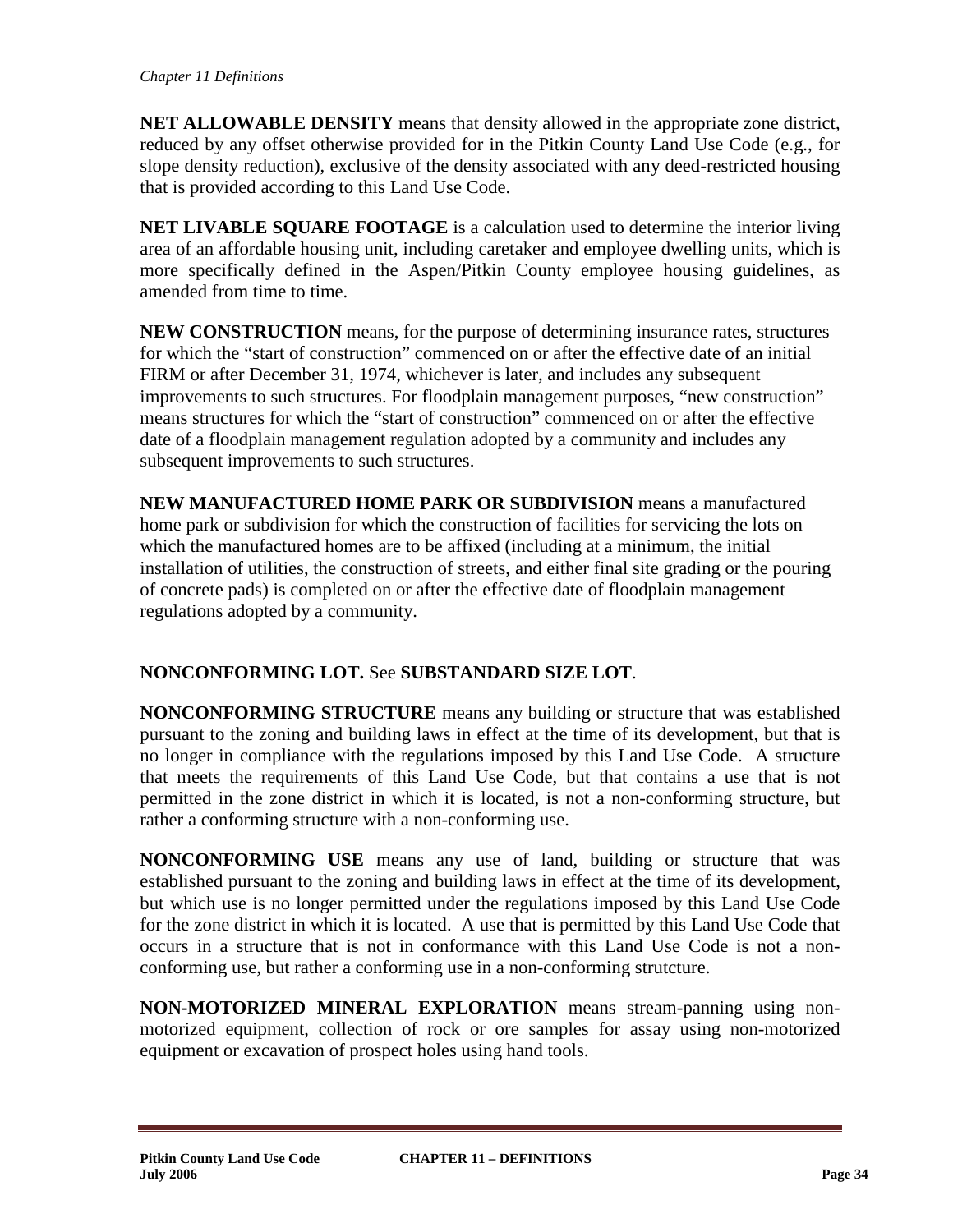**NET ALLOWABLE DENSITY** means that density allowed in the appropriate zone district, reduced by any offset otherwise provided for in the Pitkin County Land Use Code (e.g., for slope density reduction), exclusive of the density associated with any deed-restricted housing that is provided according to this Land Use Code.

**NET LIVABLE SQUARE FOOTAGE** is a calculation used to determine the interior living area of an affordable housing unit, including caretaker and employee dwelling units, which is more specifically defined in the Aspen/Pitkin County employee housing guidelines, as amended from time to time.

**NEW CONSTRUCTION** means, for the purpose of determining insurance rates, structures for which the "start of construction" commenced on or after the effective date of an initial FIRM or after December 31, 1974, whichever is later, and includes any subsequent improvements to such structures. For floodplain management purposes, "new construction" means structures for which the "start of construction" commenced on or after the effective date of a floodplain management regulation adopted by a community and includes any subsequent improvements to such structures.

**NEW MANUFACTURED HOME PARK OR SUBDIVISION** means a manufactured home park or subdivision for which the construction of facilities for servicing the lots on which the manufactured homes are to be affixed (including at a minimum, the initial installation of utilities, the construction of streets, and either final site grading or the pouring of concrete pads) is completed on or after the effective date of floodplain management regulations adopted by a community.

# **NONCONFORMING LOT.** See **SUBSTANDARD SIZE LOT**.

**NONCONFORMING STRUCTURE** means any building or structure that was established pursuant to the zoning and building laws in effect at the time of its development, but that is no longer in compliance with the regulations imposed by this Land Use Code. A structure that meets the requirements of this Land Use Code, but that contains a use that is not permitted in the zone district in which it is located, is not a non-conforming structure, but rather a conforming structure with a non-conforming use.

**NONCONFORMING USE** means any use of land, building or structure that was established pursuant to the zoning and building laws in effect at the time of its development, but which use is no longer permitted under the regulations imposed by this Land Use Code for the zone district in which it is located. A use that is permitted by this Land Use Code that occurs in a structure that is not in conformance with this Land Use Code is not a nonconforming use, but rather a conforming use in a non-conforming strutcture.

**NON-MOTORIZED MINERAL EXPLORATION** means stream-panning using nonmotorized equipment, collection of rock or ore samples for assay using non-motorized equipment or excavation of prospect holes using hand tools.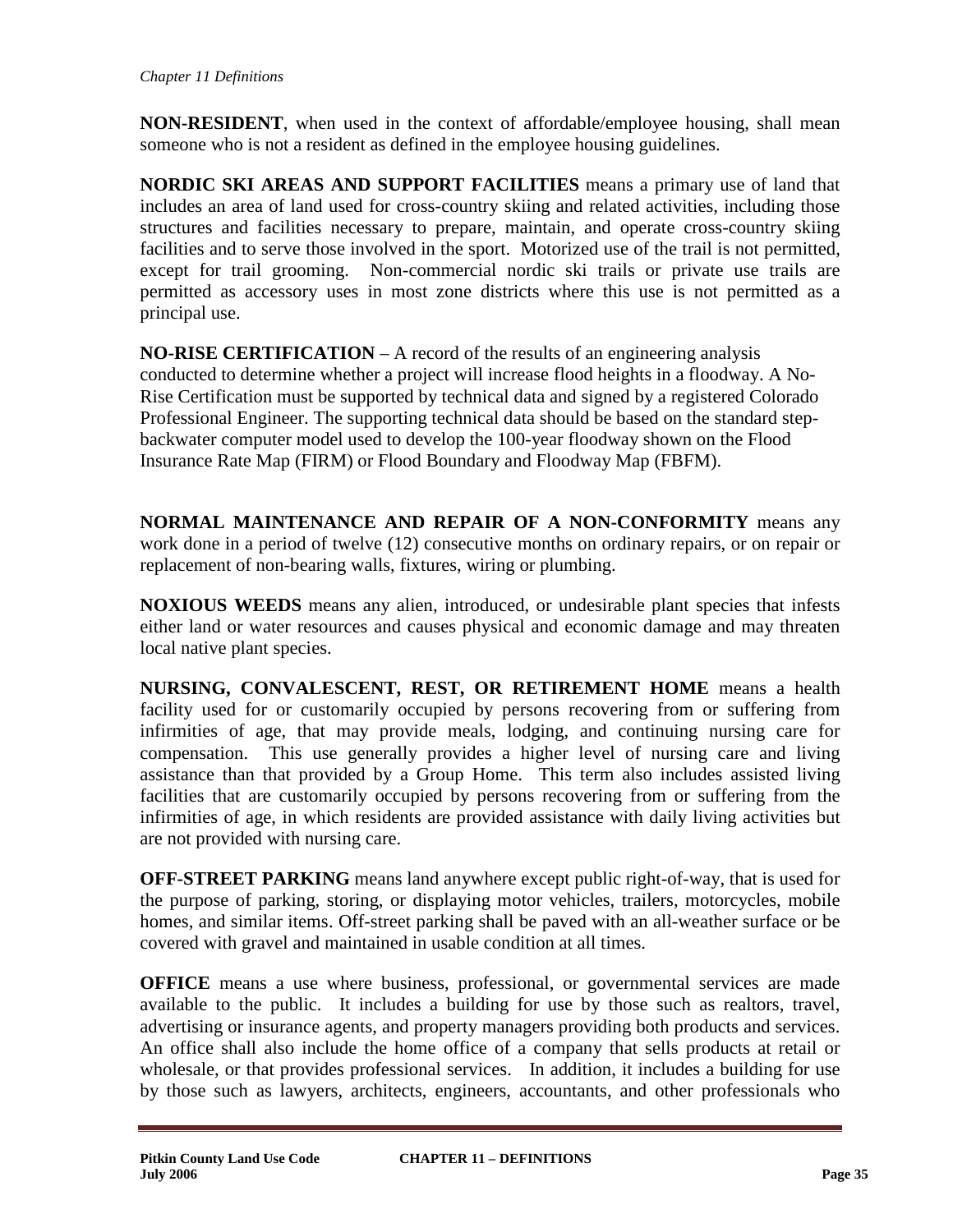**NON-RESIDENT**, when used in the context of affordable/employee housing, shall mean someone who is not a resident as defined in the employee housing guidelines.

**NORDIC SKI AREAS AND SUPPORT FACILITIES** means a primary use of land that includes an area of land used for cross-country skiing and related activities, including those structures and facilities necessary to prepare, maintain, and operate cross-country skiing facilities and to serve those involved in the sport. Motorized use of the trail is not permitted, except for trail grooming. Non-commercial nordic ski trails or private use trails are permitted as accessory uses in most zone districts where this use is not permitted as a principal use.

**NO-RISE CERTIFICATION** – A record of the results of an engineering analysis conducted to determine whether a project will increase flood heights in a floodway. A No-Rise Certification must be supported by technical data and signed by a registered Colorado Professional Engineer. The supporting technical data should be based on the standard stepbackwater computer model used to develop the 100-year floodway shown on the Flood Insurance Rate Map (FIRM) or Flood Boundary and Floodway Map (FBFM).

**NORMAL MAINTENANCE AND REPAIR OF A NON-CONFORMITY** means any work done in a period of twelve (12) consecutive months on ordinary repairs, or on repair or replacement of non-bearing walls, fixtures, wiring or plumbing.

**NOXIOUS WEEDS** means any alien, introduced, or undesirable plant species that infests either land or water resources and causes physical and economic damage and may threaten local native plant species.

**NURSING, CONVALESCENT, REST, OR RETIREMENT HOME** means a health facility used for or customarily occupied by persons recovering from or suffering from infirmities of age, that may provide meals, lodging, and continuing nursing care for compensation. This use generally provides a higher level of nursing care and living assistance than that provided by a Group Home. This term also includes assisted living facilities that are customarily occupied by persons recovering from or suffering from the infirmities of age, in which residents are provided assistance with daily living activities but are not provided with nursing care.

**OFF-STREET PARKING** means land anywhere except public right-of-way, that is used for the purpose of parking, storing, or displaying motor vehicles, trailers, motorcycles, mobile homes, and similar items. Off-street parking shall be paved with an all-weather surface or be covered with gravel and maintained in usable condition at all times.

**OFFICE** means a use where business, professional, or governmental services are made available to the public. It includes a building for use by those such as realtors, travel, advertising or insurance agents, and property managers providing both products and services. An office shall also include the home office of a company that sells products at retail or wholesale, or that provides professional services. In addition, it includes a building for use by those such as lawyers, architects, engineers, accountants, and other professionals who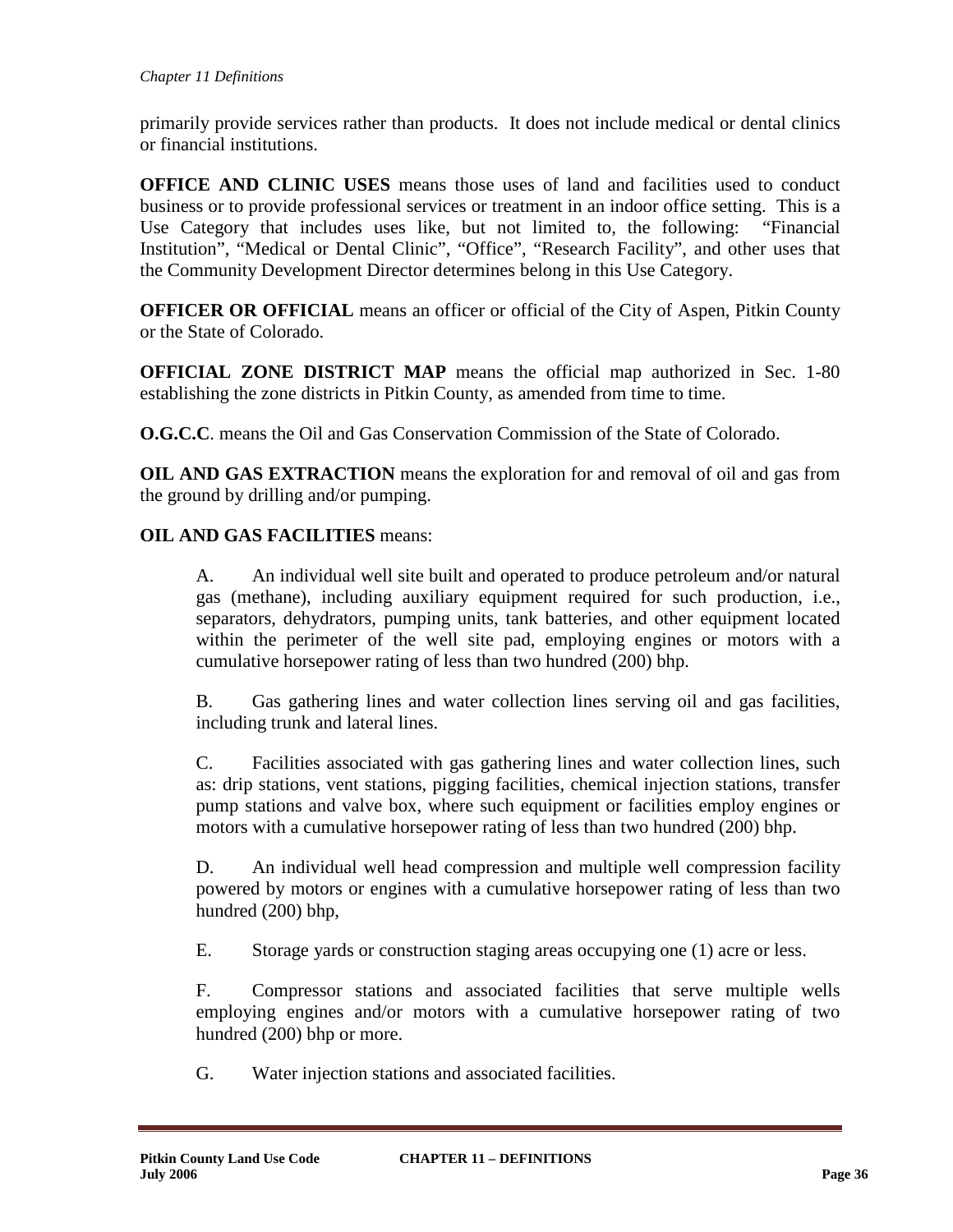primarily provide services rather than products. It does not include medical or dental clinics or financial institutions.

**OFFICE AND CLINIC USES** means those uses of land and facilities used to conduct business or to provide professional services or treatment in an indoor office setting. This is a Use Category that includes uses like, but not limited to, the following: "Financial Institution", "Medical or Dental Clinic", "Office", "Research Facility", and other uses that the Community Development Director determines belong in this Use Category.

**OFFICER OR OFFICIAL** means an officer or official of the City of Aspen, Pitkin County or the State of Colorado.

**OFFICIAL ZONE DISTRICT MAP** means the official map authorized in Sec. 1-80 establishing the zone districts in Pitkin County, as amended from time to time.

**O.G.C.C**. means the Oil and Gas Conservation Commission of the State of Colorado.

**OIL AND GAS EXTRACTION** means the exploration for and removal of oil and gas from the ground by drilling and/or pumping.

### **OIL AND GAS FACILITIES** means:

A. An individual well site built and operated to produce petroleum and/or natural gas (methane), including auxiliary equipment required for such production, i.e., separators, dehydrators, pumping units, tank batteries, and other equipment located within the perimeter of the well site pad, employing engines or motors with a cumulative horsepower rating of less than two hundred (200) bhp.

B. Gas gathering lines and water collection lines serving oil and gas facilities, including trunk and lateral lines.

C. Facilities associated with gas gathering lines and water collection lines, such as: drip stations, vent stations, pigging facilities, chemical injection stations, transfer pump stations and valve box, where such equipment or facilities employ engines or motors with a cumulative horsepower rating of less than two hundred (200) bhp.

D. An individual well head compression and multiple well compression facility powered by motors or engines with a cumulative horsepower rating of less than two hundred (200) bhp,

E. Storage yards or construction staging areas occupying one (1) acre or less.

F. Compressor stations and associated facilities that serve multiple wells employing engines and/or motors with a cumulative horsepower rating of two hundred (200) bhp or more.

G. Water injection stations and associated facilities.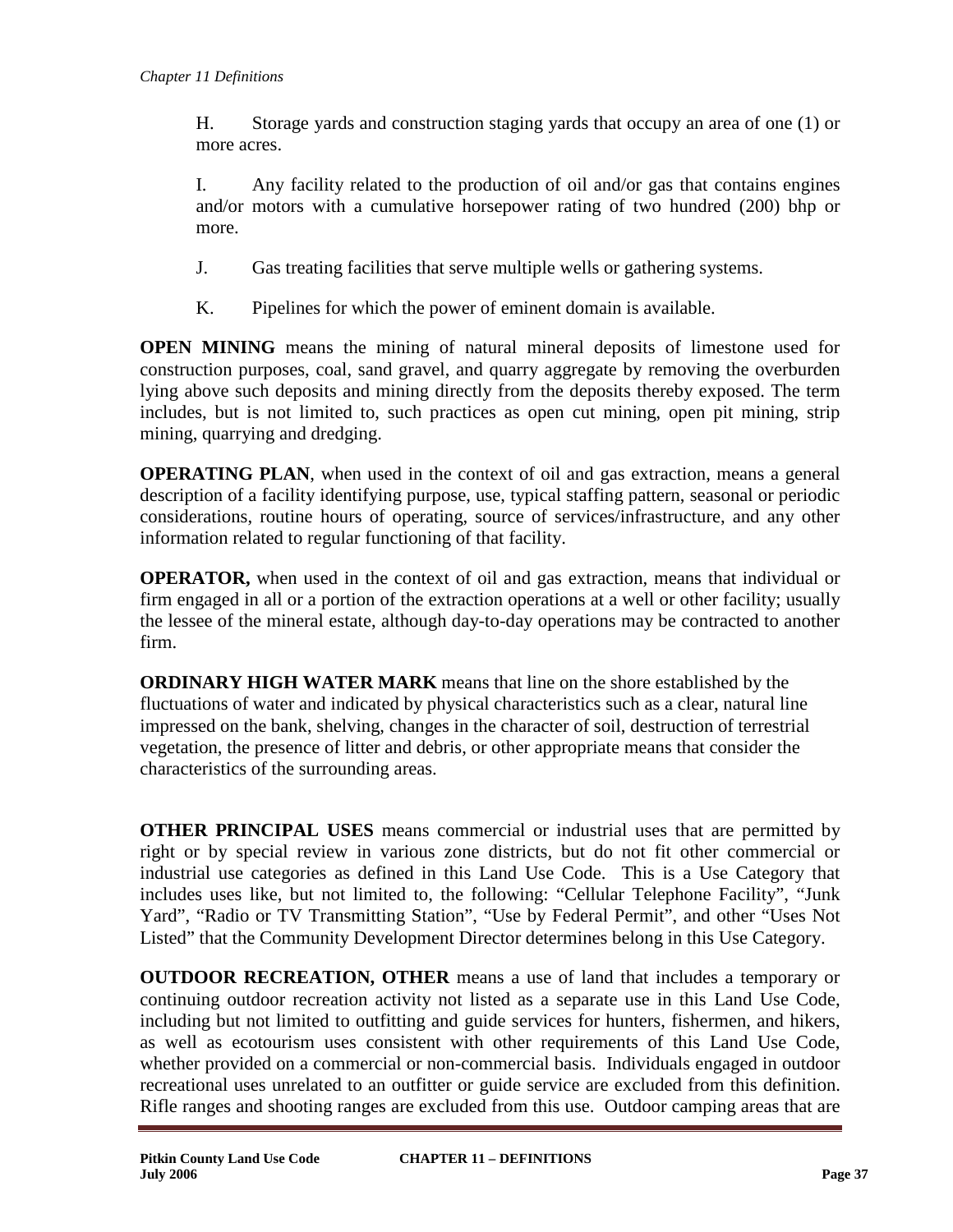H. Storage yards and construction staging yards that occupy an area of one (1) or more acres.

I. Any facility related to the production of oil and/or gas that contains engines and/or motors with a cumulative horsepower rating of two hundred (200) bhp or more.

- J. Gas treating facilities that serve multiple wells or gathering systems.
- K. Pipelines for which the power of eminent domain is available.

**OPEN MINING** means the mining of natural mineral deposits of limestone used for construction purposes, coal, sand gravel, and quarry aggregate by removing the overburden lying above such deposits and mining directly from the deposits thereby exposed. The term includes, but is not limited to, such practices as open cut mining, open pit mining, strip mining, quarrying and dredging.

**OPERATING PLAN**, when used in the context of oil and gas extraction, means a general description of a facility identifying purpose, use, typical staffing pattern, seasonal or periodic considerations, routine hours of operating, source of services/infrastructure, and any other information related to regular functioning of that facility.

**OPERATOR,** when used in the context of oil and gas extraction, means that individual or firm engaged in all or a portion of the extraction operations at a well or other facility; usually the lessee of the mineral estate, although day-to-day operations may be contracted to another firm.

**ORDINARY HIGH WATER MARK** means that line on the shore established by the fluctuations of water and indicated by physical characteristics such as a clear, natural line impressed on the bank, shelving, changes in the character of soil, destruction of terrestrial vegetation, the presence of litter and debris, or other appropriate means that consider the characteristics of the surrounding areas.

**OTHER PRINCIPAL USES** means commercial or industrial uses that are permitted by right or by special review in various zone districts, but do not fit other commercial or industrial use categories as defined in this Land Use Code. This is a Use Category that includes uses like, but not limited to, the following: "Cellular Telephone Facility", "Junk Yard", "Radio or TV Transmitting Station", "Use by Federal Permit", and other "Uses Not Listed" that the Community Development Director determines belong in this Use Category.

**OUTDOOR RECREATION, OTHER** means a use of land that includes a temporary or continuing outdoor recreation activity not listed as a separate use in this Land Use Code, including but not limited to outfitting and guide services for hunters, fishermen, and hikers, as well as ecotourism uses consistent with other requirements of this Land Use Code, whether provided on a commercial or non-commercial basis. Individuals engaged in outdoor recreational uses unrelated to an outfitter or guide service are excluded from this definition. Rifle ranges and shooting ranges are excluded from this use. Outdoor camping areas that are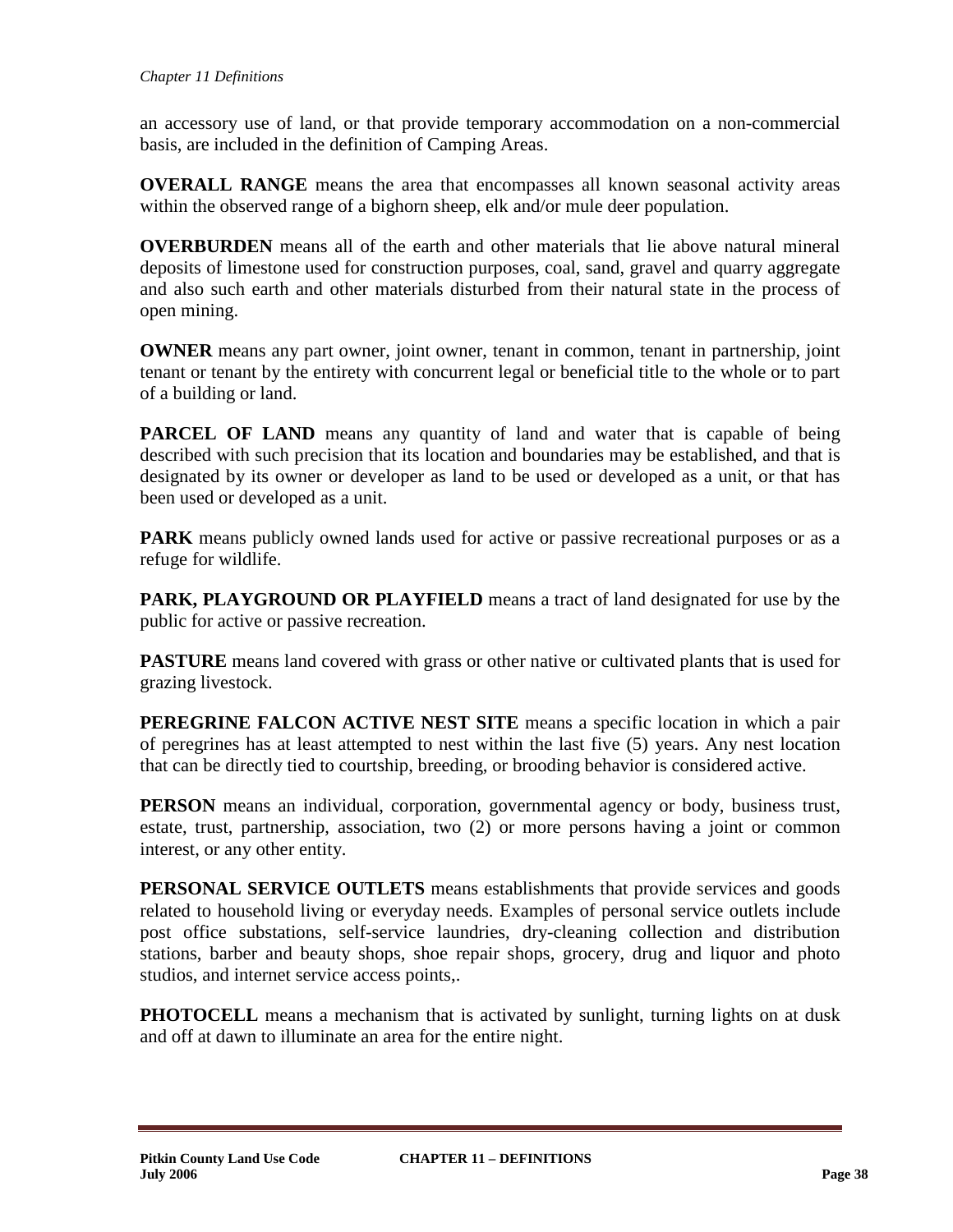an accessory use of land, or that provide temporary accommodation on a non-commercial basis, are included in the definition of Camping Areas.

**OVERALL RANGE** means the area that encompasses all known seasonal activity areas within the observed range of a bighorn sheep, elk and/or mule deer population.

**OVERBURDEN** means all of the earth and other materials that lie above natural mineral deposits of limestone used for construction purposes, coal, sand, gravel and quarry aggregate and also such earth and other materials disturbed from their natural state in the process of open mining.

**OWNER** means any part owner, joint owner, tenant in common, tenant in partnership, joint tenant or tenant by the entirety with concurrent legal or beneficial title to the whole or to part of a building or land.

**PARCEL OF LAND** means any quantity of land and water that is capable of being described with such precision that its location and boundaries may be established, and that is designated by its owner or developer as land to be used or developed as a unit, or that has been used or developed as a unit.

**PARK** means publicly owned lands used for active or passive recreational purposes or as a refuge for wildlife.

**PARK, PLAYGROUND OR PLAYFIELD** means a tract of land designated for use by the public for active or passive recreation.

**PASTURE** means land covered with grass or other native or cultivated plants that is used for grazing livestock.

**PEREGRINE FALCON ACTIVE NEST SITE** means a specific location in which a pair of peregrines has at least attempted to nest within the last five (5) years. Any nest location that can be directly tied to courtship, breeding, or brooding behavior is considered active.

**PERSON** means an individual, corporation, governmental agency or body, business trust, estate, trust, partnership, association, two (2) or more persons having a joint or common interest, or any other entity.

**PERSONAL SERVICE OUTLETS** means establishments that provide services and goods related to household living or everyday needs. Examples of personal service outlets include post office substations, self-service laundries, dry-cleaning collection and distribution stations, barber and beauty shops, shoe repair shops, grocery, drug and liquor and photo studios, and internet service access points,.

**PHOTOCELL** means a mechanism that is activated by sunlight, turning lights on at dusk and off at dawn to illuminate an area for the entire night.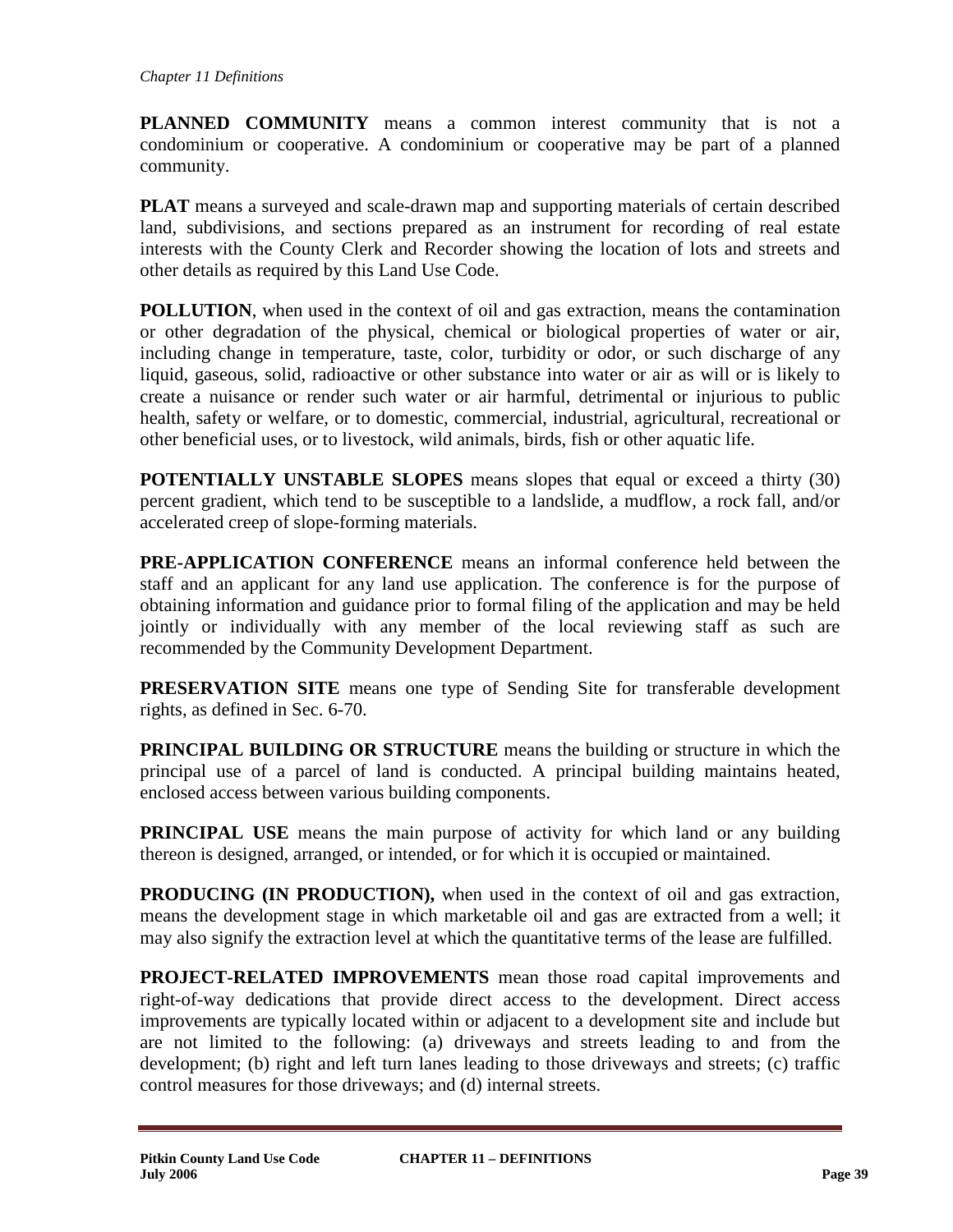**PLANNED COMMUNITY** means a common interest community that is not a condominium or cooperative. A condominium or cooperative may be part of a planned community.

**PLAT** means a surveyed and scale-drawn map and supporting materials of certain described land, subdivisions, and sections prepared as an instrument for recording of real estate interests with the County Clerk and Recorder showing the location of lots and streets and other details as required by this Land Use Code.

**POLLUTION**, when used in the context of oil and gas extraction, means the contamination or other degradation of the physical, chemical or biological properties of water or air, including change in temperature, taste, color, turbidity or odor, or such discharge of any liquid, gaseous, solid, radioactive or other substance into water or air as will or is likely to create a nuisance or render such water or air harmful, detrimental or injurious to public health, safety or welfare, or to domestic, commercial, industrial, agricultural, recreational or other beneficial uses, or to livestock, wild animals, birds, fish or other aquatic life.

**POTENTIALLY UNSTABLE SLOPES** means slopes that equal or exceed a thirty (30) percent gradient, which tend to be susceptible to a landslide, a mudflow, a rock fall, and/or accelerated creep of slope-forming materials.

**PRE-APPLICATION CONFERENCE** means an informal conference held between the staff and an applicant for any land use application. The conference is for the purpose of obtaining information and guidance prior to formal filing of the application and may be held jointly or individually with any member of the local reviewing staff as such are recommended by the Community Development Department.

**PRESERVATION SITE** means one type of Sending Site for transferable development rights, as defined in Sec. 6-70.

**PRINCIPAL BUILDING OR STRUCTURE** means the building or structure in which the principal use of a parcel of land is conducted. A principal building maintains heated, enclosed access between various building components.

**PRINCIPAL USE** means the main purpose of activity for which land or any building thereon is designed, arranged, or intended, or for which it is occupied or maintained.

**PRODUCING (IN PRODUCTION),** when used in the context of oil and gas extraction, means the development stage in which marketable oil and gas are extracted from a well; it may also signify the extraction level at which the quantitative terms of the lease are fulfilled.

**PROJECT-RELATED IMPROVEMENTS** mean those road capital improvements and right-of-way dedications that provide direct access to the development. Direct access improvements are typically located within or adjacent to a development site and include but are not limited to the following: (a) driveways and streets leading to and from the development; (b) right and left turn lanes leading to those driveways and streets; (c) traffic control measures for those driveways; and (d) internal streets.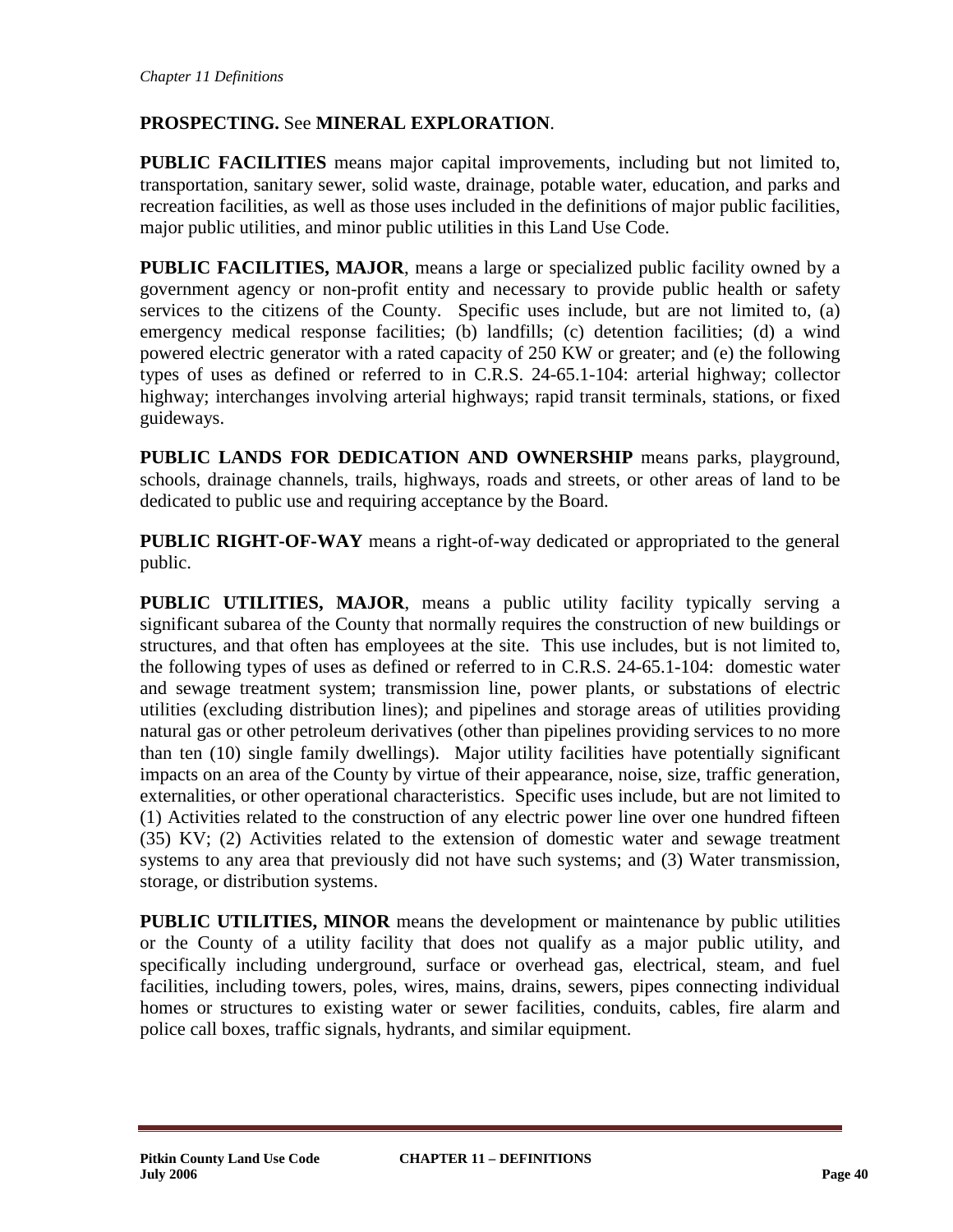# **PROSPECTING.** See **MINERAL EXPLORATION**.

**PUBLIC FACILITIES** means major capital improvements, including but not limited to, transportation, sanitary sewer, solid waste, drainage, potable water, education, and parks and recreation facilities, as well as those uses included in the definitions of major public facilities, major public utilities, and minor public utilities in this Land Use Code.

**PUBLIC FACILITIES, MAJOR**, means a large or specialized public facility owned by a government agency or non-profit entity and necessary to provide public health or safety services to the citizens of the County. Specific uses include, but are not limited to, (a) emergency medical response facilities; (b) landfills; (c) detention facilities; (d) a wind powered electric generator with a rated capacity of 250 KW or greater; and (e) the following types of uses as defined or referred to in C.R.S. 24-65.1-104: arterial highway; collector highway; interchanges involving arterial highways; rapid transit terminals, stations, or fixed guideways.

**PUBLIC LANDS FOR DEDICATION AND OWNERSHIP** means parks, playground, schools, drainage channels, trails, highways, roads and streets, or other areas of land to be dedicated to public use and requiring acceptance by the Board.

**PUBLIC RIGHT-OF-WAY** means a right-of-way dedicated or appropriated to the general public.

**PUBLIC UTILITIES, MAJOR**, means a public utility facility typically serving a significant subarea of the County that normally requires the construction of new buildings or structures, and that often has employees at the site. This use includes, but is not limited to, the following types of uses as defined or referred to in C.R.S. 24-65.1-104: domestic water and sewage treatment system; transmission line, power plants, or substations of electric utilities (excluding distribution lines); and pipelines and storage areas of utilities providing natural gas or other petroleum derivatives (other than pipelines providing services to no more than ten (10) single family dwellings). Major utility facilities have potentially significant impacts on an area of the County by virtue of their appearance, noise, size, traffic generation, externalities, or other operational characteristics. Specific uses include, but are not limited to (1) Activities related to the construction of any electric power line over one hundred fifteen (35) KV; (2) Activities related to the extension of domestic water and sewage treatment systems to any area that previously did not have such systems; and (3) Water transmission, storage, or distribution systems.

**PUBLIC UTILITIES, MINOR** means the development or maintenance by public utilities or the County of a utility facility that does not qualify as a major public utility, and specifically including underground, surface or overhead gas, electrical, steam, and fuel facilities, including towers, poles, wires, mains, drains, sewers, pipes connecting individual homes or structures to existing water or sewer facilities, conduits, cables, fire alarm and police call boxes, traffic signals, hydrants, and similar equipment.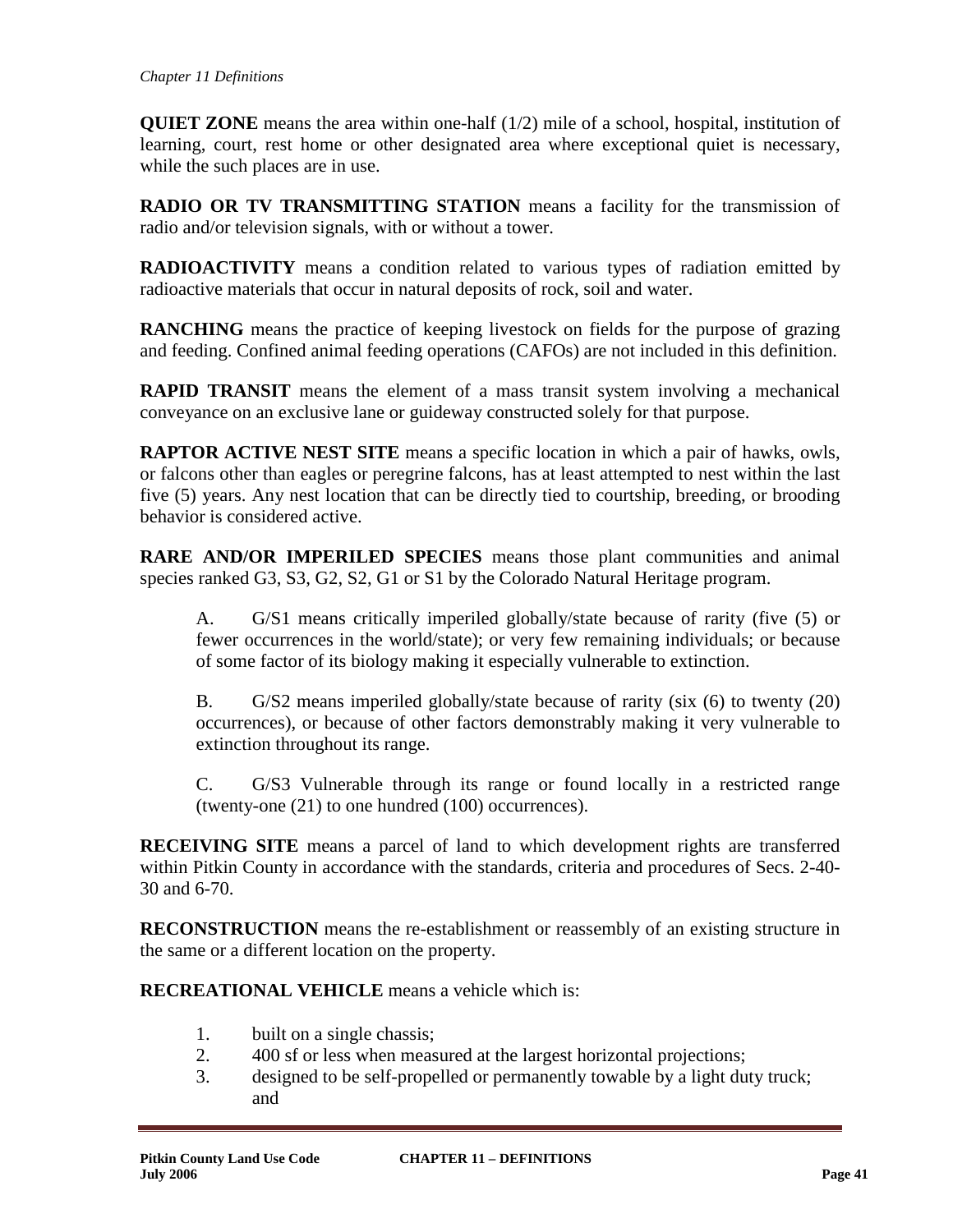**QUIET ZONE** means the area within one-half (1/2) mile of a school, hospital, institution of learning, court, rest home or other designated area where exceptional quiet is necessary, while the such places are in use.

**RADIO OR TV TRANSMITTING STATION** means a facility for the transmission of radio and/or television signals, with or without a tower.

**RADIOACTIVITY** means a condition related to various types of radiation emitted by radioactive materials that occur in natural deposits of rock, soil and water.

**RANCHING** means the practice of keeping livestock on fields for the purpose of grazing and feeding. Confined animal feeding operations (CAFOs) are not included in this definition.

**RAPID TRANSIT** means the element of a mass transit system involving a mechanical conveyance on an exclusive lane or guideway constructed solely for that purpose.

**RAPTOR ACTIVE NEST SITE** means a specific location in which a pair of hawks, owls, or falcons other than eagles or peregrine falcons, has at least attempted to nest within the last five (5) years. Any nest location that can be directly tied to courtship, breeding, or brooding behavior is considered active.

**RARE AND/OR IMPERILED SPECIES** means those plant communities and animal species ranked G3, S3, G2, S2, G1 or S1 by the Colorado Natural Heritage program.

A. G/S1 means critically imperiled globally/state because of rarity (five (5) or fewer occurrences in the world/state); or very few remaining individuals; or because of some factor of its biology making it especially vulnerable to extinction.

B. G/S2 means imperiled globally/state because of rarity (six (6) to twenty (20) occurrences), or because of other factors demonstrably making it very vulnerable to extinction throughout its range.

C. G/S3 Vulnerable through its range or found locally in a restricted range (twenty-one (21) to one hundred (100) occurrences).

**RECEIVING SITE** means a parcel of land to which development rights are transferred within Pitkin County in accordance with the standards, criteria and procedures of Secs. 2-40- 30 and 6-70.

**RECONSTRUCTION** means the re-establishment or reassembly of an existing structure in the same or a different location on the property.

**RECREATIONAL VEHICLE** means a vehicle which is:

- 1. built on a single chassis;
- 2. 400 sf or less when measured at the largest horizontal projections;
- 3. designed to be self-propelled or permanently towable by a light duty truck; and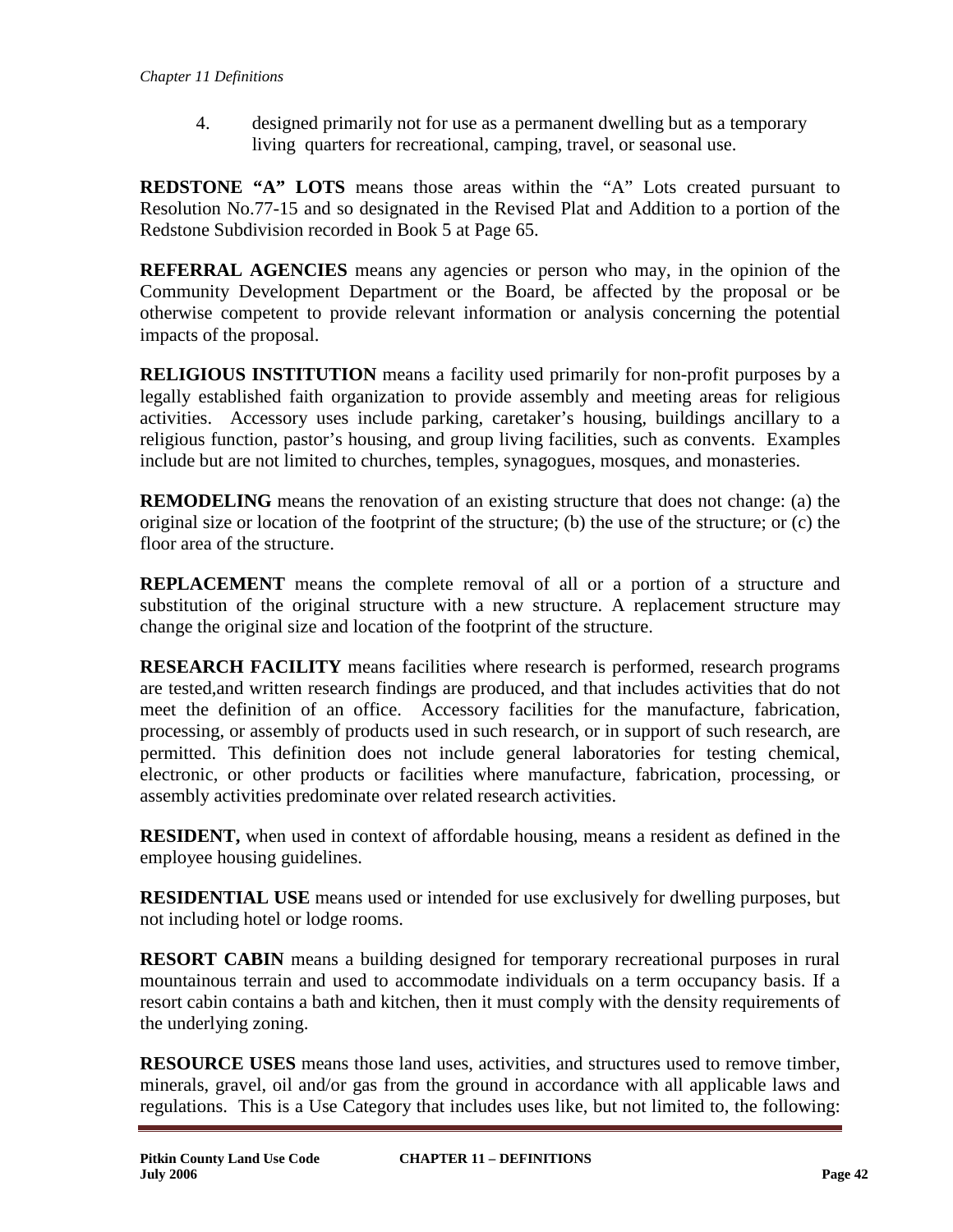4. designed primarily not for use as a permanent dwelling but as a temporary living quarters for recreational, camping, travel, or seasonal use.

**REDSTONE "A" LOTS** means those areas within the "A" Lots created pursuant to Resolution No.77-15 and so designated in the Revised Plat and Addition to a portion of the Redstone Subdivision recorded in Book 5 at Page 65.

**REFERRAL AGENCIES** means any agencies or person who may, in the opinion of the Community Development Department or the Board, be affected by the proposal or be otherwise competent to provide relevant information or analysis concerning the potential impacts of the proposal.

**RELIGIOUS INSTITUTION** means a facility used primarily for non-profit purposes by a legally established faith organization to provide assembly and meeting areas for religious activities. Accessory uses include parking, caretaker's housing, buildings ancillary to a religious function, pastor's housing, and group living facilities, such as convents. Examples include but are not limited to churches, temples, synagogues, mosques, and monasteries.

**REMODELING** means the renovation of an existing structure that does not change: (a) the original size or location of the footprint of the structure; (b) the use of the structure; or (c) the floor area of the structure.

**REPLACEMENT** means the complete removal of all or a portion of a structure and substitution of the original structure with a new structure. A replacement structure may change the original size and location of the footprint of the structure.

**RESEARCH FACILITY** means facilities where research is performed, research programs are tested,and written research findings are produced, and that includes activities that do not meet the definition of an office. Accessory facilities for the manufacture, fabrication, processing, or assembly of products used in such research, or in support of such research, are permitted. This definition does not include general laboratories for testing chemical, electronic, or other products or facilities where manufacture, fabrication, processing, or assembly activities predominate over related research activities.

**RESIDENT,** when used in context of affordable housing, means a resident as defined in the employee housing guidelines.

**RESIDENTIAL USE** means used or intended for use exclusively for dwelling purposes, but not including hotel or lodge rooms.

**RESORT CABIN** means a building designed for temporary recreational purposes in rural mountainous terrain and used to accommodate individuals on a term occupancy basis. If a resort cabin contains a bath and kitchen, then it must comply with the density requirements of the underlying zoning.

**RESOURCE USES** means those land uses, activities, and structures used to remove timber, minerals, gravel, oil and/or gas from the ground in accordance with all applicable laws and regulations. This is a Use Category that includes uses like, but not limited to, the following: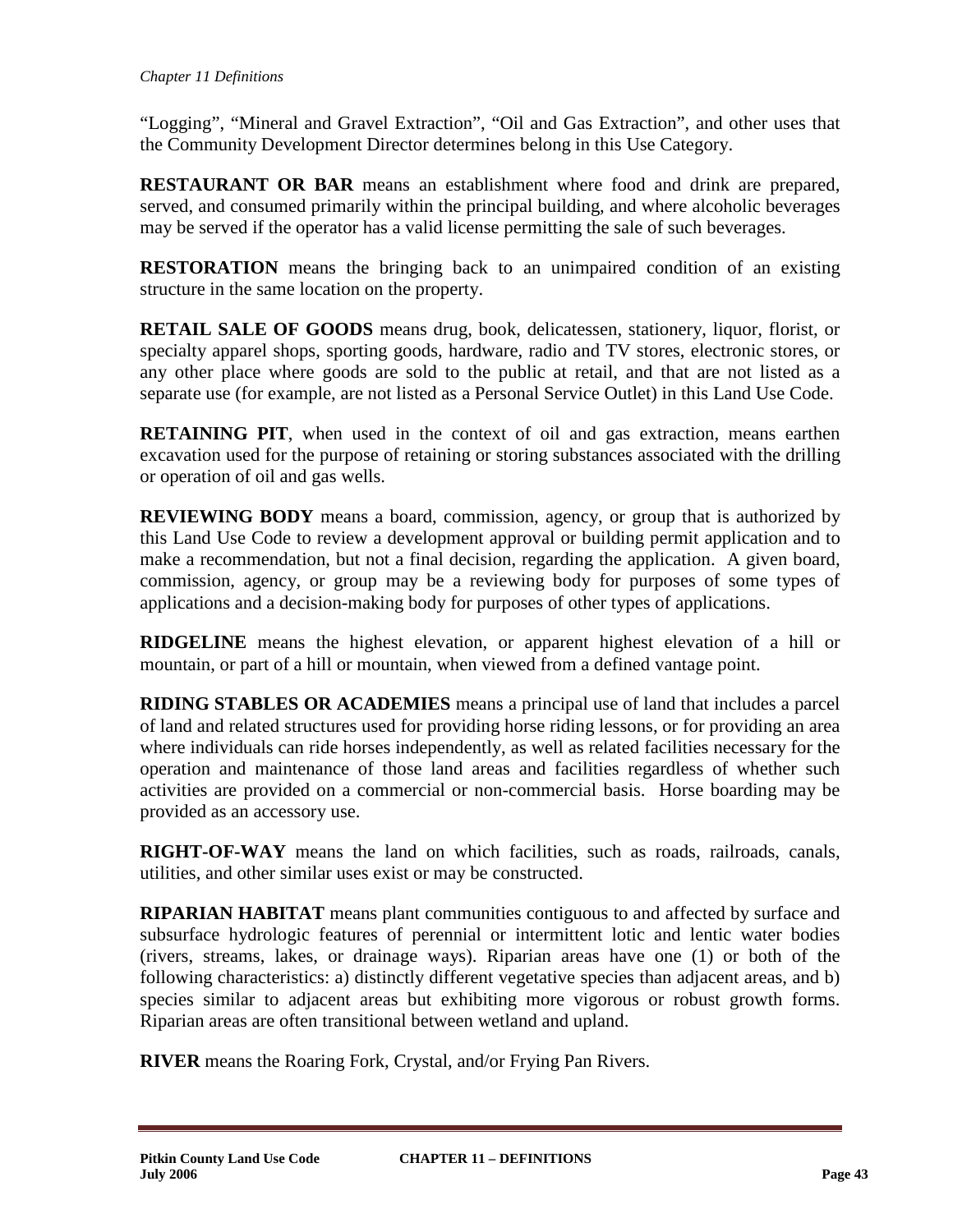"Logging", "Mineral and Gravel Extraction", "Oil and Gas Extraction", and other uses that the Community Development Director determines belong in this Use Category.

**RESTAURANT OR BAR** means an establishment where food and drink are prepared, served, and consumed primarily within the principal building, and where alcoholic beverages may be served if the operator has a valid license permitting the sale of such beverages.

**RESTORATION** means the bringing back to an unimpaired condition of an existing structure in the same location on the property.

**RETAIL SALE OF GOODS** means drug, book, delicatessen, stationery, liquor, florist, or specialty apparel shops, sporting goods, hardware, radio and TV stores, electronic stores, or any other place where goods are sold to the public at retail, and that are not listed as a separate use (for example, are not listed as a Personal Service Outlet) in this Land Use Code.

**RETAINING PIT**, when used in the context of oil and gas extraction, means earthen excavation used for the purpose of retaining or storing substances associated with the drilling or operation of oil and gas wells.

**REVIEWING BODY** means a board, commission, agency, or group that is authorized by this Land Use Code to review a development approval or building permit application and to make a recommendation, but not a final decision, regarding the application. A given board, commission, agency, or group may be a reviewing body for purposes of some types of applications and a decision-making body for purposes of other types of applications.

**RIDGELINE** means the highest elevation, or apparent highest elevation of a hill or mountain, or part of a hill or mountain, when viewed from a defined vantage point.

**RIDING STABLES OR ACADEMIES** means a principal use of land that includes a parcel of land and related structures used for providing horse riding lessons, or for providing an area where individuals can ride horses independently, as well as related facilities necessary for the operation and maintenance of those land areas and facilities regardless of whether such activities are provided on a commercial or non-commercial basis. Horse boarding may be provided as an accessory use.

**RIGHT-OF-WAY** means the land on which facilities, such as roads, railroads, canals, utilities, and other similar uses exist or may be constructed.

**RIPARIAN HABITAT** means plant communities contiguous to and affected by surface and subsurface hydrologic features of perennial or intermittent lotic and lentic water bodies (rivers, streams, lakes, or drainage ways). Riparian areas have one (1) or both of the following characteristics: a) distinctly different vegetative species than adjacent areas, and b) species similar to adjacent areas but exhibiting more vigorous or robust growth forms. Riparian areas are often transitional between wetland and upland.

**RIVER** means the Roaring Fork, Crystal, and/or Frying Pan Rivers.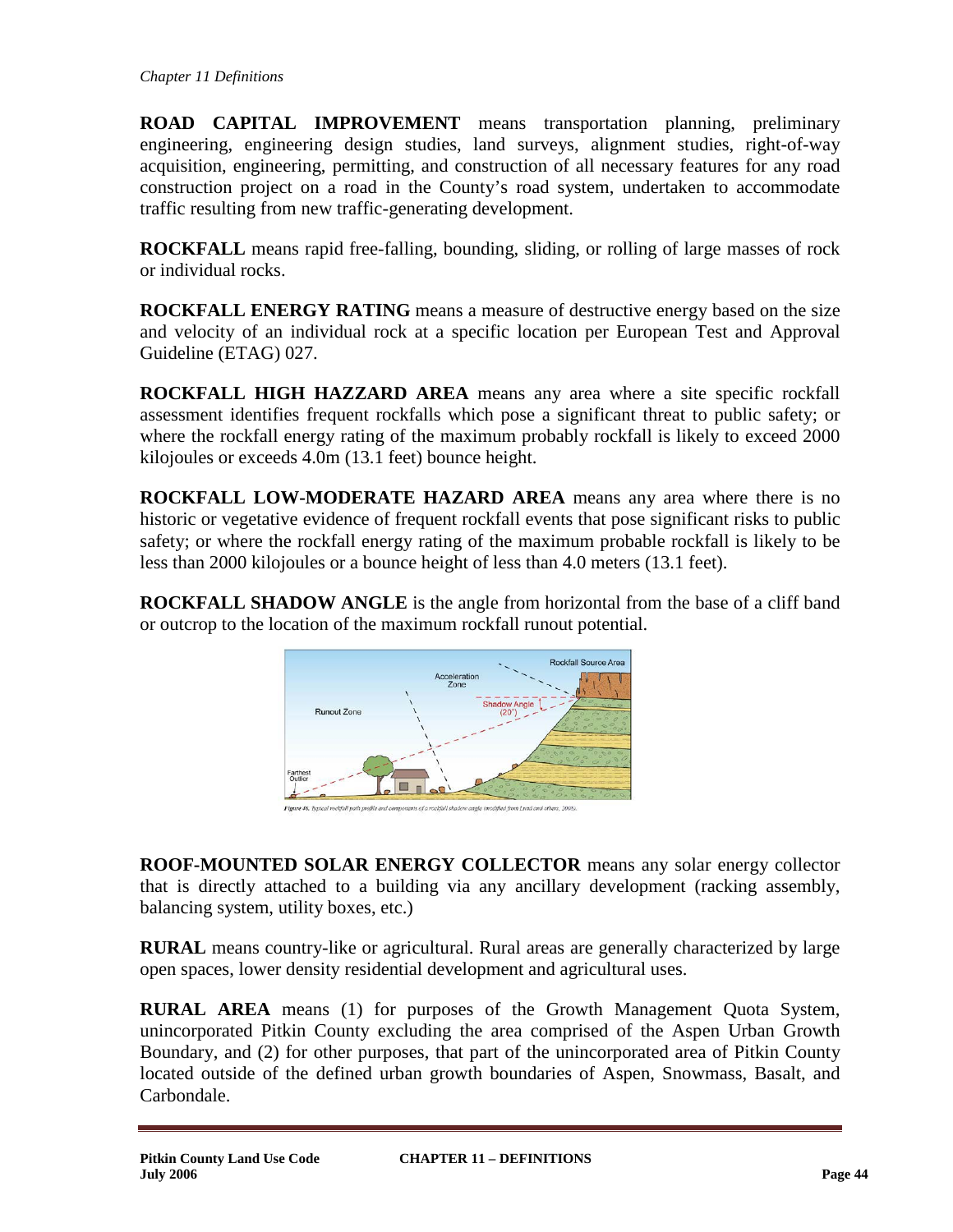**ROAD CAPITAL IMPROVEMENT** means transportation planning, preliminary engineering, engineering design studies, land surveys, alignment studies, right-of-way acquisition, engineering, permitting, and construction of all necessary features for any road construction project on a road in the County's road system, undertaken to accommodate traffic resulting from new traffic-generating development.

**ROCKFALL** means rapid free-falling, bounding, sliding, or rolling of large masses of rock or individual rocks.

**ROCKFALL ENERGY RATING** means a measure of destructive energy based on the size and velocity of an individual rock at a specific location per European Test and Approval Guideline (ETAG) 027.

**ROCKFALL HIGH HAZZARD AREA** means any area where a site specific rockfall assessment identifies frequent rockfalls which pose a significant threat to public safety; or where the rockfall energy rating of the maximum probably rockfall is likely to exceed 2000 kilojoules or exceeds 4.0m (13.1 feet) bounce height.

**ROCKFALL LOW-MODERATE HAZARD AREA** means any area where there is no historic or vegetative evidence of frequent rockfall events that pose significant risks to public safety; or where the rockfall energy rating of the maximum probable rockfall is likely to be less than 2000 kilojoules or a bounce height of less than 4.0 meters (13.1 feet).

**ROCKFALL SHADOW ANGLE** is the angle from horizontal from the base of a cliff band or outcrop to the location of the maximum rockfall runout potential.



**ROOF-MOUNTED SOLAR ENERGY COLLECTOR** means any solar energy collector that is directly attached to a building via any ancillary development (racking assembly, balancing system, utility boxes, etc.)

**RURAL** means country-like or agricultural. Rural areas are generally characterized by large open spaces, lower density residential development and agricultural uses.

**RURAL AREA** means (1) for purposes of the Growth Management Quota System, unincorporated Pitkin County excluding the area comprised of the Aspen Urban Growth Boundary, and (2) for other purposes, that part of the unincorporated area of Pitkin County located outside of the defined urban growth boundaries of Aspen, Snowmass, Basalt, and Carbondale.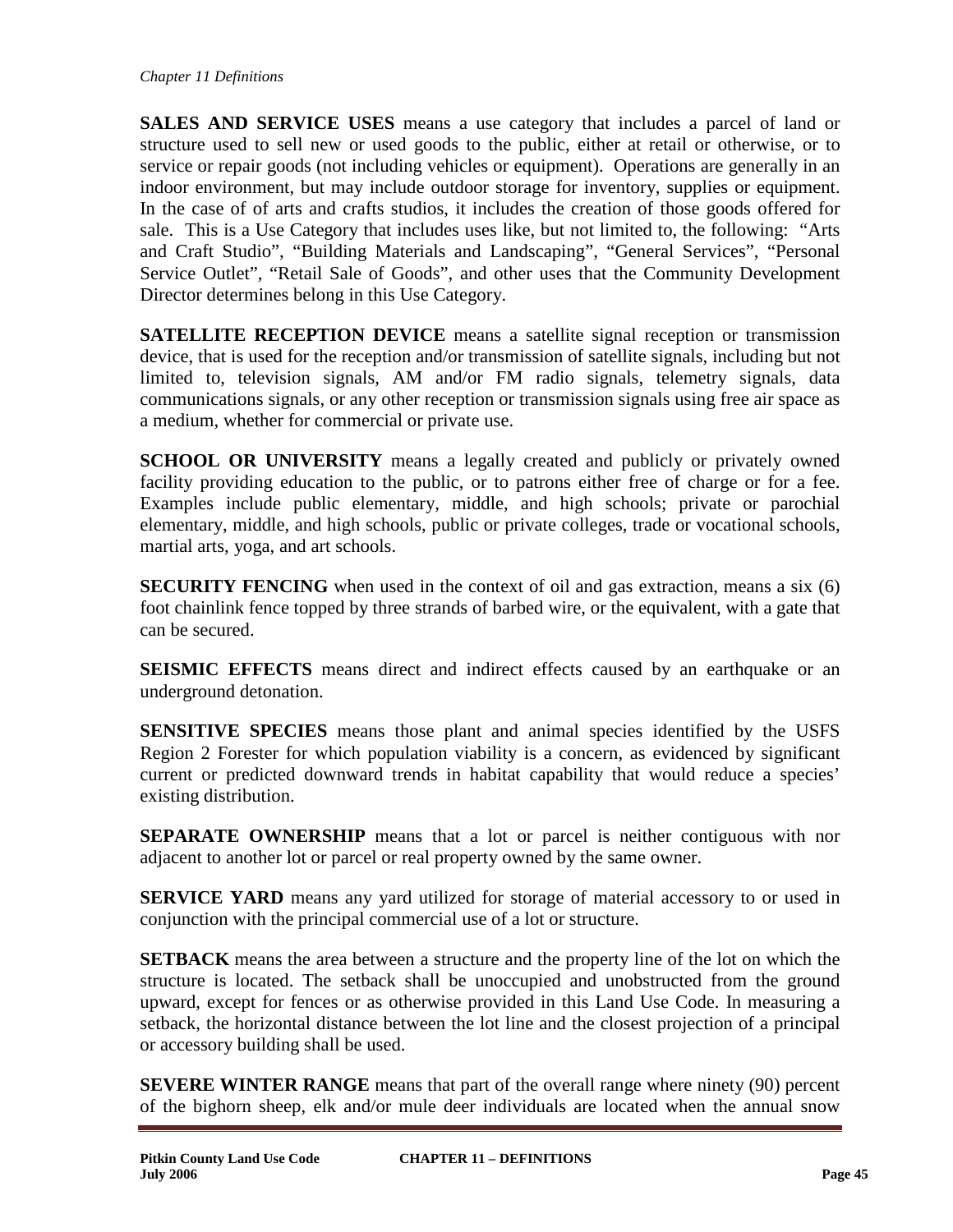**SALES AND SERVICE USES** means a use category that includes a parcel of land or structure used to sell new or used goods to the public, either at retail or otherwise, or to service or repair goods (not including vehicles or equipment). Operations are generally in an indoor environment, but may include outdoor storage for inventory, supplies or equipment. In the case of of arts and crafts studios, it includes the creation of those goods offered for sale. This is a Use Category that includes uses like, but not limited to, the following: "Arts and Craft Studio", "Building Materials and Landscaping", "General Services", "Personal Service Outlet", "Retail Sale of Goods", and other uses that the Community Development Director determines belong in this Use Category.

**SATELLITE RECEPTION DEVICE** means a satellite signal reception or transmission device, that is used for the reception and/or transmission of satellite signals, including but not limited to, television signals, AM and/or FM radio signals, telemetry signals, data communications signals, or any other reception or transmission signals using free air space as a medium, whether for commercial or private use.

**SCHOOL OR UNIVERSITY** means a legally created and publicly or privately owned facility providing education to the public, or to patrons either free of charge or for a fee. Examples include public elementary, middle, and high schools; private or parochial elementary, middle, and high schools, public or private colleges, trade or vocational schools, martial arts, yoga, and art schools.

**SECURITY FENCING** when used in the context of oil and gas extraction, means a six (6) foot chainlink fence topped by three strands of barbed wire, or the equivalent, with a gate that can be secured.

**SEISMIC EFFECTS** means direct and indirect effects caused by an earthquake or an underground detonation.

**SENSITIVE SPECIES** means those plant and animal species identified by the USFS Region 2 Forester for which population viability is a concern, as evidenced by significant current or predicted downward trends in habitat capability that would reduce a species' existing distribution.

**SEPARATE OWNERSHIP** means that a lot or parcel is neither contiguous with nor adjacent to another lot or parcel or real property owned by the same owner.

**SERVICE YARD** means any yard utilized for storage of material accessory to or used in conjunction with the principal commercial use of a lot or structure.

**SETBACK** means the area between a structure and the property line of the lot on which the structure is located. The setback shall be unoccupied and unobstructed from the ground upward, except for fences or as otherwise provided in this Land Use Code. In measuring a setback, the horizontal distance between the lot line and the closest projection of a principal or accessory building shall be used.

**SEVERE WINTER RANGE** means that part of the overall range where ninety (90) percent of the bighorn sheep, elk and/or mule deer individuals are located when the annual snow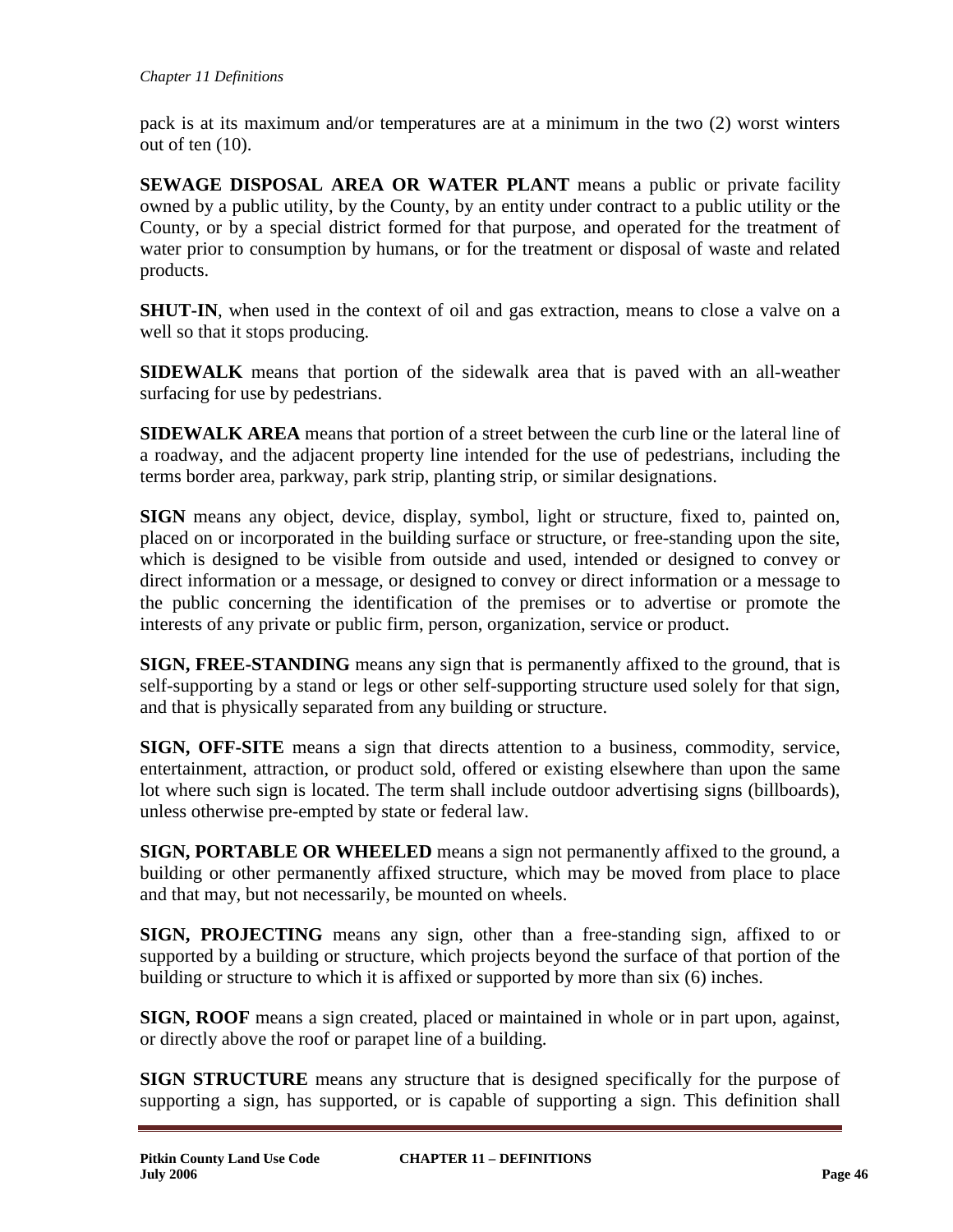pack is at its maximum and/or temperatures are at a minimum in the two (2) worst winters out of ten (10).

**SEWAGE DISPOSAL AREA OR WATER PLANT** means a public or private facility owned by a public utility, by the County, by an entity under contract to a public utility or the County, or by a special district formed for that purpose, and operated for the treatment of water prior to consumption by humans, or for the treatment or disposal of waste and related products.

**SHUT-IN**, when used in the context of oil and gas extraction, means to close a valve on a well so that it stops producing.

**SIDEWALK** means that portion of the sidewalk area that is paved with an all-weather surfacing for use by pedestrians.

**SIDEWALK AREA** means that portion of a street between the curb line or the lateral line of a roadway, and the adjacent property line intended for the use of pedestrians, including the terms border area, parkway, park strip, planting strip, or similar designations.

**SIGN** means any object, device, display, symbol, light or structure, fixed to, painted on, placed on or incorporated in the building surface or structure, or free-standing upon the site, which is designed to be visible from outside and used, intended or designed to convey or direct information or a message, or designed to convey or direct information or a message to the public concerning the identification of the premises or to advertise or promote the interests of any private or public firm, person, organization, service or product.

**SIGN, FREE-STANDING** means any sign that is permanently affixed to the ground, that is self-supporting by a stand or legs or other self-supporting structure used solely for that sign, and that is physically separated from any building or structure.

**SIGN, OFF-SITE** means a sign that directs attention to a business, commodity, service, entertainment, attraction, or product sold, offered or existing elsewhere than upon the same lot where such sign is located. The term shall include outdoor advertising signs (billboards), unless otherwise pre-empted by state or federal law.

**SIGN, PORTABLE OR WHEELED** means a sign not permanently affixed to the ground, a building or other permanently affixed structure, which may be moved from place to place and that may, but not necessarily, be mounted on wheels.

**SIGN, PROJECTING** means any sign, other than a free-standing sign, affixed to or supported by a building or structure, which projects beyond the surface of that portion of the building or structure to which it is affixed or supported by more than six (6) inches.

**SIGN, ROOF** means a sign created, placed or maintained in whole or in part upon, against, or directly above the roof or parapet line of a building.

**SIGN STRUCTURE** means any structure that is designed specifically for the purpose of supporting a sign, has supported, or is capable of supporting a sign. This definition shall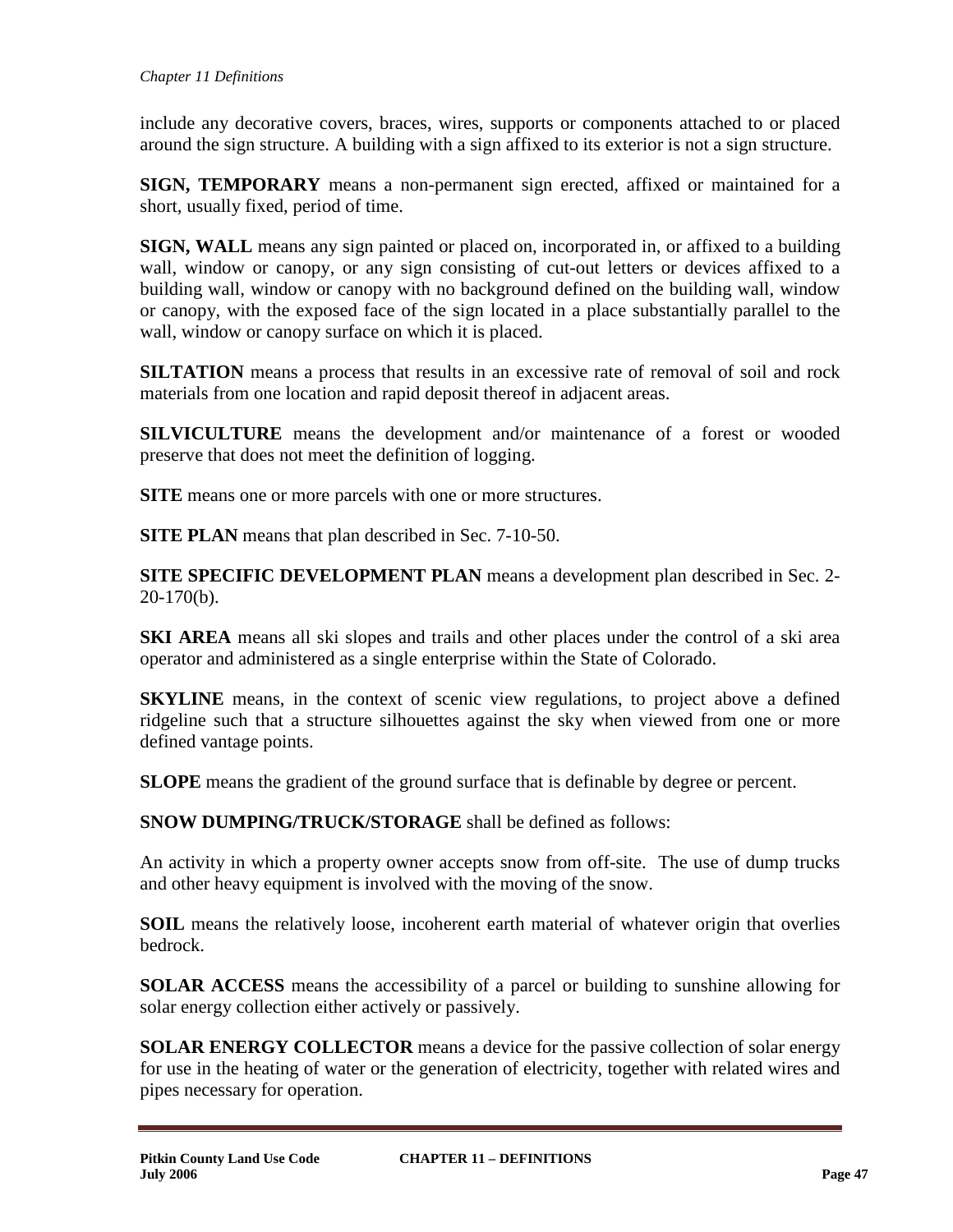include any decorative covers, braces, wires, supports or components attached to or placed around the sign structure. A building with a sign affixed to its exterior is not a sign structure.

**SIGN, TEMPORARY** means a non-permanent sign erected, affixed or maintained for a short, usually fixed, period of time.

**SIGN, WALL** means any sign painted or placed on, incorporated in, or affixed to a building wall, window or canopy, or any sign consisting of cut-out letters or devices affixed to a building wall, window or canopy with no background defined on the building wall, window or canopy, with the exposed face of the sign located in a place substantially parallel to the wall, window or canopy surface on which it is placed.

**SILTATION** means a process that results in an excessive rate of removal of soil and rock materials from one location and rapid deposit thereof in adjacent areas.

**SILVICULTURE** means the development and/or maintenance of a forest or wooded preserve that does not meet the definition of logging.

**SITE** means one or more parcels with one or more structures.

**SITE PLAN** means that plan described in Sec. 7-10-50.

**SITE SPECIFIC DEVELOPMENT PLAN** means a development plan described in Sec. 2- 20-170(b).

**SKI AREA** means all ski slopes and trails and other places under the control of a ski area operator and administered as a single enterprise within the State of Colorado.

**SKYLINE** means, in the context of scenic view regulations, to project above a defined ridgeline such that a structure silhouettes against the sky when viewed from one or more defined vantage points.

**SLOPE** means the gradient of the ground surface that is definable by degree or percent.

**SNOW DUMPING/TRUCK/STORAGE** shall be defined as follows:

An activity in which a property owner accepts snow from off-site. The use of dump trucks and other heavy equipment is involved with the moving of the snow.

**SOIL** means the relatively loose, incoherent earth material of whatever origin that overlies bedrock.

**SOLAR ACCESS** means the accessibility of a parcel or building to sunshine allowing for solar energy collection either actively or passively.

**SOLAR ENERGY COLLECTOR** means a device for the passive collection of solar energy for use in the heating of water or the generation of electricity, together with related wires and pipes necessary for operation.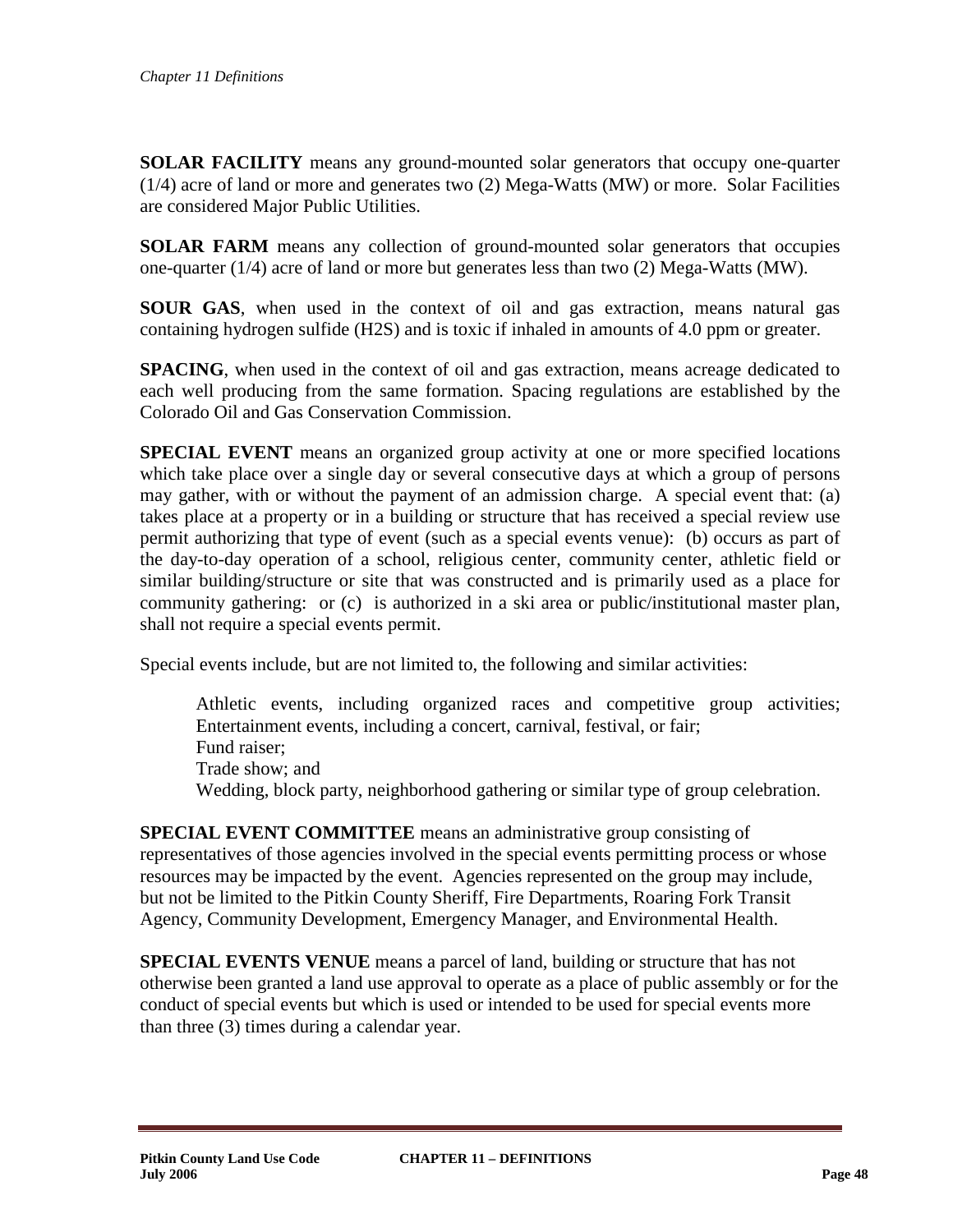**SOLAR FACILITY** means any ground-mounted solar generators that occupy one-quarter (1/4) acre of land or more and generates two (2) Mega-Watts (MW) or more. Solar Facilities are considered Major Public Utilities.

**SOLAR FARM** means any collection of ground-mounted solar generators that occupies one-quarter (1/4) acre of land or more but generates less than two (2) Mega-Watts (MW).

**SOUR GAS**, when used in the context of oil and gas extraction, means natural gas containing hydrogen sulfide (H2S) and is toxic if inhaled in amounts of 4.0 ppm or greater.

**SPACING**, when used in the context of oil and gas extraction, means acreage dedicated to each well producing from the same formation. Spacing regulations are established by the Colorado Oil and Gas Conservation Commission.

**SPECIAL EVENT** means an organized group activity at one or more specified locations which take place over a single day or several consecutive days at which a group of persons may gather, with or without the payment of an admission charge. A special event that: (a) takes place at a property or in a building or structure that has received a special review use permit authorizing that type of event (such as a special events venue): (b) occurs as part of the day-to-day operation of a school, religious center, community center, athletic field or similar building/structure or site that was constructed and is primarily used as a place for community gathering: or (c) is authorized in a ski area or public/institutional master plan, shall not require a special events permit.

Special events include, but are not limited to, the following and similar activities:

Athletic events, including organized races and competitive group activities; Entertainment events, including a concert, carnival, festival, or fair; Fund raiser; Trade show; and Wedding, block party, neighborhood gathering or similar type of group celebration.

**SPECIAL EVENT COMMITTEE** means an administrative group consisting of representatives of those agencies involved in the special events permitting process or whose resources may be impacted by the event. Agencies represented on the group may include, but not be limited to the Pitkin County Sheriff, Fire Departments, Roaring Fork Transit Agency, Community Development, Emergency Manager, and Environmental Health.

**SPECIAL EVENTS VENUE** means a parcel of land, building or structure that has not otherwise been granted a land use approval to operate as a place of public assembly or for the conduct of special events but which is used or intended to be used for special events more than three (3) times during a calendar year.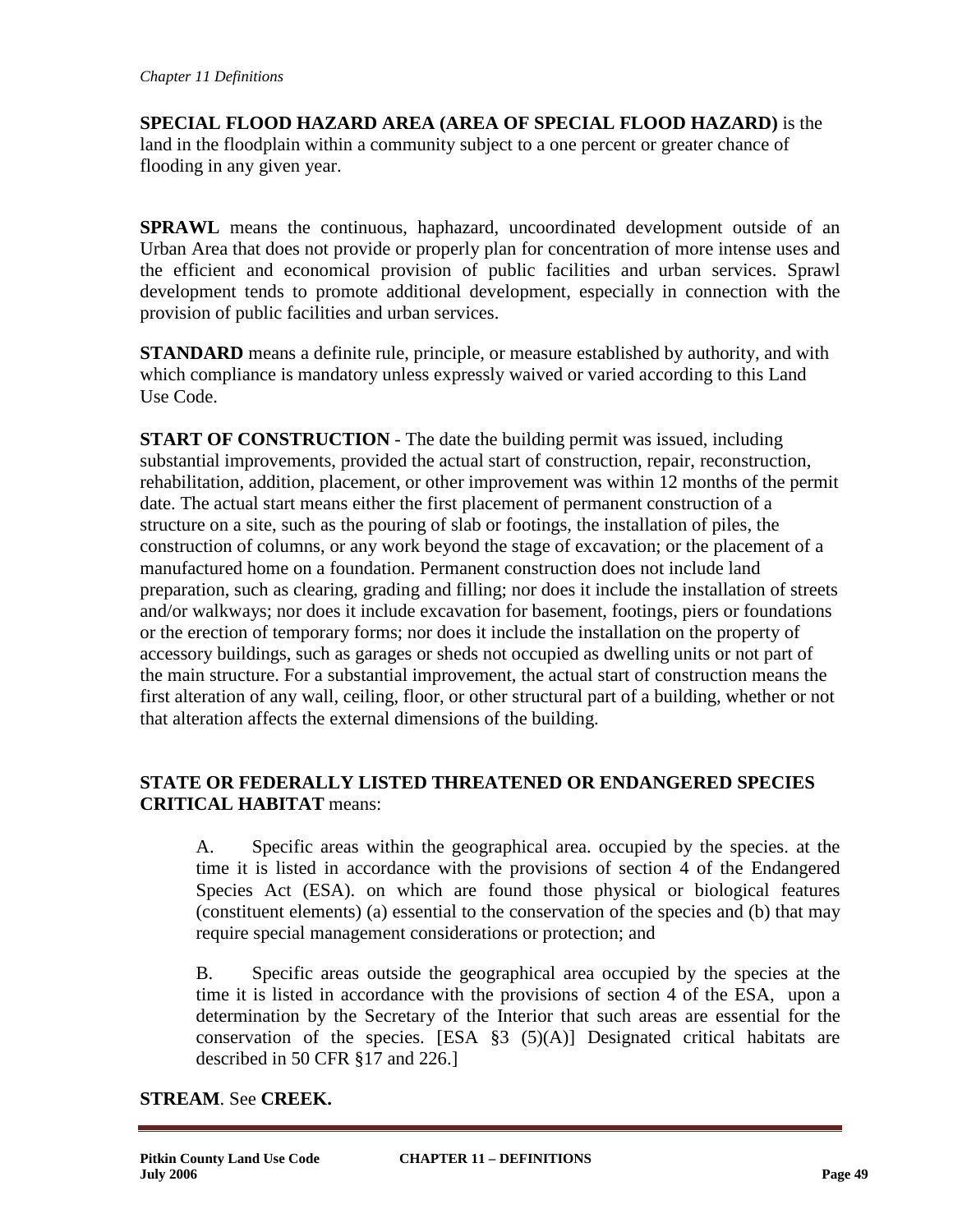**SPECIAL FLOOD HAZARD AREA (AREA OF SPECIAL FLOOD HAZARD)** is the land in the floodplain within a community subject to a one percent or greater chance of flooding in any given year.

**SPRAWL** means the continuous, haphazard, uncoordinated development outside of an Urban Area that does not provide or properly plan for concentration of more intense uses and the efficient and economical provision of public facilities and urban services. Sprawl development tends to promote additional development, especially in connection with the provision of public facilities and urban services.

**STANDARD** means a definite rule, principle, or measure established by authority, and with which compliance is mandatory unless expressly waived or varied according to this Land Use Code.

**START OF CONSTRUCTION** - The date the building permit was issued, including substantial improvements, provided the actual start of construction, repair, reconstruction, rehabilitation, addition, placement, or other improvement was within 12 months of the permit date. The actual start means either the first placement of permanent construction of a structure on a site, such as the pouring of slab or footings, the installation of piles, the construction of columns, or any work beyond the stage of excavation; or the placement of a manufactured home on a foundation. Permanent construction does not include land preparation, such as clearing, grading and filling; nor does it include the installation of streets and/or walkways; nor does it include excavation for basement, footings, piers or foundations or the erection of temporary forms; nor does it include the installation on the property of accessory buildings, such as garages or sheds not occupied as dwelling units or not part of the main structure. For a substantial improvement, the actual start of construction means the first alteration of any wall, ceiling, floor, or other structural part of a building, whether or not that alteration affects the external dimensions of the building.

# **STATE OR FEDERALLY LISTED THREATENED OR ENDANGERED SPECIES CRITICAL HABITAT** means:

A. Specific areas within the geographical area. occupied by the species. at the time it is listed in accordance with the provisions of section 4 of the Endangered Species Act (ESA). on which are found those physical or biological features (constituent elements) (a) essential to the conservation of the species and (b) that may require special management considerations or protection; and

B. Specific areas outside the geographical area occupied by the species at the time it is listed in accordance with the provisions of section 4 of the ESA, upon a determination by the Secretary of the Interior that such areas are essential for the conservation of the species. [ESA  $\S3$  (5)(A)] Designated critical habitats are described in 50 CFR §17 and 226.]

# **STREAM**. See **CREEK.**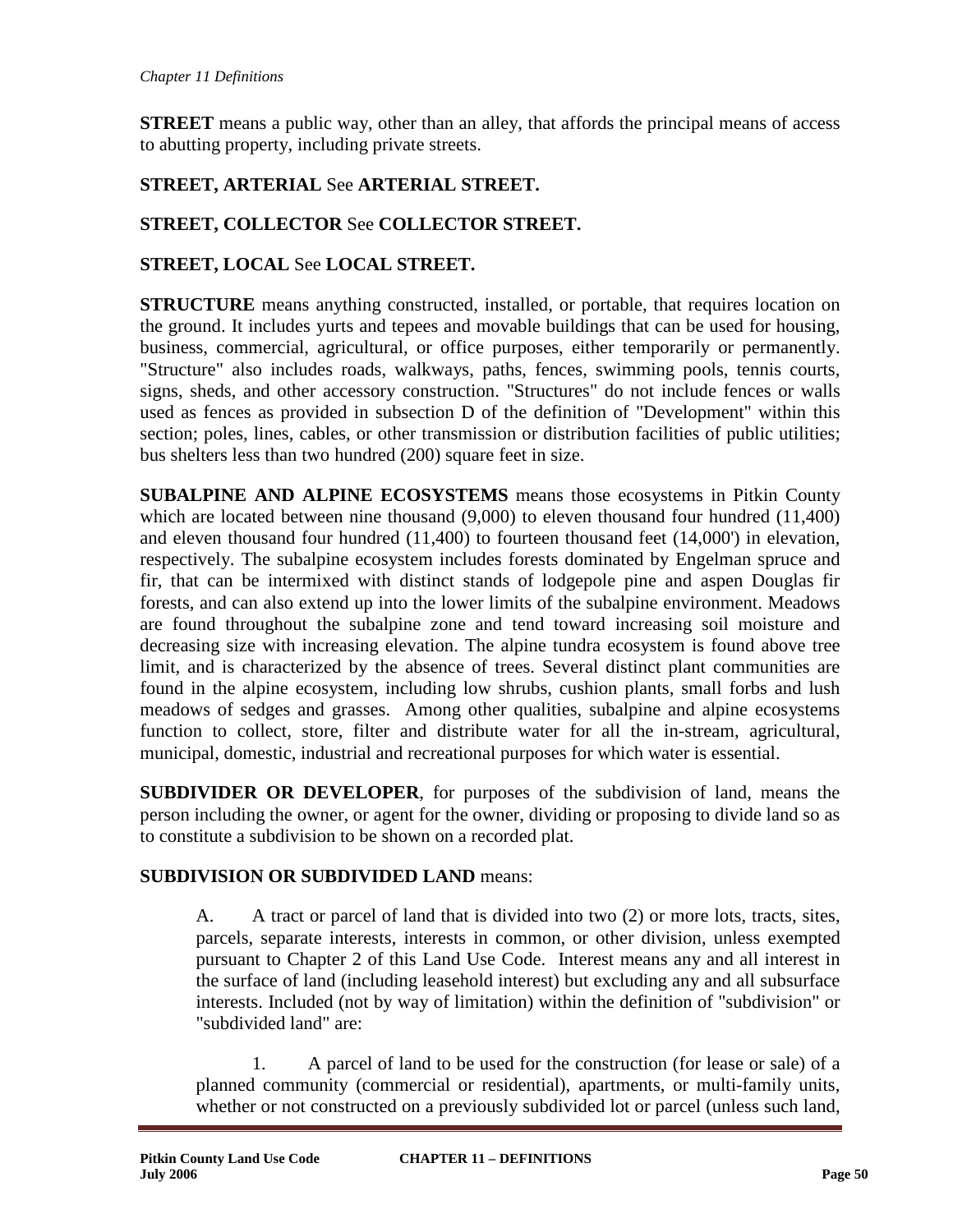**STREET** means a public way, other than an alley, that affords the principal means of access to abutting property, including private streets.

# **STREET, ARTERIAL** See **ARTERIAL STREET.**

# **STREET, COLLECTOR** See **COLLECTOR STREET.**

## **STREET, LOCAL** See **LOCAL STREET.**

**STRUCTURE** means anything constructed, installed, or portable, that requires location on the ground. It includes yurts and tepees and movable buildings that can be used for housing, business, commercial, agricultural, or office purposes, either temporarily or permanently. "Structure" also includes roads, walkways, paths, fences, swimming pools, tennis courts, signs, sheds, and other accessory construction. "Structures" do not include fences or walls used as fences as provided in subsection D of the definition of "Development" within this section; poles, lines, cables, or other transmission or distribution facilities of public utilities; bus shelters less than two hundred (200) square feet in size.

**SUBALPINE AND ALPINE ECOSYSTEMS** means those ecosystems in Pitkin County which are located between nine thousand (9,000) to eleven thousand four hundred (11,400) and eleven thousand four hundred (11,400) to fourteen thousand feet (14,000') in elevation, respectively. The subalpine ecosystem includes forests dominated by Engelman spruce and fir, that can be intermixed with distinct stands of lodgepole pine and aspen Douglas fir forests, and can also extend up into the lower limits of the subalpine environment. Meadows are found throughout the subalpine zone and tend toward increasing soil moisture and decreasing size with increasing elevation. The alpine tundra ecosystem is found above tree limit, and is characterized by the absence of trees. Several distinct plant communities are found in the alpine ecosystem, including low shrubs, cushion plants, small forbs and lush meadows of sedges and grasses. Among other qualities, subalpine and alpine ecosystems function to collect, store, filter and distribute water for all the in-stream, agricultural, municipal, domestic, industrial and recreational purposes for which water is essential.

**SUBDIVIDER OR DEVELOPER**, for purposes of the subdivision of land, means the person including the owner, or agent for the owner, dividing or proposing to divide land so as to constitute a subdivision to be shown on a recorded plat.

### **SUBDIVISION OR SUBDIVIDED LAND** means:

A. A tract or parcel of land that is divided into two (2) or more lots, tracts, sites, parcels, separate interests, interests in common, or other division, unless exempted pursuant to Chapter 2 of this Land Use Code. Interest means any and all interest in the surface of land (including leasehold interest) but excluding any and all subsurface interests. Included (not by way of limitation) within the definition of "subdivision" or "subdivided land" are:

1. A parcel of land to be used for the construction (for lease or sale) of a planned community (commercial or residential), apartments, or multi-family units, whether or not constructed on a previously subdivided lot or parcel (unless such land,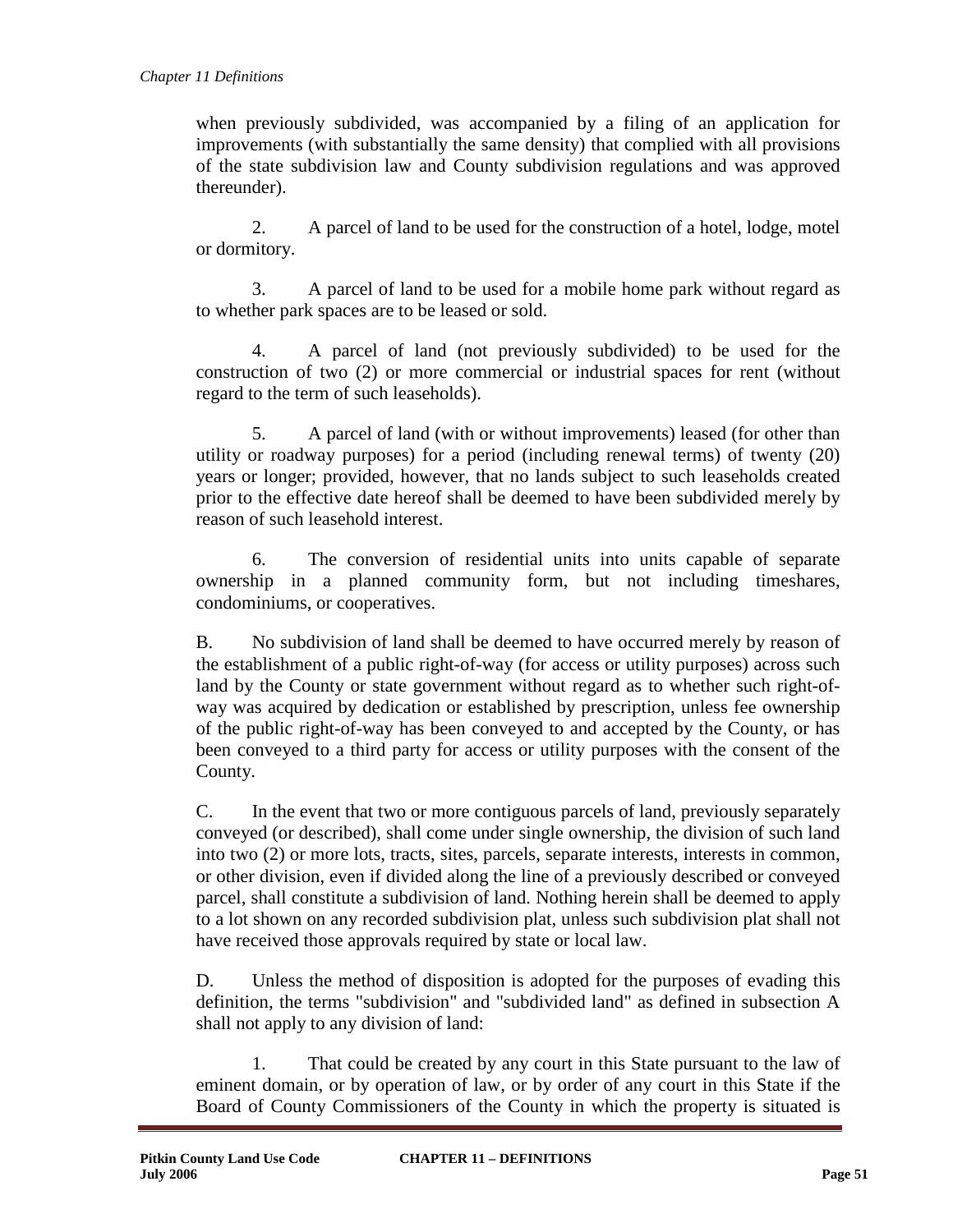when previously subdivided, was accompanied by a filing of an application for improvements (with substantially the same density) that complied with all provisions of the state subdivision law and County subdivision regulations and was approved thereunder).

2. A parcel of land to be used for the construction of a hotel, lodge, motel or dormitory.

3. A parcel of land to be used for a mobile home park without regard as to whether park spaces are to be leased or sold.

4. A parcel of land (not previously subdivided) to be used for the construction of two (2) or more commercial or industrial spaces for rent (without regard to the term of such leaseholds).

5. A parcel of land (with or without improvements) leased (for other than utility or roadway purposes) for a period (including renewal terms) of twenty (20) years or longer; provided, however, that no lands subject to such leaseholds created prior to the effective date hereof shall be deemed to have been subdivided merely by reason of such leasehold interest.

6. The conversion of residential units into units capable of separate ownership in a planned community form, but not including timeshares, condominiums, or cooperatives.

B. No subdivision of land shall be deemed to have occurred merely by reason of the establishment of a public right-of-way (for access or utility purposes) across such land by the County or state government without regard as to whether such right-ofway was acquired by dedication or established by prescription, unless fee ownership of the public right-of-way has been conveyed to and accepted by the County, or has been conveyed to a third party for access or utility purposes with the consent of the County.

C. In the event that two or more contiguous parcels of land, previously separately conveyed (or described), shall come under single ownership, the division of such land into two (2) or more lots, tracts, sites, parcels, separate interests, interests in common, or other division, even if divided along the line of a previously described or conveyed parcel, shall constitute a subdivision of land. Nothing herein shall be deemed to apply to a lot shown on any recorded subdivision plat, unless such subdivision plat shall not have received those approvals required by state or local law.

D. Unless the method of disposition is adopted for the purposes of evading this definition, the terms "subdivision" and "subdivided land" as defined in subsection A shall not apply to any division of land:

1. That could be created by any court in this State pursuant to the law of eminent domain, or by operation of law, or by order of any court in this State if the Board of County Commissioners of the County in which the property is situated is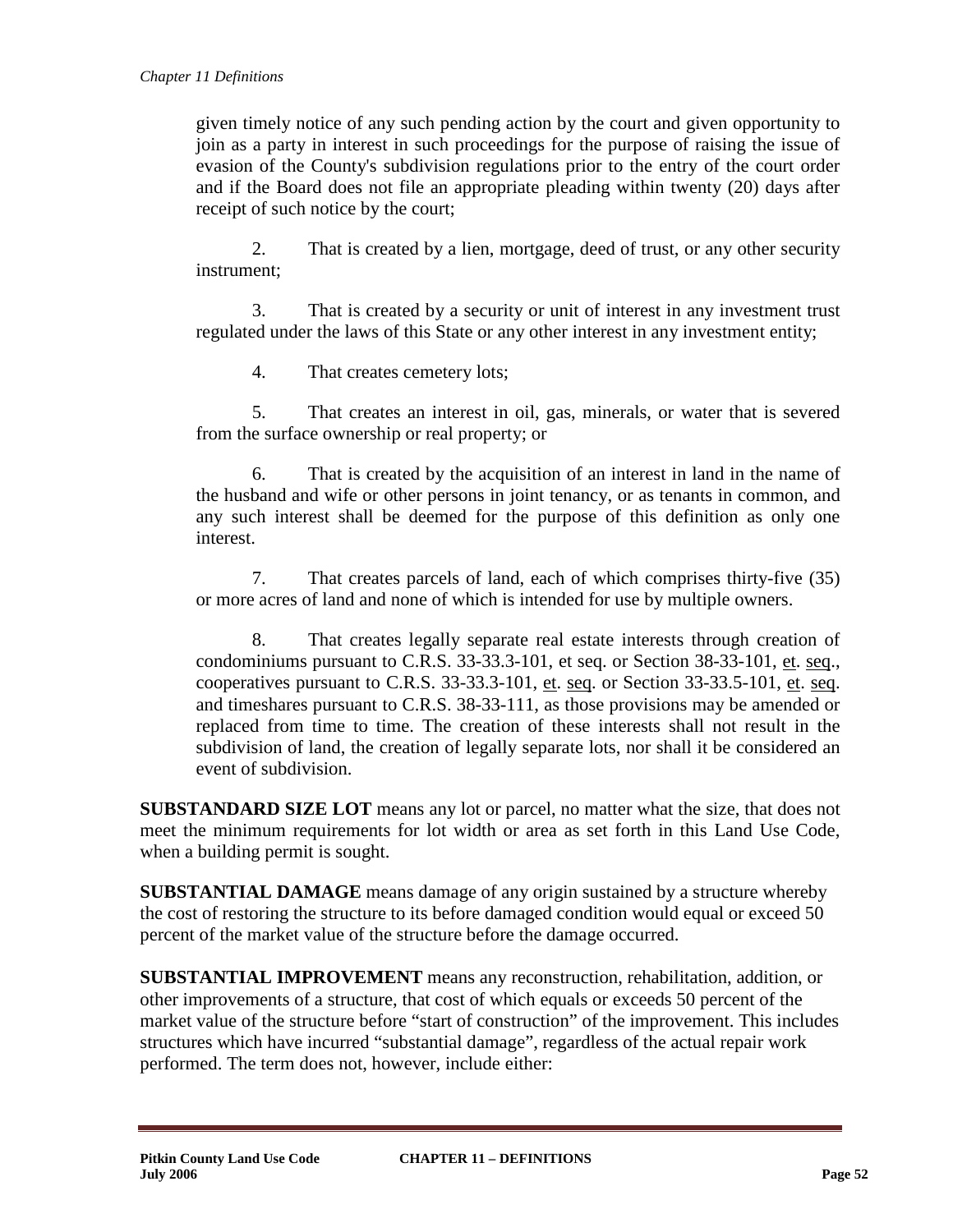given timely notice of any such pending action by the court and given opportunity to join as a party in interest in such proceedings for the purpose of raising the issue of evasion of the County's subdivision regulations prior to the entry of the court order and if the Board does not file an appropriate pleading within twenty (20) days after receipt of such notice by the court;

2. That is created by a lien, mortgage, deed of trust, or any other security instrument;

3. That is created by a security or unit of interest in any investment trust regulated under the laws of this State or any other interest in any investment entity;

4. That creates cemetery lots;

5. That creates an interest in oil, gas, minerals, or water that is severed from the surface ownership or real property; or

6. That is created by the acquisition of an interest in land in the name of the husband and wife or other persons in joint tenancy, or as tenants in common, and any such interest shall be deemed for the purpose of this definition as only one interest.

7. That creates parcels of land, each of which comprises thirty-five (35) or more acres of land and none of which is intended for use by multiple owners.

8. That creates legally separate real estate interests through creation of condominiums pursuant to C.R.S. 33-33.3-101, et seq. or Section 38-33-101, et. seq., cooperatives pursuant to C.R.S.  $33-33.3-101$ , et. seq. or Section  $33-33.5-101$ , et. seq. and timeshares pursuant to C.R.S. 38-33-111, as those provisions may be amended or replaced from time to time. The creation of these interests shall not result in the subdivision of land, the creation of legally separate lots, nor shall it be considered an event of subdivision.

**SUBSTANDARD SIZE LOT** means any lot or parcel, no matter what the size, that does not meet the minimum requirements for lot width or area as set forth in this Land Use Code, when a building permit is sought.

**SUBSTANTIAL DAMAGE** means damage of any origin sustained by a structure whereby the cost of restoring the structure to its before damaged condition would equal or exceed 50 percent of the market value of the structure before the damage occurred.

**SUBSTANTIAL IMPROVEMENT** means any reconstruction, rehabilitation, addition, or other improvements of a structure, that cost of which equals or exceeds 50 percent of the market value of the structure before "start of construction" of the improvement. This includes structures which have incurred "substantial damage", regardless of the actual repair work performed. The term does not, however, include either: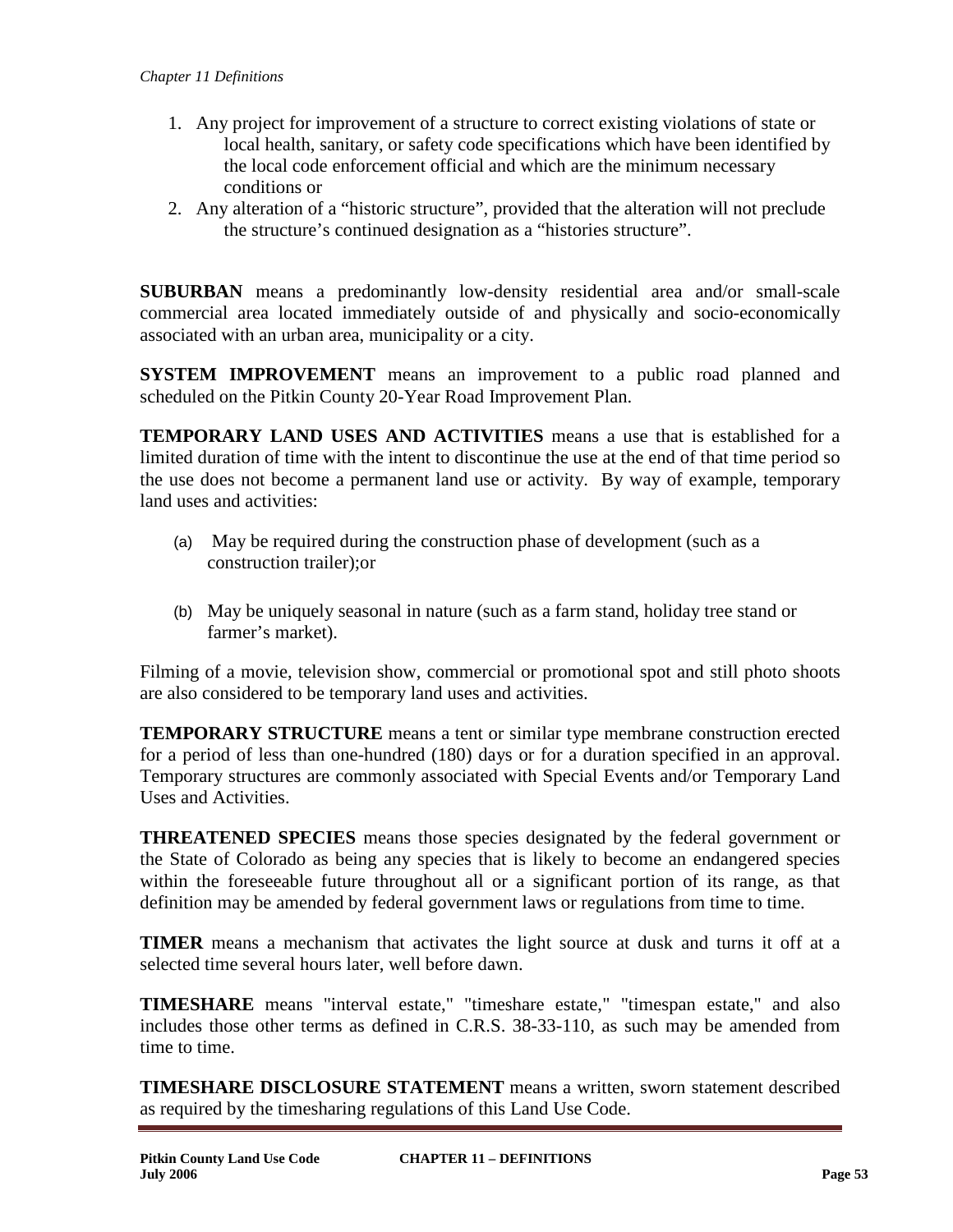- 1. Any project for improvement of a structure to correct existing violations of state or local health, sanitary, or safety code specifications which have been identified by the local code enforcement official and which are the minimum necessary conditions or
- 2. Any alteration of a "historic structure", provided that the alteration will not preclude the structure's continued designation as a "histories structure".

**SUBURBAN** means a predominantly low-density residential area and/or small-scale commercial area located immediately outside of and physically and socio-economically associated with an urban area, municipality or a city.

**SYSTEM IMPROVEMENT** means an improvement to a public road planned and scheduled on the Pitkin County 20-Year Road Improvement Plan.

**TEMPORARY LAND USES AND ACTIVITIES** means a use that is established for a limited duration of time with the intent to discontinue the use at the end of that time period so the use does not become a permanent land use or activity. By way of example, temporary land uses and activities:

- (a) May be required during the construction phase of development (such as a construction trailer);or
- (b) May be uniquely seasonal in nature (such as a farm stand, holiday tree stand or farmer's market).

Filming of a movie, television show, commercial or promotional spot and still photo shoots are also considered to be temporary land uses and activities.

**TEMPORARY STRUCTURE** means a tent or similar type membrane construction erected for a period of less than one-hundred (180) days or for a duration specified in an approval. Temporary structures are commonly associated with Special Events and/or Temporary Land Uses and Activities.

**THREATENED SPECIES** means those species designated by the federal government or the State of Colorado as being any species that is likely to become an endangered species within the foreseeable future throughout all or a significant portion of its range, as that definition may be amended by federal government laws or regulations from time to time.

**TIMER** means a mechanism that activates the light source at dusk and turns it off at a selected time several hours later, well before dawn.

**TIMESHARE** means "interval estate," "timeshare estate," "timespan estate," and also includes those other terms as defined in C.R.S. 38-33-110, as such may be amended from time to time.

**TIMESHARE DISCLOSURE STATEMENT** means a written, sworn statement described as required by the timesharing regulations of this Land Use Code.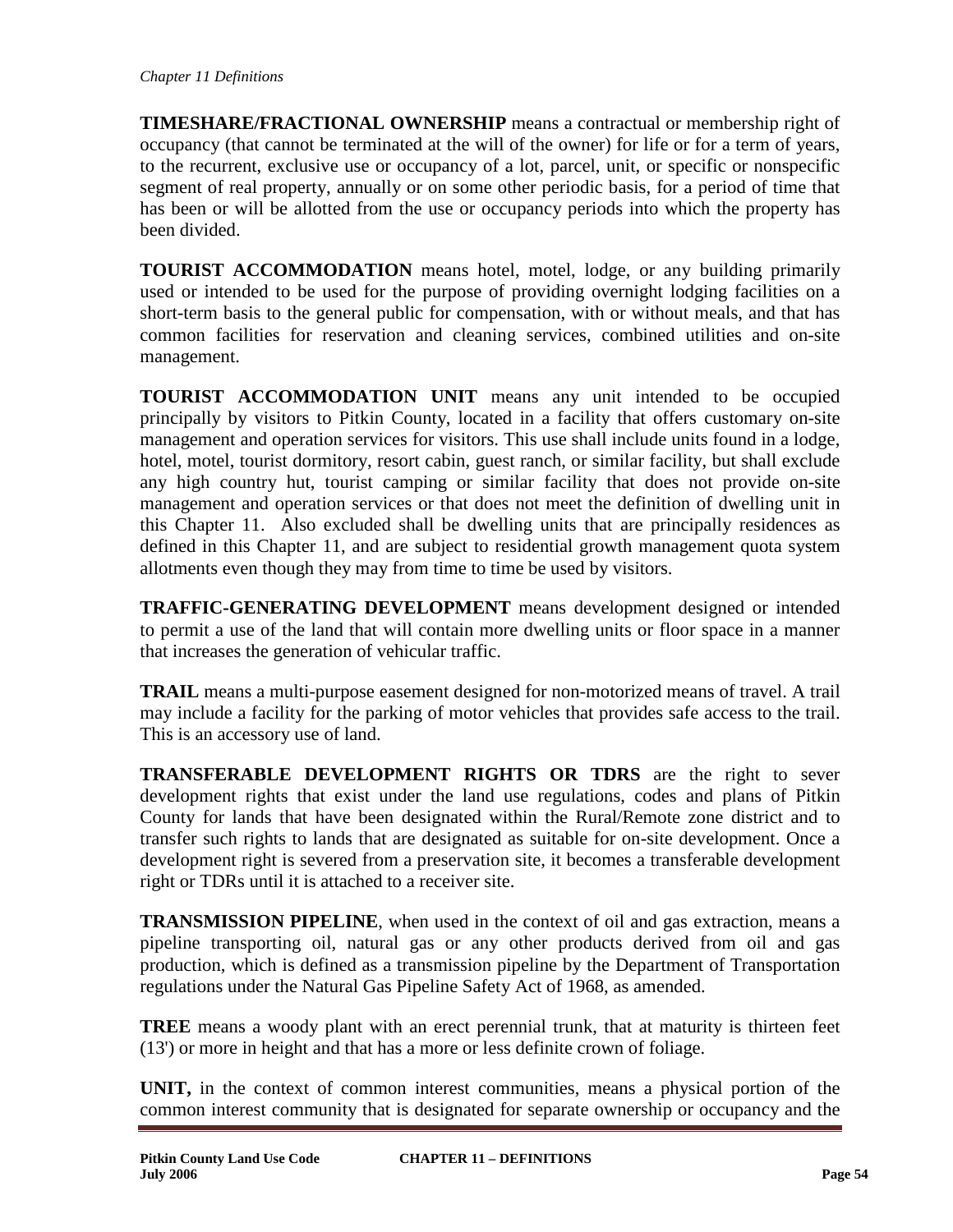**TIMESHARE/FRACTIONAL OWNERSHIP** means a contractual or membership right of occupancy (that cannot be terminated at the will of the owner) for life or for a term of years, to the recurrent, exclusive use or occupancy of a lot, parcel, unit, or specific or nonspecific segment of real property, annually or on some other periodic basis, for a period of time that has been or will be allotted from the use or occupancy periods into which the property has been divided.

**TOURIST ACCOMMODATION** means hotel, motel, lodge, or any building primarily used or intended to be used for the purpose of providing overnight lodging facilities on a short-term basis to the general public for compensation, with or without meals, and that has common facilities for reservation and cleaning services, combined utilities and on-site management.

**TOURIST ACCOMMODATION UNIT** means any unit intended to be occupied principally by visitors to Pitkin County, located in a facility that offers customary on-site management and operation services for visitors. This use shall include units found in a lodge, hotel, motel, tourist dormitory, resort cabin, guest ranch, or similar facility, but shall exclude any high country hut, tourist camping or similar facility that does not provide on-site management and operation services or that does not meet the definition of dwelling unit in this Chapter 11. Also excluded shall be dwelling units that are principally residences as defined in this Chapter 11, and are subject to residential growth management quota system allotments even though they may from time to time be used by visitors.

**TRAFFIC-GENERATING DEVELOPMENT** means development designed or intended to permit a use of the land that will contain more dwelling units or floor space in a manner that increases the generation of vehicular traffic.

**TRAIL** means a multi-purpose easement designed for non-motorized means of travel. A trail may include a facility for the parking of motor vehicles that provides safe access to the trail. This is an accessory use of land.

**TRANSFERABLE DEVELOPMENT RIGHTS OR TDRS** are the right to sever development rights that exist under the land use regulations, codes and plans of Pitkin County for lands that have been designated within the Rural/Remote zone district and to transfer such rights to lands that are designated as suitable for on-site development. Once a development right is severed from a preservation site, it becomes a transferable development right or TDRs until it is attached to a receiver site.

**TRANSMISSION PIPELINE**, when used in the context of oil and gas extraction, means a pipeline transporting oil, natural gas or any other products derived from oil and gas production, which is defined as a transmission pipeline by the Department of Transportation regulations under the Natural Gas Pipeline Safety Act of 1968, as amended.

**TREE** means a woody plant with an erect perennial trunk, that at maturity is thirteen feet (13') or more in height and that has a more or less definite crown of foliage.

**UNIT,** in the context of common interest communities, means a physical portion of the common interest community that is designated for separate ownership or occupancy and the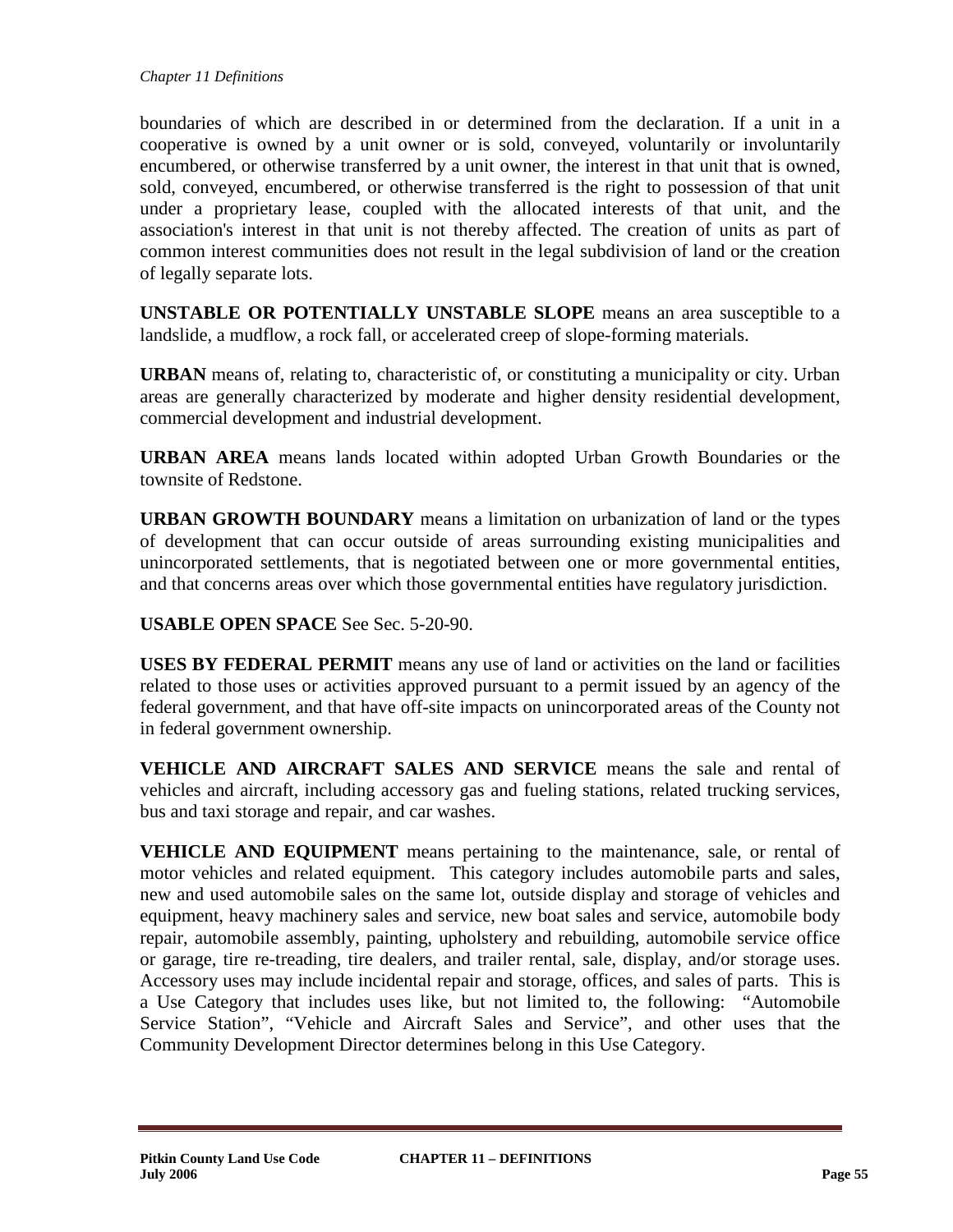boundaries of which are described in or determined from the declaration. If a unit in a cooperative is owned by a unit owner or is sold, conveyed, voluntarily or involuntarily encumbered, or otherwise transferred by a unit owner, the interest in that unit that is owned, sold, conveyed, encumbered, or otherwise transferred is the right to possession of that unit under a proprietary lease, coupled with the allocated interests of that unit, and the association's interest in that unit is not thereby affected. The creation of units as part of common interest communities does not result in the legal subdivision of land or the creation of legally separate lots.

**UNSTABLE OR POTENTIALLY UNSTABLE SLOPE** means an area susceptible to a landslide, a mudflow, a rock fall, or accelerated creep of slope-forming materials.

**URBAN** means of, relating to, characteristic of, or constituting a municipality or city. Urban areas are generally characterized by moderate and higher density residential development, commercial development and industrial development.

**URBAN AREA** means lands located within adopted Urban Growth Boundaries or the townsite of Redstone.

**URBAN GROWTH BOUNDARY** means a limitation on urbanization of land or the types of development that can occur outside of areas surrounding existing municipalities and unincorporated settlements, that is negotiated between one or more governmental entities, and that concerns areas over which those governmental entities have regulatory jurisdiction.

**USABLE OPEN SPACE** See Sec. 5-20-90.

**USES BY FEDERAL PERMIT** means any use of land or activities on the land or facilities related to those uses or activities approved pursuant to a permit issued by an agency of the federal government, and that have off-site impacts on unincorporated areas of the County not in federal government ownership.

**VEHICLE AND AIRCRAFT SALES AND SERVICE** means the sale and rental of vehicles and aircraft, including accessory gas and fueling stations, related trucking services, bus and taxi storage and repair, and car washes.

**VEHICLE AND EQUIPMENT** means pertaining to the maintenance, sale, or rental of motor vehicles and related equipment. This category includes automobile parts and sales, new and used automobile sales on the same lot, outside display and storage of vehicles and equipment, heavy machinery sales and service, new boat sales and service, automobile body repair, automobile assembly, painting, upholstery and rebuilding, automobile service office or garage, tire re-treading, tire dealers, and trailer rental, sale, display, and/or storage uses. Accessory uses may include incidental repair and storage, offices, and sales of parts. This is a Use Category that includes uses like, but not limited to, the following: "Automobile Service Station", "Vehicle and Aircraft Sales and Service", and other uses that the Community Development Director determines belong in this Use Category.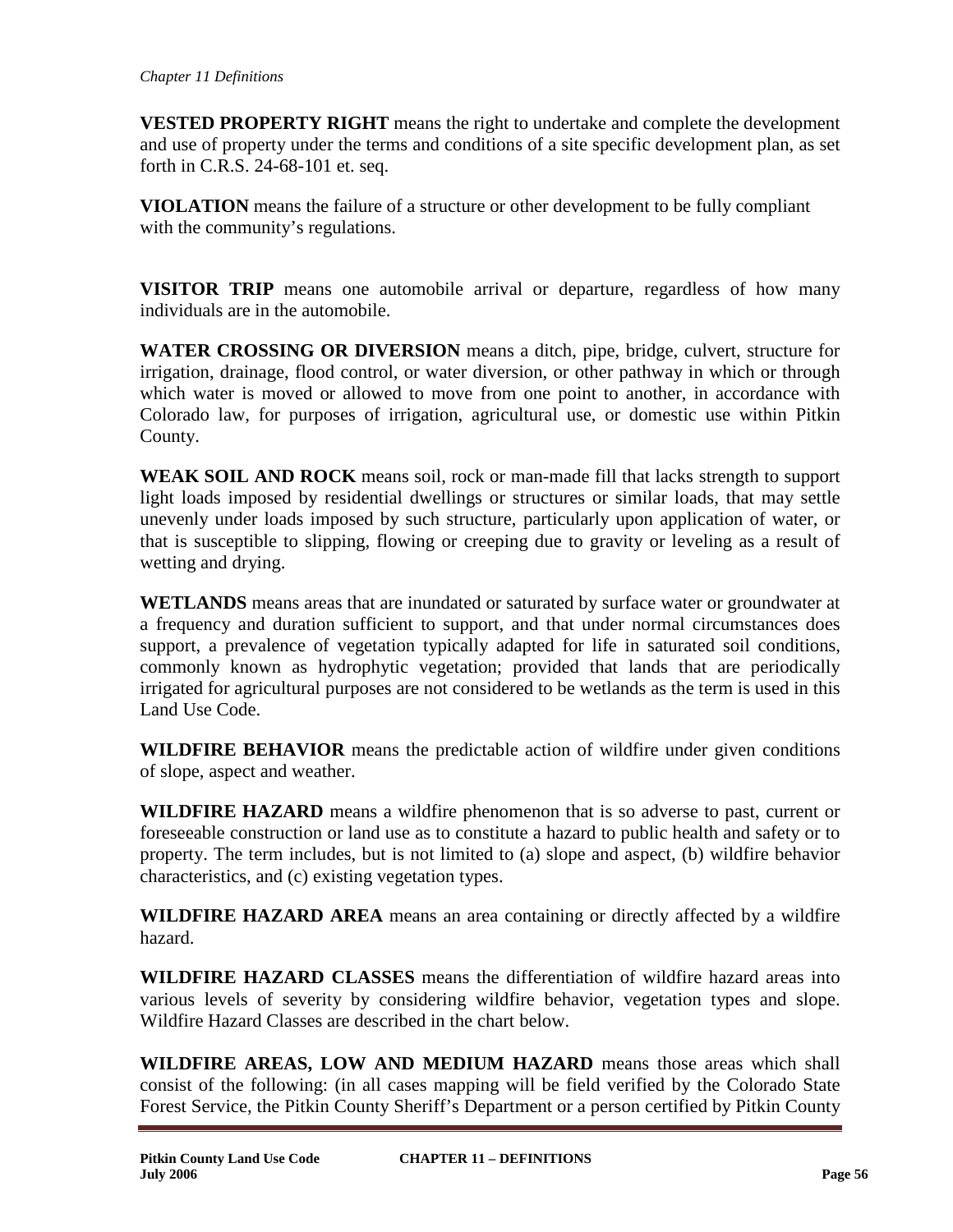**VESTED PROPERTY RIGHT** means the right to undertake and complete the development and use of property under the terms and conditions of a site specific development plan, as set forth in C.R.S. 24-68-101 et. seq.

**VIOLATION** means the failure of a structure or other development to be fully compliant with the community's regulations.

**VISITOR TRIP** means one automobile arrival or departure, regardless of how many individuals are in the automobile.

**WATER CROSSING OR DIVERSION** means a ditch, pipe, bridge, culvert, structure for irrigation, drainage, flood control, or water diversion, or other pathway in which or through which water is moved or allowed to move from one point to another, in accordance with Colorado law, for purposes of irrigation, agricultural use, or domestic use within Pitkin County.

**WEAK SOIL AND ROCK** means soil, rock or man-made fill that lacks strength to support light loads imposed by residential dwellings or structures or similar loads, that may settle unevenly under loads imposed by such structure, particularly upon application of water, or that is susceptible to slipping, flowing or creeping due to gravity or leveling as a result of wetting and drying.

**WETLANDS** means areas that are inundated or saturated by surface water or groundwater at a frequency and duration sufficient to support, and that under normal circumstances does support, a prevalence of vegetation typically adapted for life in saturated soil conditions, commonly known as hydrophytic vegetation; provided that lands that are periodically irrigated for agricultural purposes are not considered to be wetlands as the term is used in this Land Use Code.

**WILDFIRE BEHAVIOR** means the predictable action of wildfire under given conditions of slope, aspect and weather.

**WILDFIRE HAZARD** means a wildfire phenomenon that is so adverse to past, current or foreseeable construction or land use as to constitute a hazard to public health and safety or to property. The term includes, but is not limited to (a) slope and aspect, (b) wildfire behavior characteristics, and (c) existing vegetation types.

**WILDFIRE HAZARD AREA** means an area containing or directly affected by a wildfire hazard.

**WILDFIRE HAZARD CLASSES** means the differentiation of wildfire hazard areas into various levels of severity by considering wildfire behavior, vegetation types and slope. Wildfire Hazard Classes are described in the chart below.

**WILDFIRE AREAS, LOW AND MEDIUM HAZARD** means those areas which shall consist of the following: (in all cases mapping will be field verified by the Colorado State Forest Service, the Pitkin County Sheriff's Department or a person certified by Pitkin County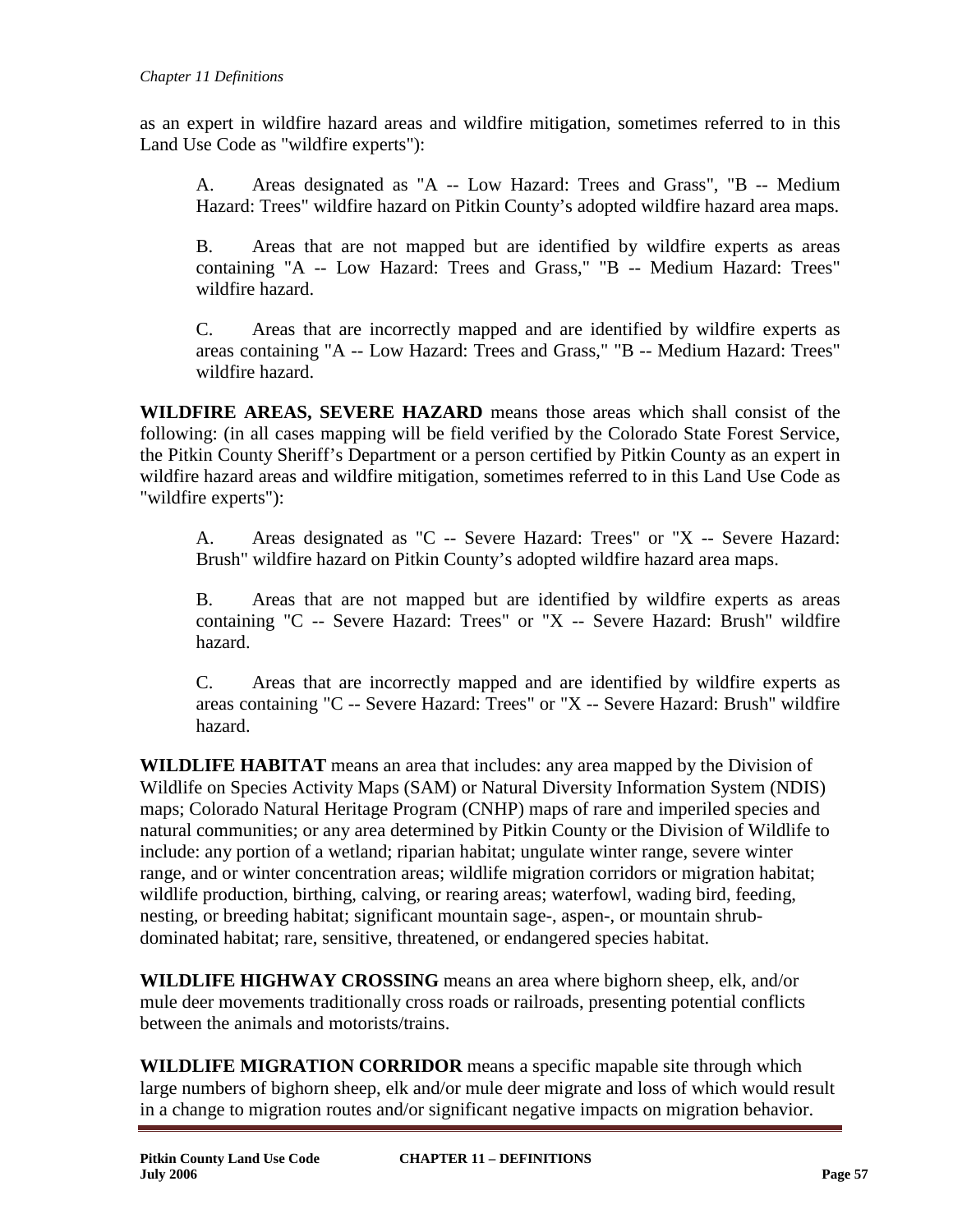as an expert in wildfire hazard areas and wildfire mitigation, sometimes referred to in this Land Use Code as "wildfire experts"):

A. Areas designated as "A -- Low Hazard: Trees and Grass", "B -- Medium Hazard: Trees" wildfire hazard on Pitkin County's adopted wildfire hazard area maps.

B. Areas that are not mapped but are identified by wildfire experts as areas containing "A -- Low Hazard: Trees and Grass," "B -- Medium Hazard: Trees" wildfire hazard.

C. Areas that are incorrectly mapped and are identified by wildfire experts as areas containing "A -- Low Hazard: Trees and Grass," "B -- Medium Hazard: Trees" wildfire hazard.

**WILDFIRE AREAS, SEVERE HAZARD** means those areas which shall consist of the following: (in all cases mapping will be field verified by the Colorado State Forest Service, the Pitkin County Sheriff's Department or a person certified by Pitkin County as an expert in wildfire hazard areas and wildfire mitigation, sometimes referred to in this Land Use Code as "wildfire experts"):

A. Areas designated as "C -- Severe Hazard: Trees" or "X -- Severe Hazard: Brush" wildfire hazard on Pitkin County's adopted wildfire hazard area maps.

B. Areas that are not mapped but are identified by wildfire experts as areas containing "C -- Severe Hazard: Trees" or "X -- Severe Hazard: Brush" wildfire hazard.

C. Areas that are incorrectly mapped and are identified by wildfire experts as areas containing "C -- Severe Hazard: Trees" or "X -- Severe Hazard: Brush" wildfire hazard.

**WILDLIFE HABITAT** means an area that includes: any area mapped by the Division of Wildlife on Species Activity Maps (SAM) or Natural Diversity Information System (NDIS) maps; Colorado Natural Heritage Program (CNHP) maps of rare and imperiled species and natural communities; or any area determined by Pitkin County or the Division of Wildlife to include: any portion of a wetland; riparian habitat; ungulate winter range, severe winter range, and or winter concentration areas; wildlife migration corridors or migration habitat; wildlife production, birthing, calving, or rearing areas; waterfowl, wading bird, feeding, nesting, or breeding habitat; significant mountain sage-, aspen-, or mountain shrubdominated habitat; rare, sensitive, threatened, or endangered species habitat.

**WILDLIFE HIGHWAY CROSSING** means an area where bighorn sheep, elk, and/or mule deer movements traditionally cross roads or railroads, presenting potential conflicts between the animals and motorists/trains.

**WILDLIFE MIGRATION CORRIDOR** means a specific mapable site through which large numbers of bighorn sheep, elk and/or mule deer migrate and loss of which would result in a change to migration routes and/or significant negative impacts on migration behavior.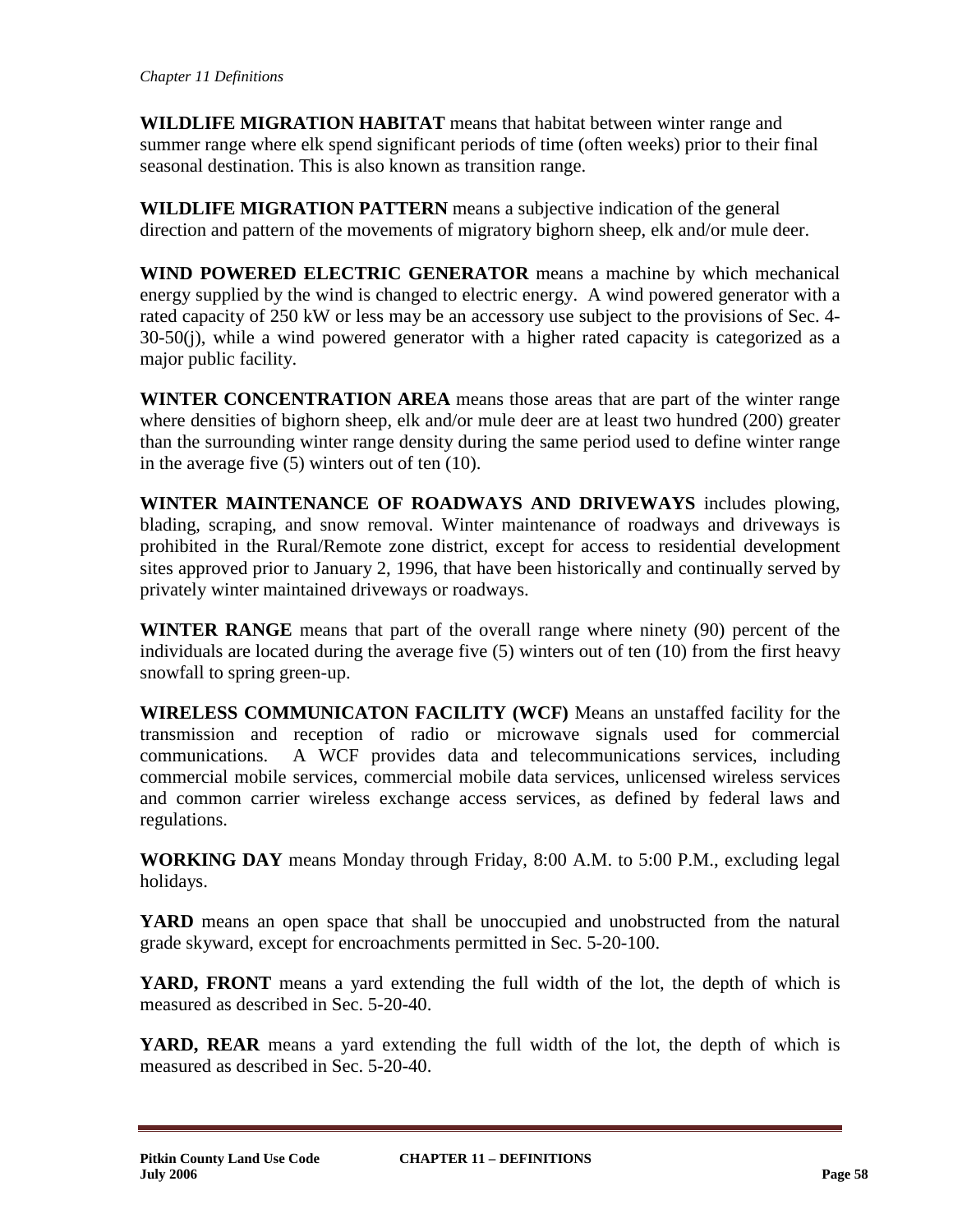**WILDLIFE MIGRATION HABITAT** means that habitat between winter range and summer range where elk spend significant periods of time (often weeks) prior to their final seasonal destination. This is also known as transition range.

**WILDLIFE MIGRATION PATTERN** means a subjective indication of the general direction and pattern of the movements of migratory bighorn sheep, elk and/or mule deer.

**WIND POWERED ELECTRIC GENERATOR** means a machine by which mechanical energy supplied by the wind is changed to electric energy. A wind powered generator with a rated capacity of 250 kW or less may be an accessory use subject to the provisions of Sec. 4- 30-50(j), while a wind powered generator with a higher rated capacity is categorized as a major public facility.

**WINTER CONCENTRATION AREA** means those areas that are part of the winter range where densities of bighorn sheep, elk and/or mule deer are at least two hundred (200) greater than the surrounding winter range density during the same period used to define winter range in the average five (5) winters out of ten (10).

**WINTER MAINTENANCE OF ROADWAYS AND DRIVEWAYS** includes plowing, blading, scraping, and snow removal. Winter maintenance of roadways and driveways is prohibited in the Rural/Remote zone district, except for access to residential development sites approved prior to January 2, 1996, that have been historically and continually served by privately winter maintained driveways or roadways.

**WINTER RANGE** means that part of the overall range where ninety (90) percent of the individuals are located during the average five (5) winters out of ten (10) from the first heavy snowfall to spring green-up.

**WIRELESS COMMUNICATON FACILITY (WCF)** Means an unstaffed facility for the transmission and reception of radio or microwave signals used for commercial communications. A WCF provides data and telecommunications services, including commercial mobile services, commercial mobile data services, unlicensed wireless services and common carrier wireless exchange access services, as defined by federal laws and regulations.

**WORKING DAY** means Monday through Friday, 8:00 A.M. to 5:00 P.M., excluding legal holidays.

**YARD** means an open space that shall be unoccupied and unobstructed from the natural grade skyward, except for encroachments permitted in Sec. 5-20-100.

**YARD, FRONT** means a yard extending the full width of the lot, the depth of which is measured as described in Sec. 5-20-40.

**YARD, REAR** means a yard extending the full width of the lot, the depth of which is measured as described in Sec. 5-20-40.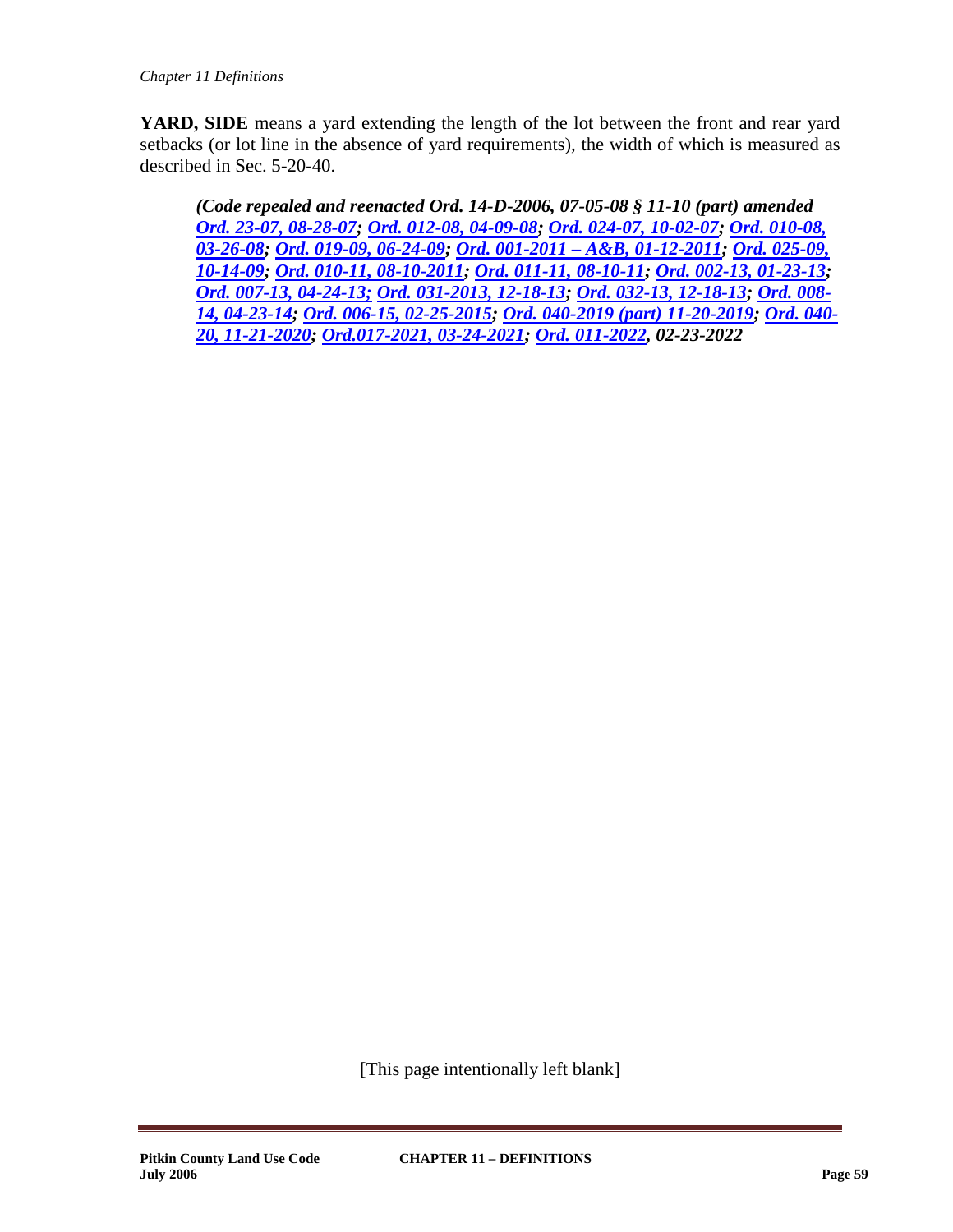**YARD, SIDE** means a yard extending the length of the lot between the front and rear yard setbacks (or lot line in the absence of yard requirements), the width of which is measured as described in Sec. 5-20-40.

*(Code repealed and reenacted Ord. 14-D-2006, 07-05-08 § 11-10 (part) amended [Ord. 23-07, 08-28-07;](http://pitkincounty.com/DocumentCenter/View/8249) [Ord. 012-08, 04-09-08;](http://pitkincounty.com/DocumentCenter/View/8256) [Ord. 024-07, 10-02-07;](http://pitkincounty.com/DocumentCenter/View/8250) [Ord. 010-08,](http://pitkincounty.com/DocumentCenter/View/8254)  [03-26-08;](http://pitkincounty.com/DocumentCenter/View/8254) [Ord. 019-09, 06-24-09;](http://pitkincounty.com/DocumentCenter/View/8261) Ord. 001-2011 – [A&B, 01-12-2011;](http://pitkincounty.com/DocumentCenter/View/8269) [Ord. 025-09,](http://pitkincounty.com/DocumentCenter/View/12796)  [10-14-09;](http://pitkincounty.com/DocumentCenter/View/12796) [Ord. 010-11, 08-10-2011;](http://pitkincounty.com/DocumentCenter/View/12800) [Ord. 011-11, 08-10-11;](http://pitkincounty.com/DocumentCenter/View/8292) [Ord. 002-13, 01-23-13;](http://pitkincounty.com/DocumentCenter/View/8276) [Ord. 007-13, 04-24-13;](http://pitkincounty.com/DocumentCenter/View/12802) [Ord. 031-2013, 12-18-13;](http://pitkincounty.com/DocumentCenter/View/8280) [Ord. 032-13, 12-18-13;](http://pitkincounty.com/DocumentCenter/View/8279) [Ord. 008-](http://pitkincounty.com/DocumentCenter/View/8282) [14, 04-23-14;](http://pitkincounty.com/DocumentCenter/View/8282) [Ord. 006-15, 02-25-2015;](http://pitkincounty.com/DocumentCenter/View/8286) [Ord. 040-2019 \(part\) 11-20-2019;](https://pitkincounty.com/DocumentCenter/View/21578/boccord0402019) [Ord. 040-](https://pitkincounty.com/DocumentCenter/View/27004/boccord0402020) [20, 11-21-2020;](https://pitkincounty.com/DocumentCenter/View/27004/boccord0402020) [Ord.017-2021, 03-24-2021;](https://pitkincounty.com/DocumentCenter/View/27312/boccord0172021) [Ord. 011-2022,](https://pitkincounty.com/DocumentCenter/View/28808/boccord0112022-recorded) 02-23-2022*

[This page intentionally left blank]